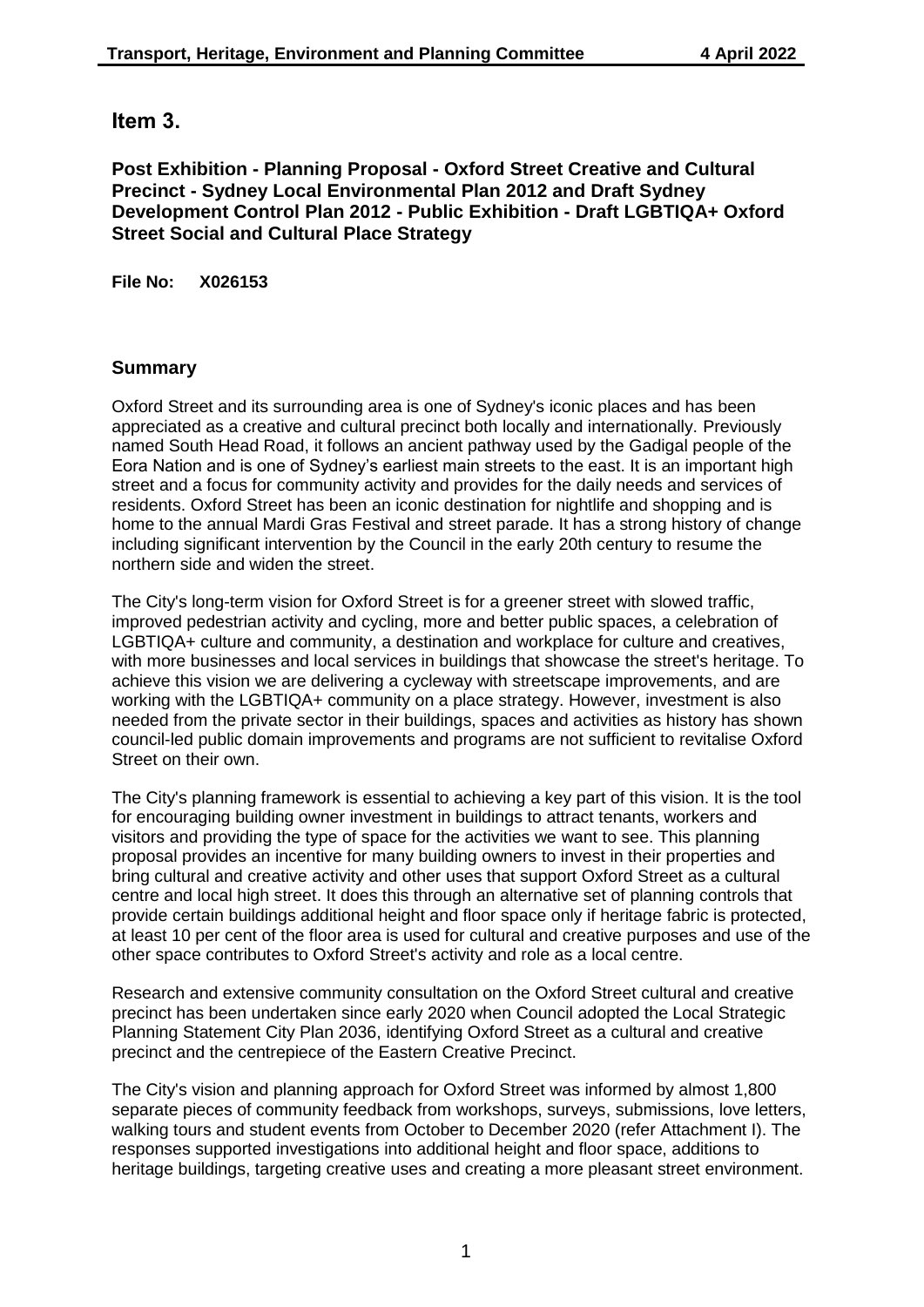# **Item 3.**

## **Post Exhibition - Planning Proposal - Oxford Street Creative and Cultural Precinct - Sydney Local Environmental Plan 2012 and Draft Sydney Development Control Plan 2012 - Public Exhibition - Draft LGBTIQA+ Oxford Street Social and Cultural Place Strategy**

**File No: X026153**

# **Summary**

Oxford Street and its surrounding area is one of Sydney's iconic places and has been appreciated as a creative and cultural precinct both locally and internationally. Previously named South Head Road, it follows an ancient pathway used by the Gadigal people of the Eora Nation and is one of Sydney's earliest main streets to the east. It is an important high street and a focus for community activity and provides for the daily needs and services of residents. Oxford Street has been an iconic destination for nightlife and shopping and is home to the annual Mardi Gras Festival and street parade. It has a strong history of change including significant intervention by the Council in the early 20th century to resume the northern side and widen the street.

The City's long-term vision for Oxford Street is for a greener street with slowed traffic, improved pedestrian activity and cycling, more and better public spaces, a celebration of LGBTIQA+ culture and community, a destination and workplace for culture and creatives, with more businesses and local services in buildings that showcase the street's heritage. To achieve this vision we are delivering a cycleway with streetscape improvements, and are working with the LGBTIQA+ community on a place strategy. However, investment is also needed from the private sector in their buildings, spaces and activities as history has shown council-led public domain improvements and programs are not sufficient to revitalise Oxford Street on their own.

The City's planning framework is essential to achieving a key part of this vision. It is the tool for encouraging building owner investment in buildings to attract tenants, workers and visitors and providing the type of space for the activities we want to see. This planning proposal provides an incentive for many building owners to invest in their properties and bring cultural and creative activity and other uses that support Oxford Street as a cultural centre and local high street. It does this through an alternative set of planning controls that provide certain buildings additional height and floor space only if heritage fabric is protected, at least 10 per cent of the floor area is used for cultural and creative purposes and use of the other space contributes to Oxford Street's activity and role as a local centre.

Research and extensive community consultation on the Oxford Street cultural and creative precinct has been undertaken since early 2020 when Council adopted the Local Strategic Planning Statement City Plan 2036, identifying Oxford Street as a cultural and creative precinct and the centrepiece of the Eastern Creative Precinct.

The City's vision and planning approach for Oxford Street was informed by almost 1,800 separate pieces of community feedback from workshops, surveys, submissions, love letters, walking tours and student events from October to December 2020 (refer Attachment I). The responses supported investigations into additional height and floor space, additions to heritage buildings, targeting creative uses and creating a more pleasant street environment.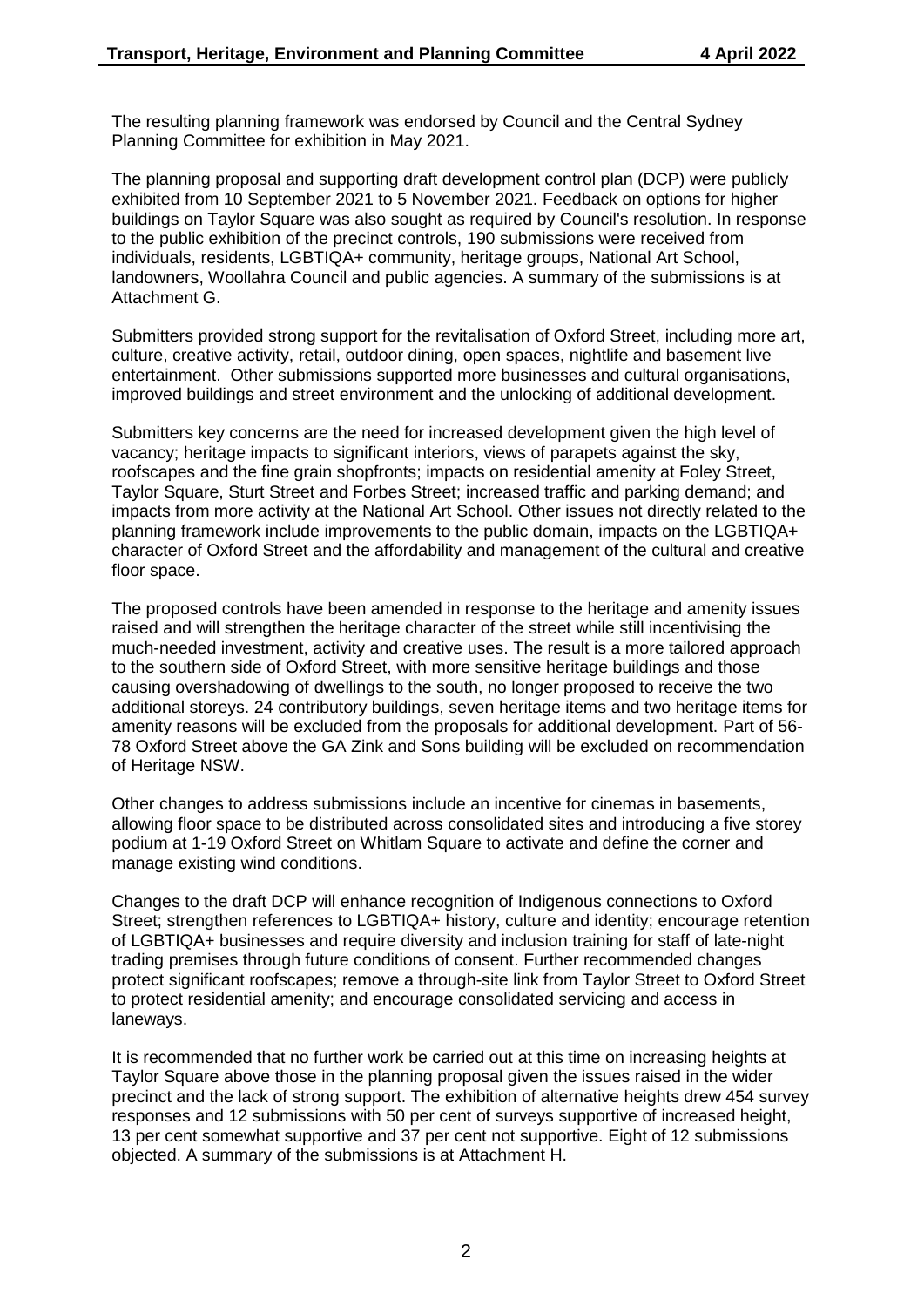The resulting planning framework was endorsed by Council and the Central Sydney Planning Committee for exhibition in May 2021.

The planning proposal and supporting draft development control plan (DCP) were publicly exhibited from 10 September 2021 to 5 November 2021. Feedback on options for higher buildings on Taylor Square was also sought as required by Council's resolution. In response to the public exhibition of the precinct controls, 190 submissions were received from individuals, residents, LGBTIQA+ community, heritage groups, National Art School, landowners, Woollahra Council and public agencies. A summary of the submissions is at Attachment G.

Submitters provided strong support for the revitalisation of Oxford Street, including more art, culture, creative activity, retail, outdoor dining, open spaces, nightlife and basement live entertainment. Other submissions supported more businesses and cultural organisations, improved buildings and street environment and the unlocking of additional development.

Submitters key concerns are the need for increased development given the high level of vacancy; heritage impacts to significant interiors, views of parapets against the sky, roofscapes and the fine grain shopfronts; impacts on residential amenity at Foley Street, Taylor Square, Sturt Street and Forbes Street; increased traffic and parking demand; and impacts from more activity at the National Art School. Other issues not directly related to the planning framework include improvements to the public domain, impacts on the LGBTIQA+ character of Oxford Street and the affordability and management of the cultural and creative floor space.

The proposed controls have been amended in response to the heritage and amenity issues raised and will strengthen the heritage character of the street while still incentivising the much-needed investment, activity and creative uses. The result is a more tailored approach to the southern side of Oxford Street, with more sensitive heritage buildings and those causing overshadowing of dwellings to the south, no longer proposed to receive the two additional storeys. 24 contributory buildings, seven heritage items and two heritage items for amenity reasons will be excluded from the proposals for additional development. Part of 56- 78 Oxford Street above the GA Zink and Sons building will be excluded on recommendation of Heritage NSW.

Other changes to address submissions include an incentive for cinemas in basements, allowing floor space to be distributed across consolidated sites and introducing a five storey podium at 1-19 Oxford Street on Whitlam Square to activate and define the corner and manage existing wind conditions.

Changes to the draft DCP will enhance recognition of Indigenous connections to Oxford Street; strengthen references to LGBTIQA+ history, culture and identity; encourage retention of LGBTIQA+ businesses and require diversity and inclusion training for staff of late-night trading premises through future conditions of consent. Further recommended changes protect significant roofscapes; remove a through-site link from Taylor Street to Oxford Street to protect residential amenity; and encourage consolidated servicing and access in laneways.

It is recommended that no further work be carried out at this time on increasing heights at Taylor Square above those in the planning proposal given the issues raised in the wider precinct and the lack of strong support. The exhibition of alternative heights drew 454 survey responses and 12 submissions with 50 per cent of surveys supportive of increased height, 13 per cent somewhat supportive and 37 per cent not supportive. Eight of 12 submissions objected. A summary of the submissions is at Attachment H.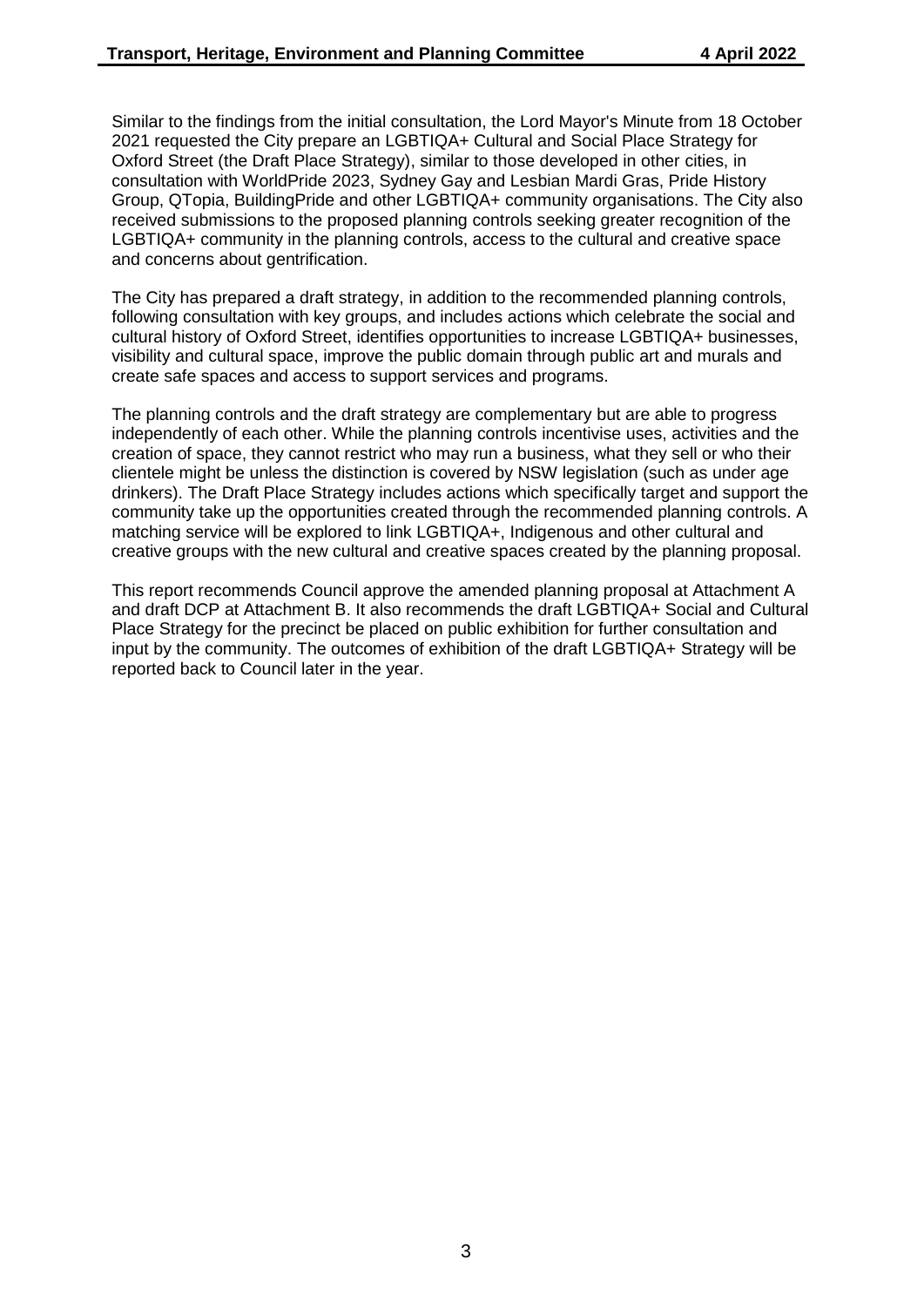Similar to the findings from the initial consultation, the Lord Mayor's Minute from 18 October 2021 requested the City prepare an LGBTIQA+ Cultural and Social Place Strategy for Oxford Street (the Draft Place Strategy), similar to those developed in other cities, in consultation with WorldPride 2023, Sydney Gay and Lesbian Mardi Gras, Pride History Group, QTopia, BuildingPride and other LGBTIQA+ community organisations. The City also received submissions to the proposed planning controls seeking greater recognition of the LGBTIQA+ community in the planning controls, access to the cultural and creative space and concerns about gentrification.

The City has prepared a draft strategy, in addition to the recommended planning controls, following consultation with key groups, and includes actions which celebrate the social and cultural history of Oxford Street, identifies opportunities to increase LGBTIQA+ businesses, visibility and cultural space, improve the public domain through public art and murals and create safe spaces and access to support services and programs.

The planning controls and the draft strategy are complementary but are able to progress independently of each other. While the planning controls incentivise uses, activities and the creation of space, they cannot restrict who may run a business, what they sell or who their clientele might be unless the distinction is covered by NSW legislation (such as under age drinkers). The Draft Place Strategy includes actions which specifically target and support the community take up the opportunities created through the recommended planning controls. A matching service will be explored to link LGBTIQA+, Indigenous and other cultural and creative groups with the new cultural and creative spaces created by the planning proposal.

This report recommends Council approve the amended planning proposal at Attachment A and draft DCP at Attachment B. It also recommends the draft LGBTIQA+ Social and Cultural Place Strategy for the precinct be placed on public exhibition for further consultation and input by the community. The outcomes of exhibition of the draft LGBTIQA+ Strategy will be reported back to Council later in the year.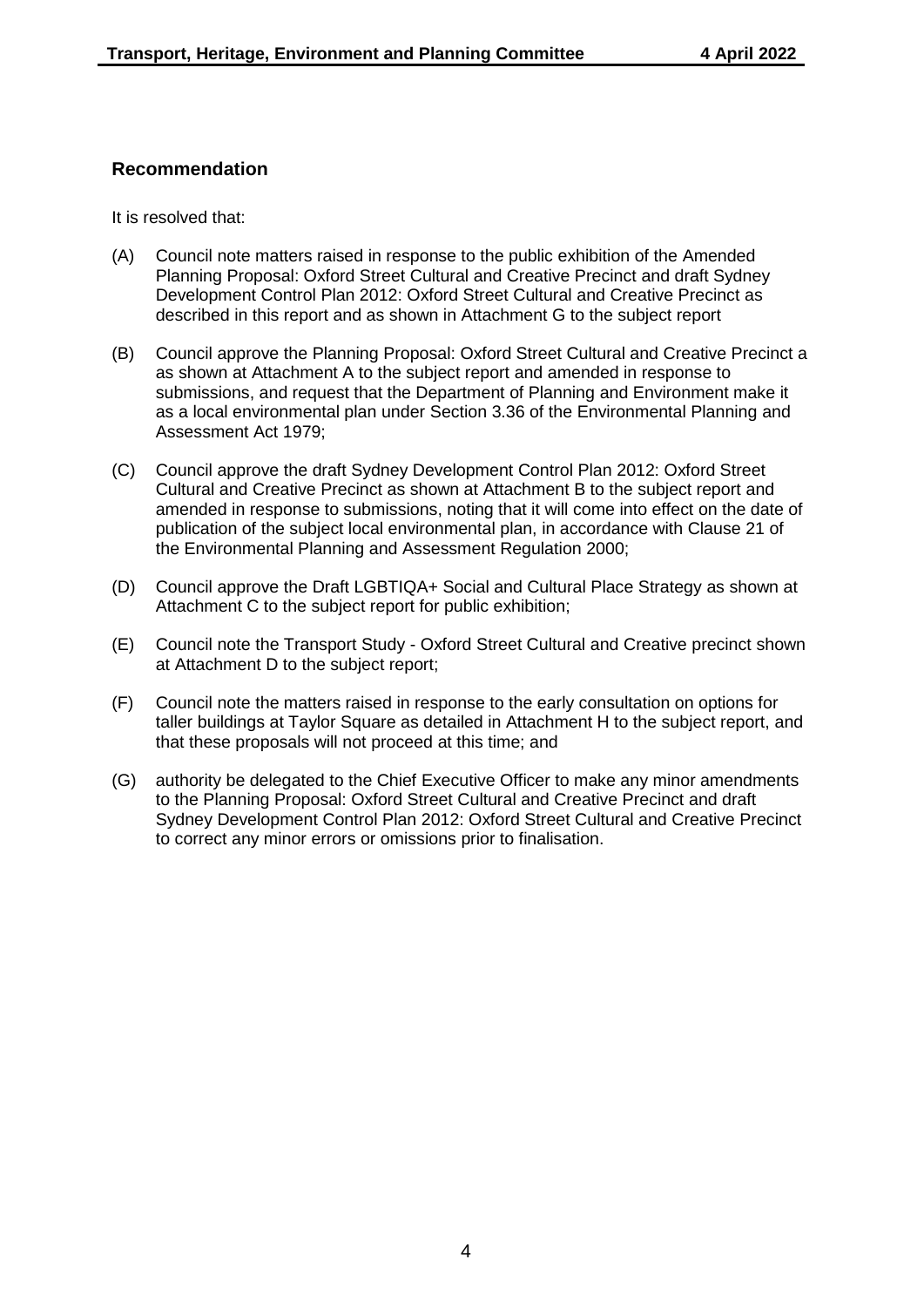## **Recommendation**

It is resolved that:

- (A) Council note matters raised in response to the public exhibition of the Amended Planning Proposal: Oxford Street Cultural and Creative Precinct and draft Sydney Development Control Plan 2012: Oxford Street Cultural and Creative Precinct as described in this report and as shown in Attachment G to the subject report
- (B) Council approve the Planning Proposal: Oxford Street Cultural and Creative Precinct a as shown at Attachment A to the subject report and amended in response to submissions, and request that the Department of Planning and Environment make it as a local environmental plan under Section 3.36 of the Environmental Planning and Assessment Act 1979;
- (C) Council approve the draft Sydney Development Control Plan 2012: Oxford Street Cultural and Creative Precinct as shown at Attachment B to the subject report and amended in response to submissions, noting that it will come into effect on the date of publication of the subject local environmental plan, in accordance with Clause 21 of the Environmental Planning and Assessment Regulation 2000;
- (D) Council approve the Draft LGBTIQA+ Social and Cultural Place Strategy as shown at Attachment C to the subject report for public exhibition;
- (E) Council note the Transport Study Oxford Street Cultural and Creative precinct shown at Attachment D to the subject report;
- (F) Council note the matters raised in response to the early consultation on options for taller buildings at Taylor Square as detailed in Attachment H to the subject report, and that these proposals will not proceed at this time; and
- (G) authority be delegated to the Chief Executive Officer to make any minor amendments to the Planning Proposal: Oxford Street Cultural and Creative Precinct and draft Sydney Development Control Plan 2012: Oxford Street Cultural and Creative Precinct to correct any minor errors or omissions prior to finalisation.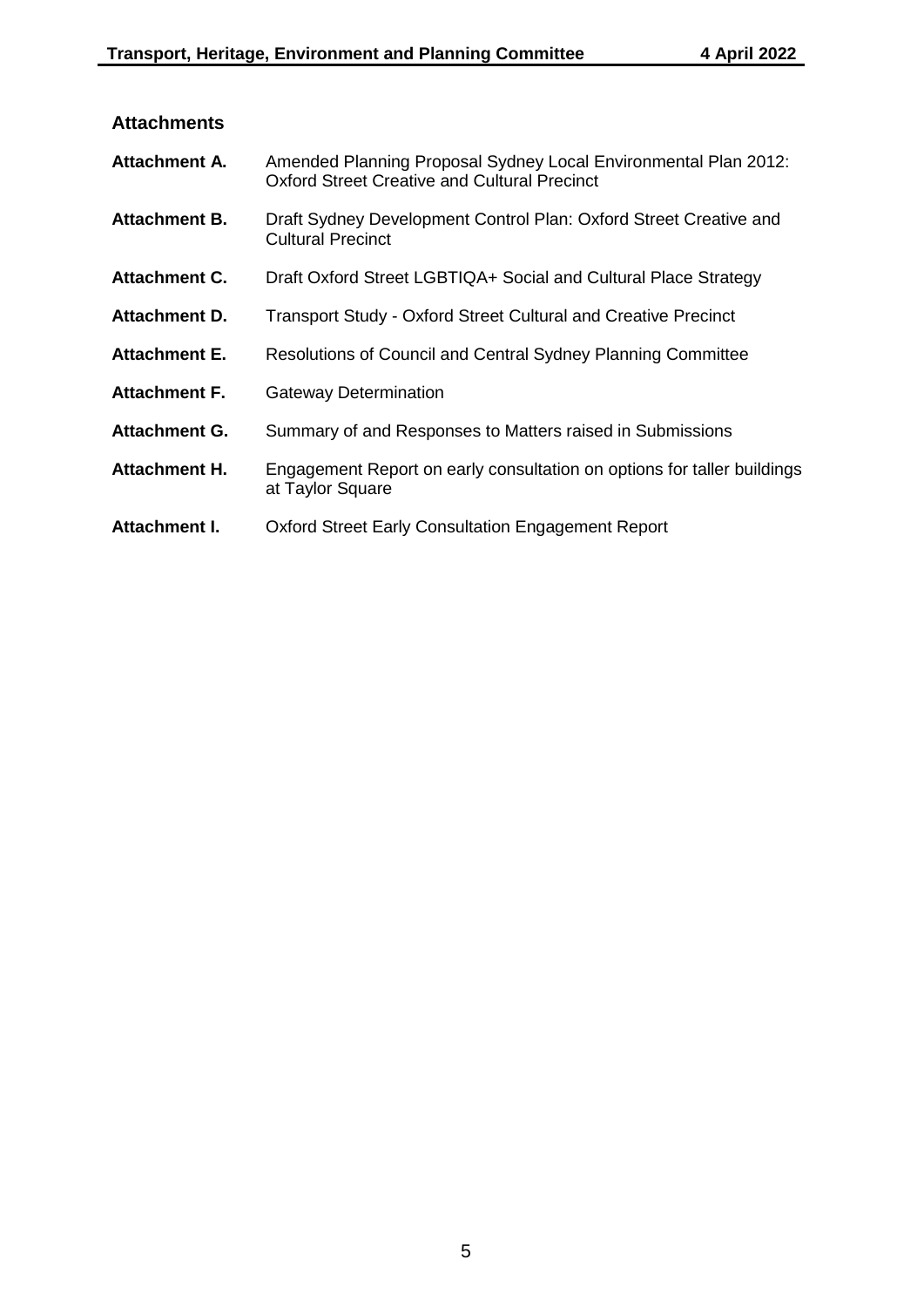| Attachment A.        | Amended Planning Proposal Sydney Local Environmental Plan 2012:<br><b>Oxford Street Creative and Cultural Precinct</b> |
|----------------------|------------------------------------------------------------------------------------------------------------------------|
| <b>Attachment B.</b> | Draft Sydney Development Control Plan: Oxford Street Creative and<br><b>Cultural Precinct</b>                          |
| <b>Attachment C.</b> | Draft Oxford Street LGBTIQA+ Social and Cultural Place Strategy                                                        |
| <b>Attachment D.</b> | <b>Transport Study - Oxford Street Cultural and Creative Precinct</b>                                                  |
| <b>Attachment E.</b> | Resolutions of Council and Central Sydney Planning Committee                                                           |
| <b>Attachment F.</b> | <b>Gateway Determination</b>                                                                                           |
| <b>Attachment G.</b> | Summary of and Responses to Matters raised in Submissions                                                              |
| Attachment H.        | Engagement Report on early consultation on options for taller buildings<br>at Taylor Square                            |
| Attachment I.        | Oxford Street Early Consultation Engagement Report                                                                     |

# **Attachments**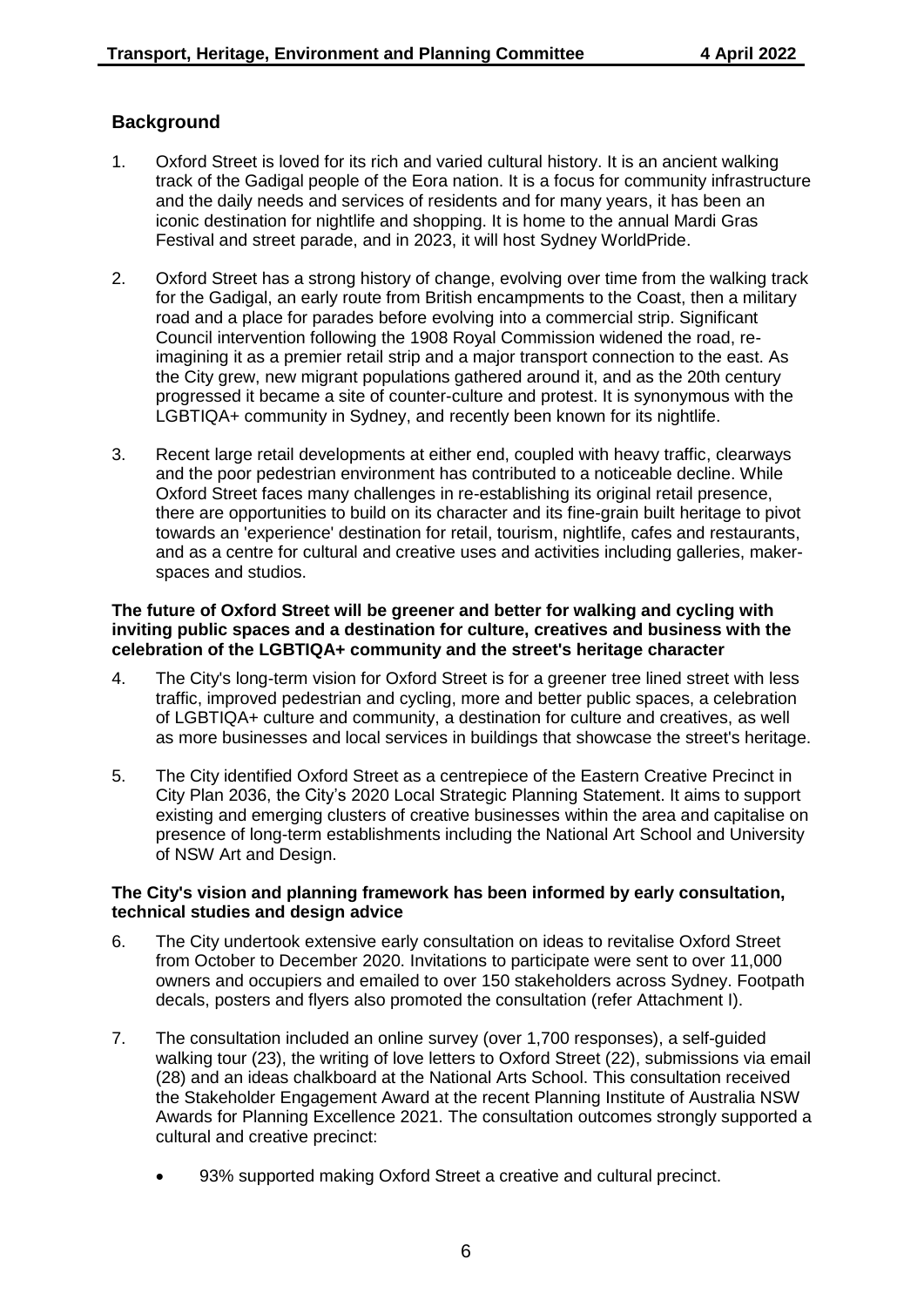# **Background**

- 1. Oxford Street is loved for its rich and varied cultural history. It is an ancient walking track of the Gadigal people of the Eora nation. It is a focus for community infrastructure and the daily needs and services of residents and for many years, it has been an iconic destination for nightlife and shopping. It is home to the annual Mardi Gras Festival and street parade, and in 2023, it will host Sydney WorldPride.
- 2. Oxford Street has a strong history of change, evolving over time from the walking track for the Gadigal, an early route from British encampments to the Coast, then a military road and a place for parades before evolving into a commercial strip. Significant Council intervention following the 1908 Royal Commission widened the road, reimagining it as a premier retail strip and a major transport connection to the east. As the City grew, new migrant populations gathered around it, and as the 20th century progressed it became a site of counter-culture and protest. It is synonymous with the LGBTIQA+ community in Sydney, and recently been known for its nightlife.
- 3. Recent large retail developments at either end, coupled with heavy traffic, clearways and the poor pedestrian environment has contributed to a noticeable decline. While Oxford Street faces many challenges in re-establishing its original retail presence, there are opportunities to build on its character and its fine-grain built heritage to pivot towards an 'experience' destination for retail, tourism, nightlife, cafes and restaurants, and as a centre for cultural and creative uses and activities including galleries, makerspaces and studios.

#### **The future of Oxford Street will be greener and better for walking and cycling with inviting public spaces and a destination for culture, creatives and business with the celebration of the LGBTIQA+ community and the street's heritage character**

- 4. The City's long-term vision for Oxford Street is for a greener tree lined street with less traffic, improved pedestrian and cycling, more and better public spaces, a celebration of LGBTIQA+ culture and community, a destination for culture and creatives, as well as more businesses and local services in buildings that showcase the street's heritage.
- 5. The City identified Oxford Street as a centrepiece of the Eastern Creative Precinct in City Plan 2036, the City's 2020 Local Strategic Planning Statement. It aims to support existing and emerging clusters of creative businesses within the area and capitalise on presence of long-term establishments including the National Art School and University of NSW Art and Design.

#### **The City's vision and planning framework has been informed by early consultation, technical studies and design advice**

- 6. The City undertook extensive early consultation on ideas to revitalise Oxford Street from October to December 2020. Invitations to participate were sent to over 11,000 owners and occupiers and emailed to over 150 stakeholders across Sydney. Footpath decals, posters and flyers also promoted the consultation (refer Attachment I).
- 7. The consultation included an online survey (over 1,700 responses), a self-guided walking tour (23), the writing of love letters to Oxford Street (22), submissions via email (28) and an ideas chalkboard at the National Arts School. This consultation received the Stakeholder Engagement Award at the recent Planning Institute of Australia NSW Awards for Planning Excellence 2021. The consultation outcomes strongly supported a cultural and creative precinct:
	- 93% supported making Oxford Street a creative and cultural precinct.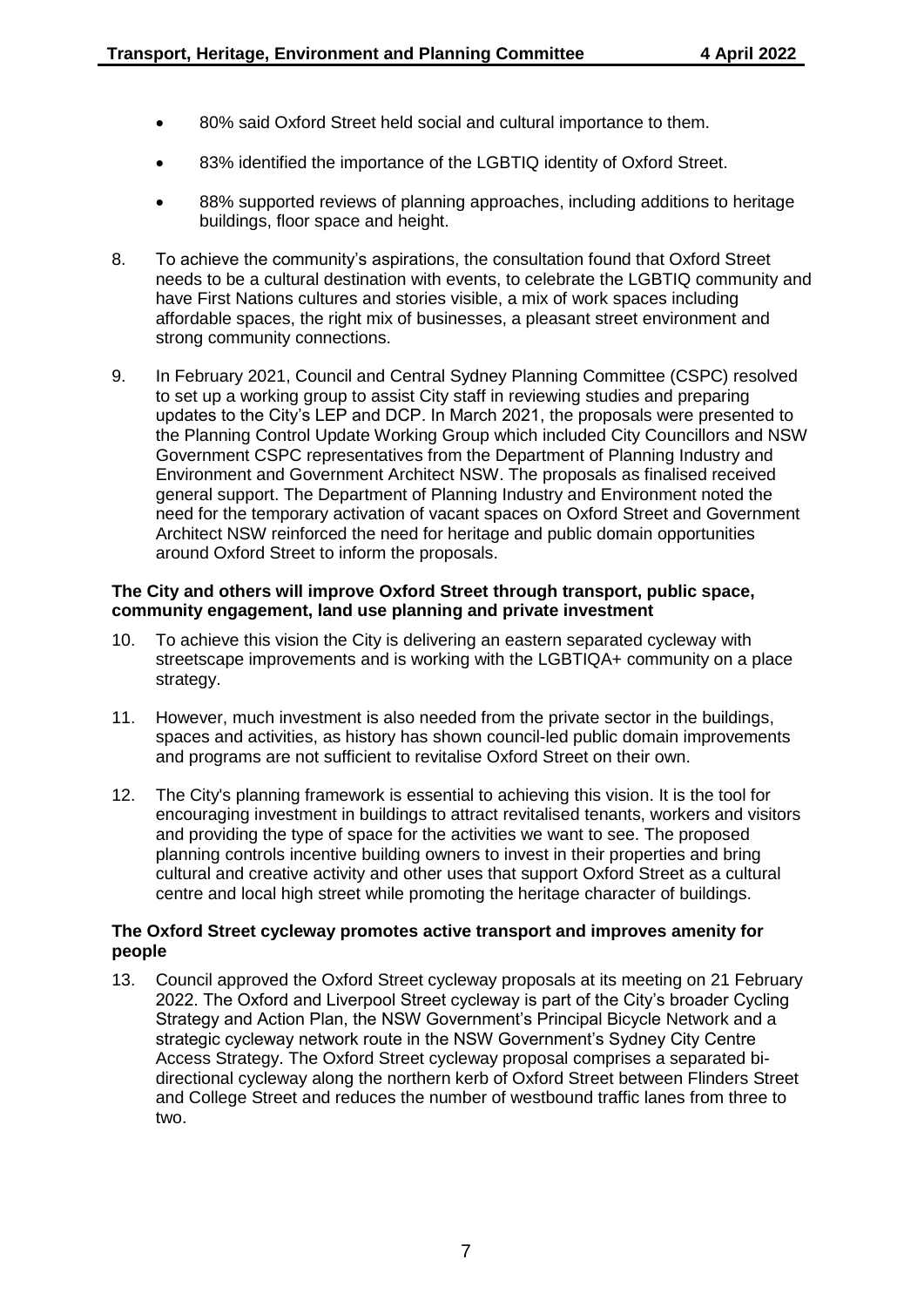- 80% said Oxford Street held social and cultural importance to them.
- 83% identified the importance of the LGBTIQ identity of Oxford Street.
- 88% supported reviews of planning approaches, including additions to heritage buildings, floor space and height.
- 8. To achieve the community's aspirations, the consultation found that Oxford Street needs to be a cultural destination with events, to celebrate the LGBTIQ community and have First Nations cultures and stories visible, a mix of work spaces including affordable spaces, the right mix of businesses, a pleasant street environment and strong community connections.
- 9. In February 2021, Council and Central Sydney Planning Committee (CSPC) resolved to set up a working group to assist City staff in reviewing studies and preparing updates to the City's LEP and DCP. In March 2021, the proposals were presented to the Planning Control Update Working Group which included City Councillors and NSW Government CSPC representatives from the Department of Planning Industry and Environment and Government Architect NSW. The proposals as finalised received general support. The Department of Planning Industry and Environment noted the need for the temporary activation of vacant spaces on Oxford Street and Government Architect NSW reinforced the need for heritage and public domain opportunities around Oxford Street to inform the proposals.

## **The City and others will improve Oxford Street through transport, public space, community engagement, land use planning and private investment**

- 10. To achieve this vision the City is delivering an eastern separated cycleway with streetscape improvements and is working with the LGBTIQA+ community on a place strategy.
- 11. However, much investment is also needed from the private sector in the buildings, spaces and activities, as history has shown council-led public domain improvements and programs are not sufficient to revitalise Oxford Street on their own.
- 12. The City's planning framework is essential to achieving this vision. It is the tool for encouraging investment in buildings to attract revitalised tenants, workers and visitors and providing the type of space for the activities we want to see. The proposed planning controls incentive building owners to invest in their properties and bring cultural and creative activity and other uses that support Oxford Street as a cultural centre and local high street while promoting the heritage character of buildings.

## **The Oxford Street cycleway promotes active transport and improves amenity for people**

13. Council approved the Oxford Street cycleway proposals at its meeting on 21 February 2022. The Oxford and Liverpool Street cycleway is part of the City's broader Cycling Strategy and Action Plan, the NSW Government's Principal Bicycle Network and a strategic cycleway network route in the NSW Government's Sydney City Centre Access Strategy. The Oxford Street cycleway proposal comprises a separated bidirectional cycleway along the northern kerb of Oxford Street between Flinders Street and College Street and reduces the number of westbound traffic lanes from three to two.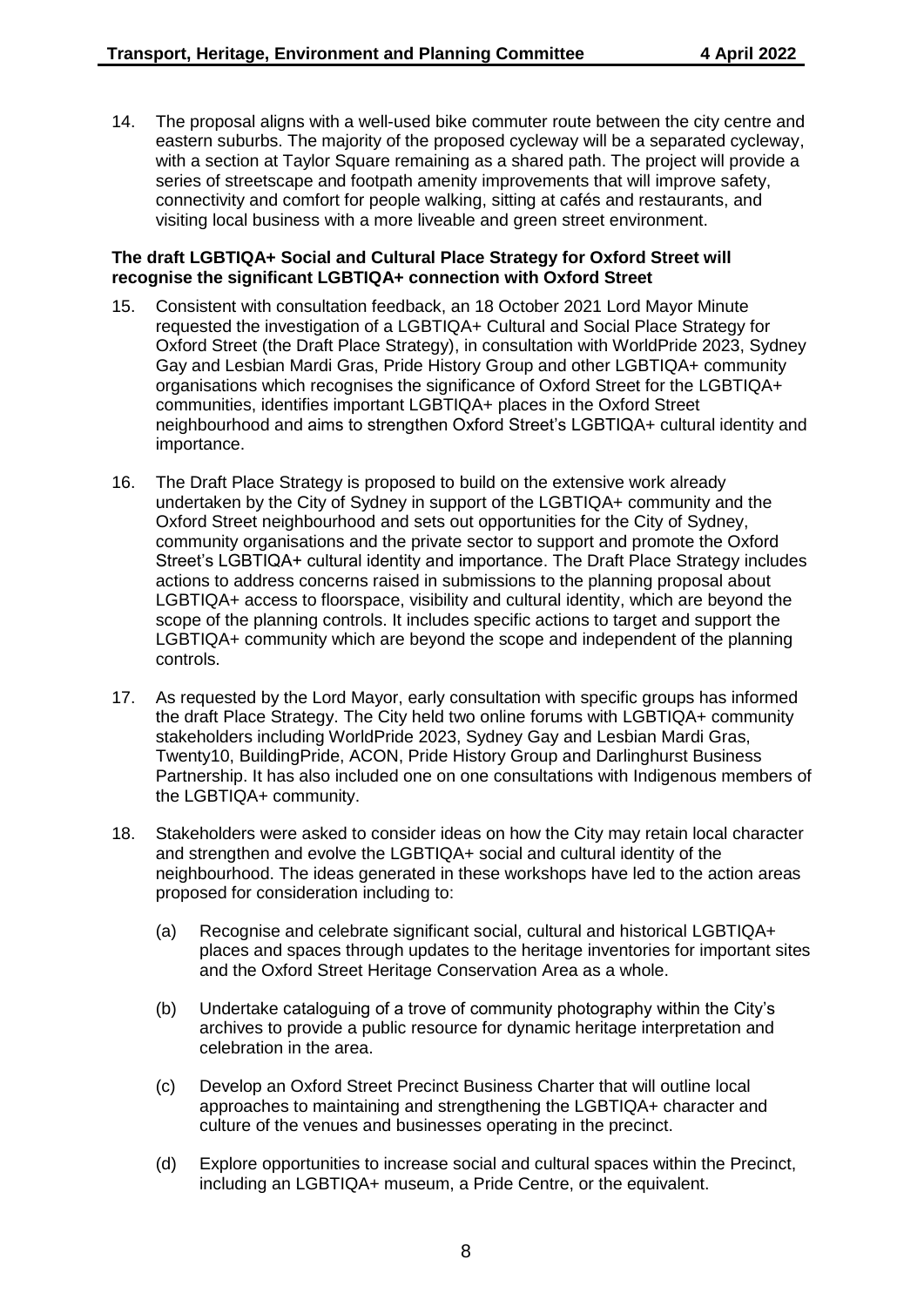14. The proposal aligns with a well-used bike commuter route between the city centre and eastern suburbs. The majority of the proposed cycleway will be a separated cycleway, with a section at Taylor Square remaining as a shared path. The project will provide a series of streetscape and footpath amenity improvements that will improve safety, connectivity and comfort for people walking, sitting at cafés and restaurants, and visiting local business with a more liveable and green street environment.

#### **The draft LGBTIQA+ Social and Cultural Place Strategy for Oxford Street will recognise the significant LGBTIQA+ connection with Oxford Street**

- 15. Consistent with consultation feedback, an 18 October 2021 Lord Mayor Minute requested the investigation of a LGBTIQA+ Cultural and Social Place Strategy for Oxford Street (the Draft Place Strategy), in consultation with WorldPride 2023, Sydney Gay and Lesbian Mardi Gras, Pride History Group and other LGBTIQA+ community organisations which recognises the significance of Oxford Street for the LGBTIQA+ communities, identifies important LGBTIQA+ places in the Oxford Street neighbourhood and aims to strengthen Oxford Street's LGBTIQA+ cultural identity and importance.
- 16. The Draft Place Strategy is proposed to build on the extensive work already undertaken by the City of Sydney in support of the LGBTIQA+ community and the Oxford Street neighbourhood and sets out opportunities for the City of Sydney, community organisations and the private sector to support and promote the Oxford Street's LGBTIQA+ cultural identity and importance. The Draft Place Strategy includes actions to address concerns raised in submissions to the planning proposal about LGBTIQA+ access to floorspace, visibility and cultural identity, which are beyond the scope of the planning controls. It includes specific actions to target and support the LGBTIQA+ community which are beyond the scope and independent of the planning controls.
- 17. As requested by the Lord Mayor, early consultation with specific groups has informed the draft Place Strategy. The City held two online forums with LGBTIQA+ community stakeholders including WorldPride 2023, Sydney Gay and Lesbian Mardi Gras, Twenty10, BuildingPride, ACON, Pride History Group and Darlinghurst Business Partnership. It has also included one on one consultations with Indigenous members of the LGBTIQA+ community.
- 18. Stakeholders were asked to consider ideas on how the City may retain local character and strengthen and evolve the LGBTIQA+ social and cultural identity of the neighbourhood. The ideas generated in these workshops have led to the action areas proposed for consideration including to:
	- (a) Recognise and celebrate significant social, cultural and historical LGBTIQA+ places and spaces through updates to the heritage inventories for important sites and the Oxford Street Heritage Conservation Area as a whole.
	- (b) Undertake cataloguing of a trove of community photography within the City's archives to provide a public resource for dynamic heritage interpretation and celebration in the area.
	- (c) Develop an Oxford Street Precinct Business Charter that will outline local approaches to maintaining and strengthening the LGBTIQA+ character and culture of the venues and businesses operating in the precinct.
	- (d) Explore opportunities to increase social and cultural spaces within the Precinct, including an LGBTIQA+ museum, a Pride Centre, or the equivalent.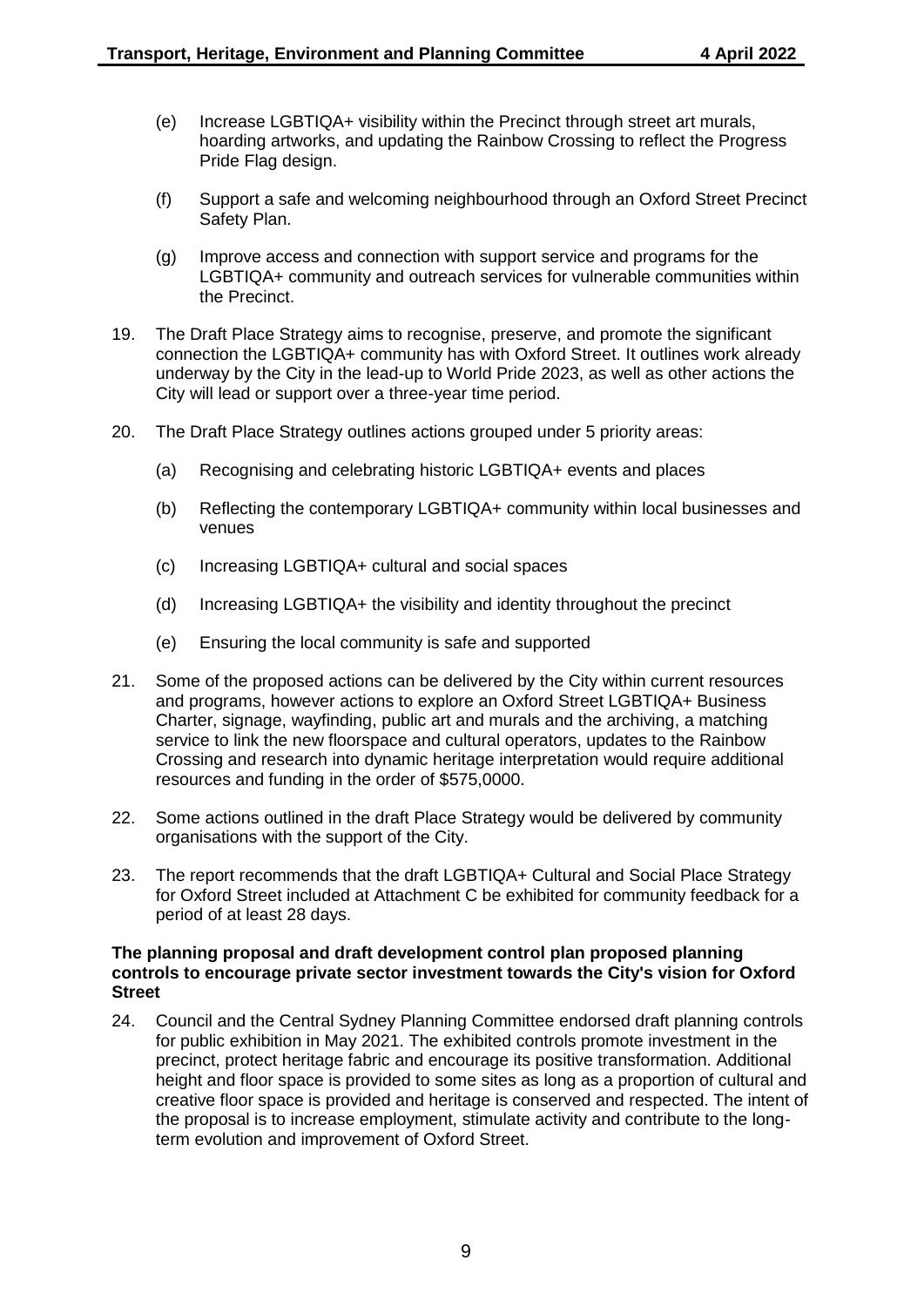- (e) Increase LGBTIQA+ visibility within the Precinct through street art murals, hoarding artworks, and updating the Rainbow Crossing to reflect the Progress Pride Flag design.
- (f) Support a safe and welcoming neighbourhood through an Oxford Street Precinct Safety Plan.
- (g) Improve access and connection with support service and programs for the LGBTIQA+ community and outreach services for vulnerable communities within the Precinct.
- 19. The Draft Place Strategy aims to recognise, preserve, and promote the significant connection the LGBTIQA+ community has with Oxford Street. It outlines work already underway by the City in the lead-up to World Pride 2023, as well as other actions the City will lead or support over a three-year time period.
- 20. The Draft Place Strategy outlines actions grouped under 5 priority areas:
	- (a) Recognising and celebrating historic LGBTIQA+ events and places
	- (b) Reflecting the contemporary LGBTIQA+ community within local businesses and venues
	- (c) Increasing LGBTIQA+ cultural and social spaces
	- (d) Increasing LGBTIQA+ the visibility and identity throughout the precinct
	- (e) Ensuring the local community is safe and supported
- 21. Some of the proposed actions can be delivered by the City within current resources and programs, however actions to explore an Oxford Street LGBTIQA+ Business Charter, signage, wayfinding, public art and murals and the archiving, a matching service to link the new floorspace and cultural operators, updates to the Rainbow Crossing and research into dynamic heritage interpretation would require additional resources and funding in the order of \$575,0000.
- 22. Some actions outlined in the draft Place Strategy would be delivered by community organisations with the support of the City.
- 23. The report recommends that the draft LGBTIQA+ Cultural and Social Place Strategy for Oxford Street included at Attachment C be exhibited for community feedback for a period of at least 28 days.

#### **The planning proposal and draft development control plan proposed planning controls to encourage private sector investment towards the City's vision for Oxford Street**

24. Council and the Central Sydney Planning Committee endorsed draft planning controls for public exhibition in May 2021. The exhibited controls promote investment in the precinct, protect heritage fabric and encourage its positive transformation. Additional height and floor space is provided to some sites as long as a proportion of cultural and creative floor space is provided and heritage is conserved and respected. The intent of the proposal is to increase employment, stimulate activity and contribute to the longterm evolution and improvement of Oxford Street.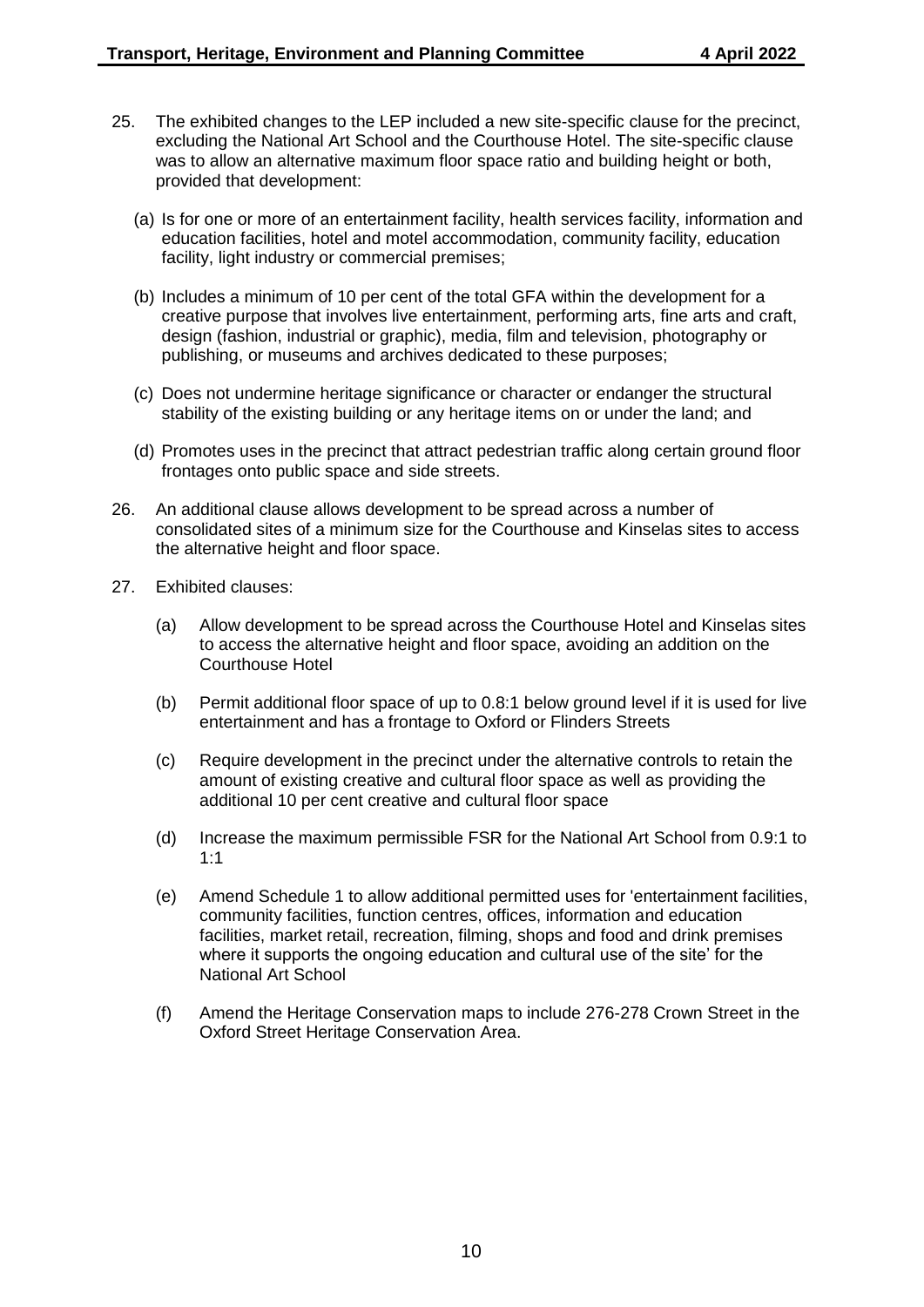- 25. The exhibited changes to the LEP included a new site-specific clause for the precinct, excluding the National Art School and the Courthouse Hotel. The site-specific clause was to allow an alternative maximum floor space ratio and building height or both, provided that development:
	- (a) Is for one or more of an entertainment facility, health services facility, information and education facilities, hotel and motel accommodation, community facility, education facility, light industry or commercial premises;
	- (b) Includes a minimum of 10 per cent of the total GFA within the development for a creative purpose that involves live entertainment, performing arts, fine arts and craft, design (fashion, industrial or graphic), media, film and television, photography or publishing, or museums and archives dedicated to these purposes;
	- (c) Does not undermine heritage significance or character or endanger the structural stability of the existing building or any heritage items on or under the land; and
	- (d) Promotes uses in the precinct that attract pedestrian traffic along certain ground floor frontages onto public space and side streets.
- 26. An additional clause allows development to be spread across a number of consolidated sites of a minimum size for the Courthouse and Kinselas sites to access the alternative height and floor space.
- 27. Exhibited clauses:
	- (a) Allow development to be spread across the Courthouse Hotel and Kinselas sites to access the alternative height and floor space, avoiding an addition on the Courthouse Hotel
	- (b) Permit additional floor space of up to 0.8:1 below ground level if it is used for live entertainment and has a frontage to Oxford or Flinders Streets
	- (c) Require development in the precinct under the alternative controls to retain the amount of existing creative and cultural floor space as well as providing the additional 10 per cent creative and cultural floor space
	- (d) Increase the maximum permissible FSR for the National Art School from 0.9:1 to 1:1
	- (e) Amend Schedule 1 to allow additional permitted uses for 'entertainment facilities, community facilities, function centres, offices, information and education facilities, market retail, recreation, filming, shops and food and drink premises where it supports the ongoing education and cultural use of the site' for the National Art School
	- (f) Amend the Heritage Conservation maps to include 276-278 Crown Street in the Oxford Street Heritage Conservation Area.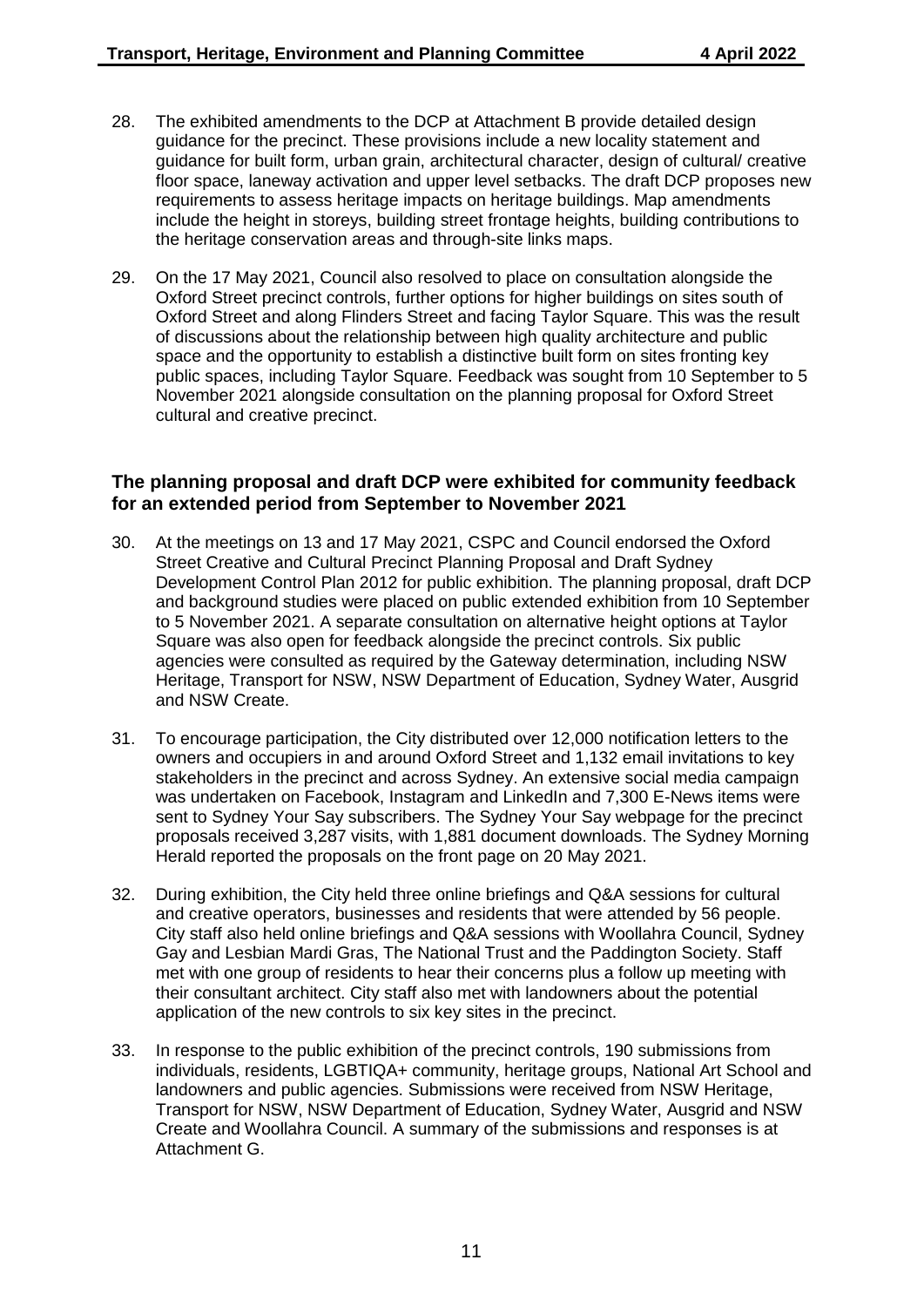- 28. The exhibited amendments to the DCP at Attachment B provide detailed design guidance for the precinct. These provisions include a new locality statement and guidance for built form, urban grain, architectural character, design of cultural/ creative floor space, laneway activation and upper level setbacks. The draft DCP proposes new requirements to assess heritage impacts on heritage buildings. Map amendments include the height in storeys, building street frontage heights, building contributions to the heritage conservation areas and through-site links maps.
- 29. On the 17 May 2021, Council also resolved to place on consultation alongside the Oxford Street precinct controls, further options for higher buildings on sites south of Oxford Street and along Flinders Street and facing Taylor Square. This was the result of discussions about the relationship between high quality architecture and public space and the opportunity to establish a distinctive built form on sites fronting key public spaces, including Taylor Square. Feedback was sought from 10 September to 5 November 2021 alongside consultation on the planning proposal for Oxford Street cultural and creative precinct.

## **The planning proposal and draft DCP were exhibited for community feedback for an extended period from September to November 2021**

- 30. At the meetings on 13 and 17 May 2021, CSPC and Council endorsed the Oxford Street Creative and Cultural Precinct Planning Proposal and Draft Sydney Development Control Plan 2012 for public exhibition. The planning proposal, draft DCP and background studies were placed on public extended exhibition from 10 September to 5 November 2021. A separate consultation on alternative height options at Taylor Square was also open for feedback alongside the precinct controls. Six public agencies were consulted as required by the Gateway determination, including NSW Heritage, Transport for NSW, NSW Department of Education, Sydney Water, Ausgrid and NSW Create.
- 31. To encourage participation, the City distributed over 12,000 notification letters to the owners and occupiers in and around Oxford Street and 1,132 email invitations to key stakeholders in the precinct and across Sydney. An extensive social media campaign was undertaken on Facebook, Instagram and LinkedIn and 7,300 E-News items were sent to Sydney Your Say subscribers. The Sydney Your Say webpage for the precinct proposals received 3,287 visits, with 1,881 document downloads. The Sydney Morning Herald reported the proposals on the front page on 20 May 2021.
- 32. During exhibition, the City held three online briefings and Q&A sessions for cultural and creative operators, businesses and residents that were attended by 56 people. City staff also held online briefings and Q&A sessions with Woollahra Council, Sydney Gay and Lesbian Mardi Gras, The National Trust and the Paddington Society. Staff met with one group of residents to hear their concerns plus a follow up meeting with their consultant architect. City staff also met with landowners about the potential application of the new controls to six key sites in the precinct.
- 33. In response to the public exhibition of the precinct controls, 190 submissions from individuals, residents, LGBTIQA+ community, heritage groups, National Art School and landowners and public agencies. Submissions were received from NSW Heritage, Transport for NSW, NSW Department of Education, Sydney Water, Ausgrid and NSW Create and Woollahra Council. A summary of the submissions and responses is at Attachment G.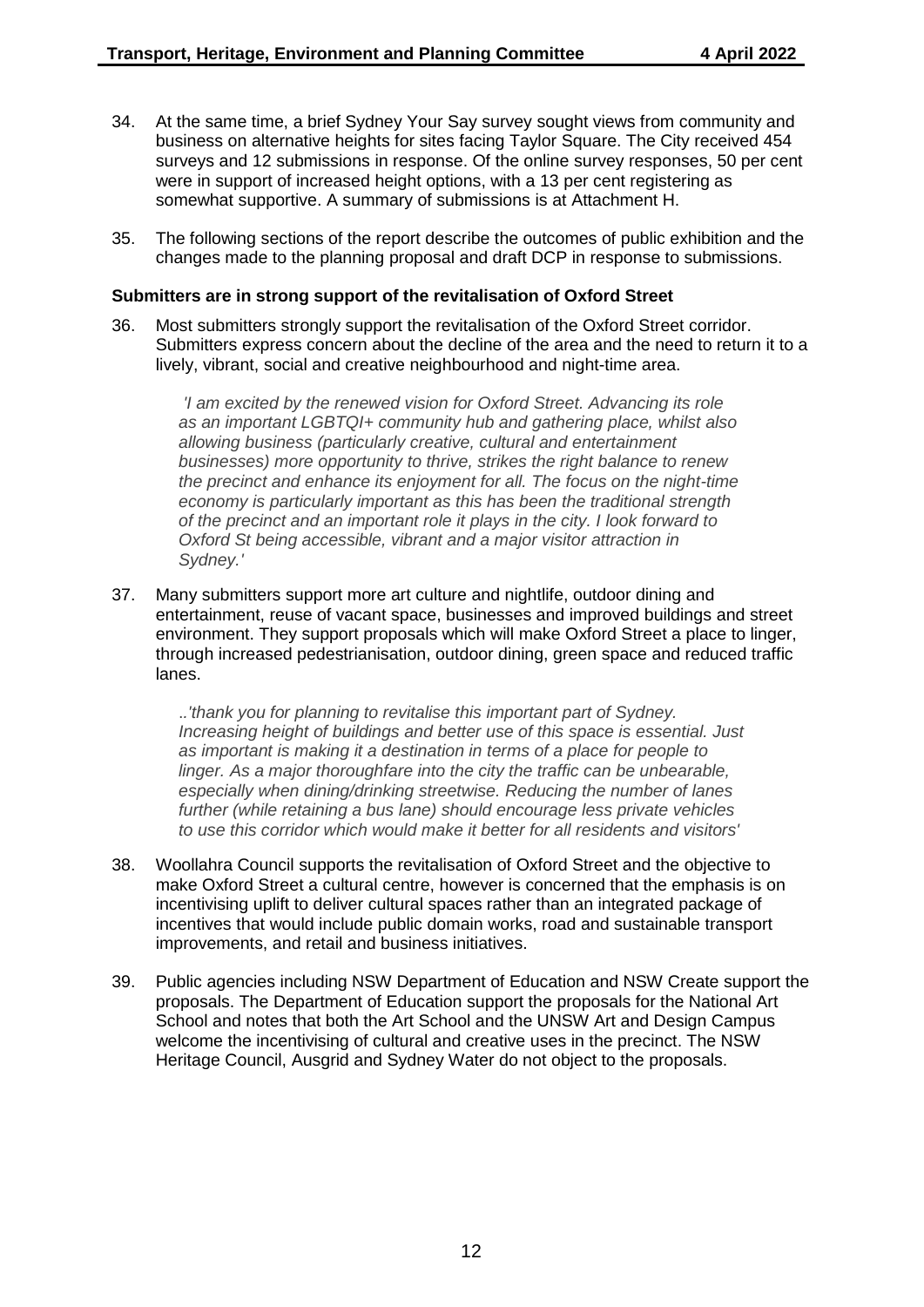- 34. At the same time, a brief Sydney Your Say survey sought views from community and business on alternative heights for sites facing Taylor Square. The City received 454 surveys and 12 submissions in response. Of the online survey responses, 50 per cent were in support of increased height options, with a 13 per cent registering as somewhat supportive. A summary of submissions is at Attachment H.
- 35. The following sections of the report describe the outcomes of public exhibition and the changes made to the planning proposal and draft DCP in response to submissions.

#### **Submitters are in strong support of the revitalisation of Oxford Street**

36. Most submitters strongly support the revitalisation of the Oxford Street corridor. Submitters express concern about the decline of the area and the need to return it to a lively, vibrant, social and creative neighbourhood and night-time area.

*'I am excited by the renewed vision for Oxford Street. Advancing its role as an important LGBTQI+ community hub and gathering place, whilst also allowing business (particularly creative, cultural and entertainment businesses) more opportunity to thrive, strikes the right balance to renew the precinct and enhance its enjoyment for all. The focus on the night-time economy is particularly important as this has been the traditional strength of the precinct and an important role it plays in the city. I look forward to Oxford St being accessible, vibrant and a major visitor attraction in Sydney.'*

37. Many submitters support more art culture and nightlife, outdoor dining and entertainment, reuse of vacant space, businesses and improved buildings and street environment. They support proposals which will make Oxford Street a place to linger, through increased pedestrianisation, outdoor dining, green space and reduced traffic lanes.

.*.'thank you for planning to revitalise this important part of Sydney. Increasing height of buildings and better use of this space is essential. Just as important is making it a destination in terms of a place for people to linger. As a major thoroughfare into the city the traffic can be unbearable, especially when dining/drinking streetwise. Reducing the number of lanes further (while retaining a bus lane) should encourage less private vehicles to use this corridor which would make it better for all residents and visitors'*

- 38. Woollahra Council supports the revitalisation of Oxford Street and the objective to make Oxford Street a cultural centre, however is concerned that the emphasis is on incentivising uplift to deliver cultural spaces rather than an integrated package of incentives that would include public domain works, road and sustainable transport improvements, and retail and business initiatives.
- 39. Public agencies including NSW Department of Education and NSW Create support the proposals. The Department of Education support the proposals for the National Art School and notes that both the Art School and the UNSW Art and Design Campus welcome the incentivising of cultural and creative uses in the precinct. The NSW Heritage Council, Ausgrid and Sydney Water do not object to the proposals.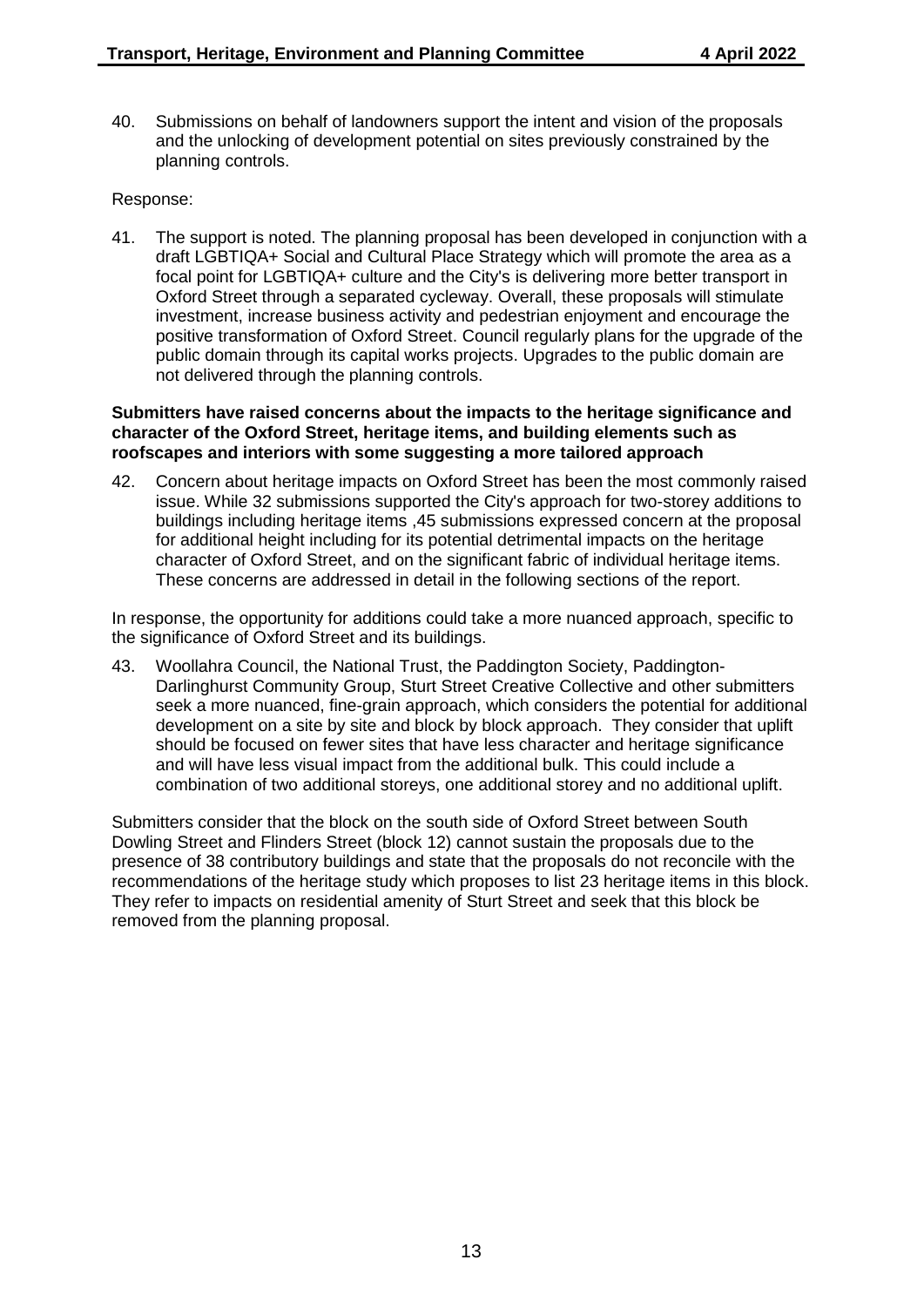40. Submissions on behalf of landowners support the intent and vision of the proposals and the unlocking of development potential on sites previously constrained by the planning controls.

#### Response:

41. The support is noted. The planning proposal has been developed in conjunction with a draft LGBTIQA+ Social and Cultural Place Strategy which will promote the area as a focal point for LGBTIQA+ culture and the City's is delivering more better transport in Oxford Street through a separated cycleway. Overall, these proposals will stimulate investment, increase business activity and pedestrian enjoyment and encourage the positive transformation of Oxford Street. Council regularly plans for the upgrade of the public domain through its capital works projects. Upgrades to the public domain are not delivered through the planning controls.

#### **Submitters have raised concerns about the impacts to the heritage significance and character of the Oxford Street, heritage items, and building elements such as roofscapes and interiors with some suggesting a more tailored approach**

42. Concern about heritage impacts on Oxford Street has been the most commonly raised issue. While 32 submissions supported the City's approach for two-storey additions to buildings including heritage items ,45 submissions expressed concern at the proposal for additional height including for its potential detrimental impacts on the heritage character of Oxford Street, and on the significant fabric of individual heritage items. These concerns are addressed in detail in the following sections of the report.

In response, the opportunity for additions could take a more nuanced approach, specific to the significance of Oxford Street and its buildings.

43. Woollahra Council, the National Trust, the Paddington Society, Paddington-Darlinghurst Community Group, Sturt Street Creative Collective and other submitters seek a more nuanced, fine-grain approach, which considers the potential for additional development on a site by site and block by block approach. They consider that uplift should be focused on fewer sites that have less character and heritage significance and will have less visual impact from the additional bulk. This could include a combination of two additional storeys, one additional storey and no additional uplift.

Submitters consider that the block on the south side of Oxford Street between South Dowling Street and Flinders Street (block 12) cannot sustain the proposals due to the presence of 38 contributory buildings and state that the proposals do not reconcile with the recommendations of the heritage study which proposes to list 23 heritage items in this block. They refer to impacts on residential amenity of Sturt Street and seek that this block be removed from the planning proposal.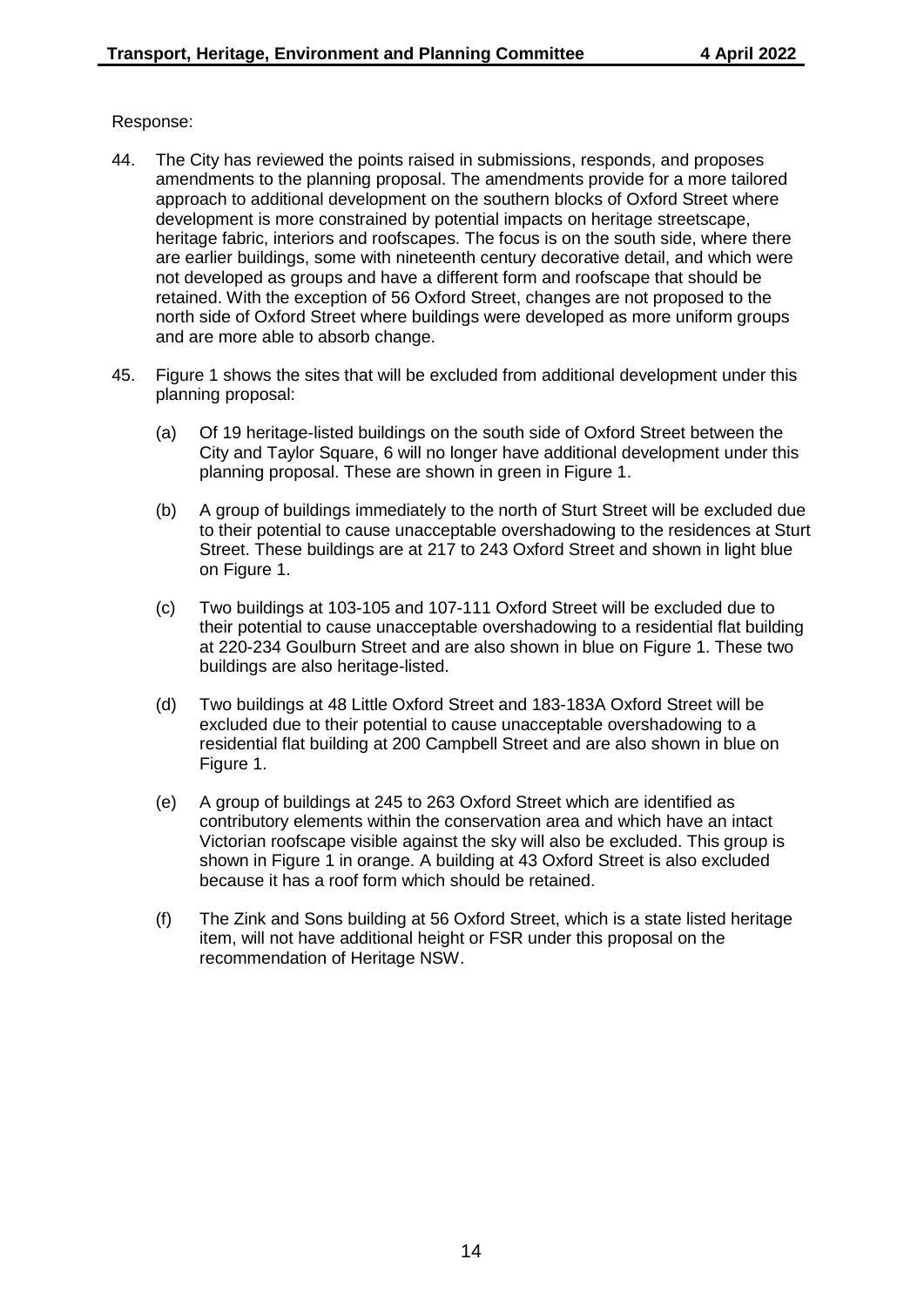- 44. The City has reviewed the points raised in submissions, responds, and proposes amendments to the planning proposal. The amendments provide for a more tailored approach to additional development on the southern blocks of Oxford Street where development is more constrained by potential impacts on heritage streetscape, heritage fabric, interiors and roofscapes. The focus is on the south side, where there are earlier buildings, some with nineteenth century decorative detail, and which were not developed as groups and have a different form and roofscape that should be retained. With the exception of 56 Oxford Street, changes are not proposed to the north side of Oxford Street where buildings were developed as more uniform groups and are more able to absorb change.
- 45. Figure 1 shows the sites that will be excluded from additional development under this planning proposal:
	- (a) Of 19 heritage-listed buildings on the south side of Oxford Street between the City and Taylor Square, 6 will no longer have additional development under this planning proposal. These are shown in green in Figure 1.
	- (b) A group of buildings immediately to the north of Sturt Street will be excluded due to their potential to cause unacceptable overshadowing to the residences at Sturt Street. These buildings are at 217 to 243 Oxford Street and shown in light blue on Figure 1.
	- (c) Two buildings at 103-105 and 107-111 Oxford Street will be excluded due to their potential to cause unacceptable overshadowing to a residential flat building at 220-234 Goulburn Street and are also shown in blue on Figure 1. These two buildings are also heritage-listed.
	- (d) Two buildings at 48 Little Oxford Street and 183-183A Oxford Street will be excluded due to their potential to cause unacceptable overshadowing to a residential flat building at 200 Campbell Street and are also shown in blue on Figure 1.
	- (e) A group of buildings at 245 to 263 Oxford Street which are identified as contributory elements within the conservation area and which have an intact Victorian roofscape visible against the sky will also be excluded. This group is shown in Figure 1 in orange. A building at 43 Oxford Street is also excluded because it has a roof form which should be retained.
	- (f) The Zink and Sons building at 56 Oxford Street, which is a state listed heritage item, will not have additional height or FSR under this proposal on the recommendation of Heritage NSW.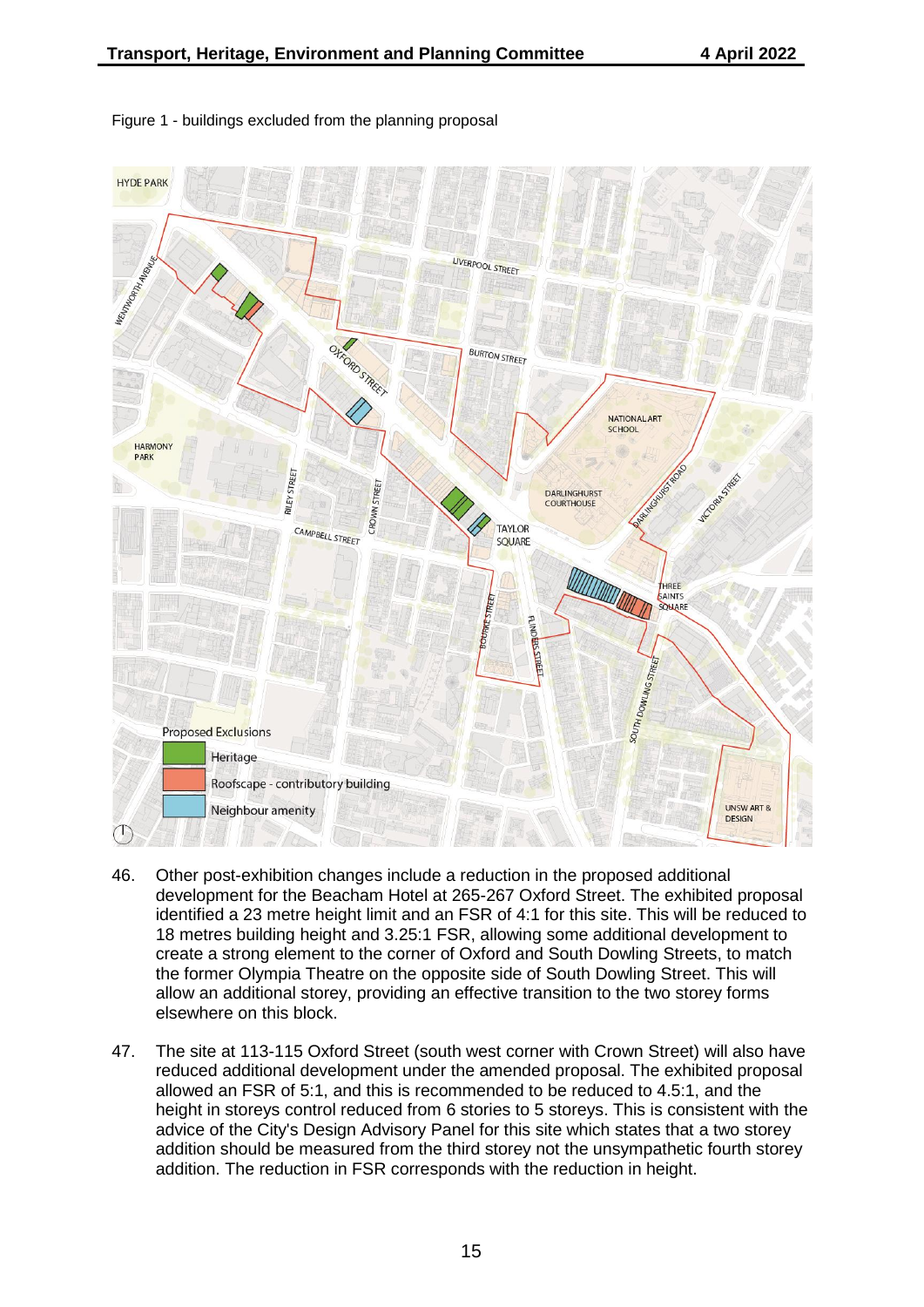

#### Figure 1 - buildings excluded from the planning proposal

- 46. Other post-exhibition changes include a reduction in the proposed additional development for the Beacham Hotel at 265-267 Oxford Street. The exhibited proposal identified a 23 metre height limit and an FSR of 4:1 for this site. This will be reduced to 18 metres building height and 3.25:1 FSR, allowing some additional development to create a strong element to the corner of Oxford and South Dowling Streets, to match the former Olympia Theatre on the opposite side of South Dowling Street. This will allow an additional storey, providing an effective transition to the two storey forms elsewhere on this block.
- 47. The site at 113-115 Oxford Street (south west corner with Crown Street) will also have reduced additional development under the amended proposal. The exhibited proposal allowed an FSR of 5:1, and this is recommended to be reduced to 4.5:1, and the height in storeys control reduced from 6 stories to 5 storeys. This is consistent with the advice of the City's Design Advisory Panel for this site which states that a two storey addition should be measured from the third storey not the unsympathetic fourth storey addition. The reduction in FSR corresponds with the reduction in height.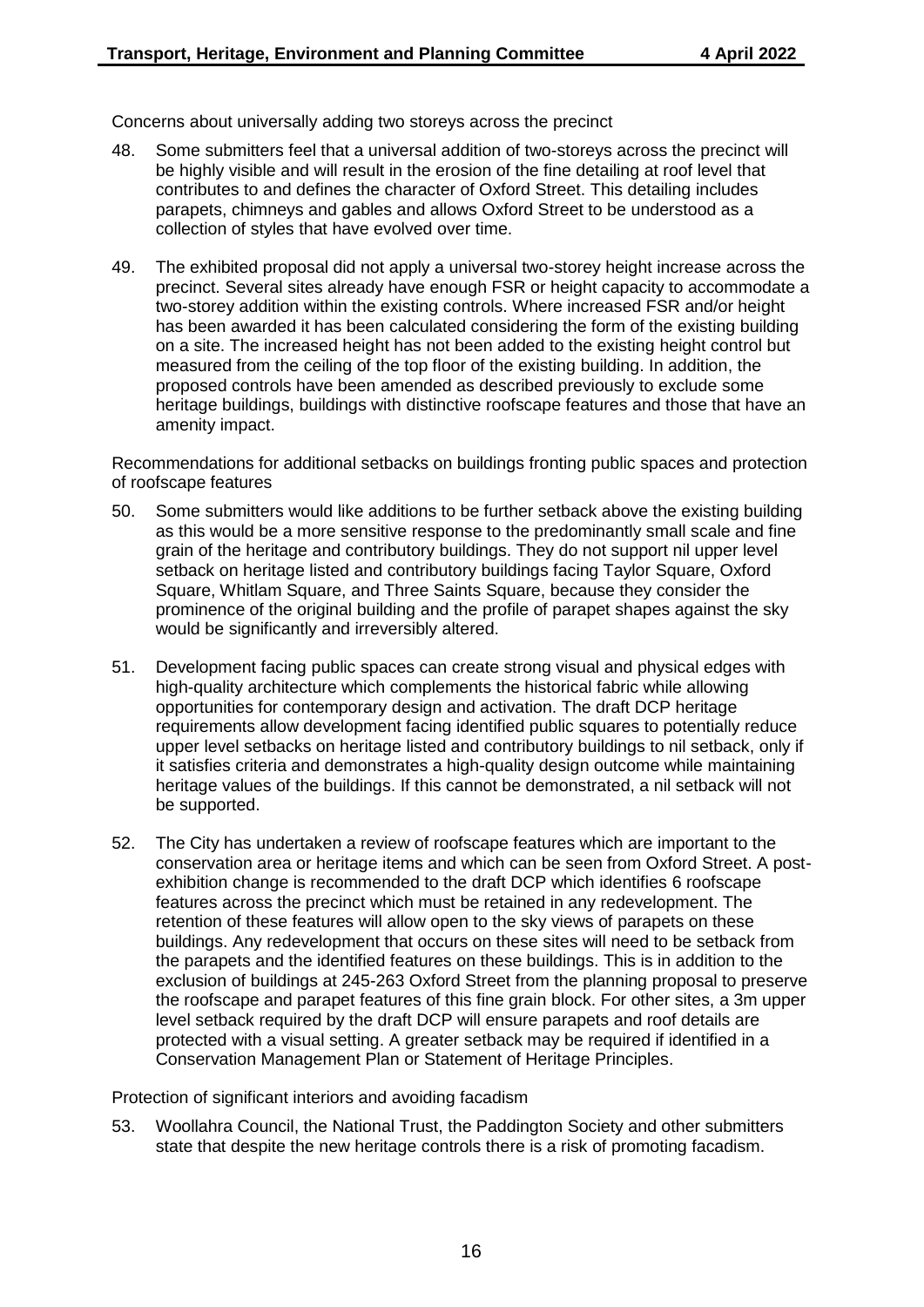Concerns about universally adding two storeys across the precinct

- 48. Some submitters feel that a universal addition of two-storeys across the precinct will be highly visible and will result in the erosion of the fine detailing at roof level that contributes to and defines the character of Oxford Street. This detailing includes parapets, chimneys and gables and allows Oxford Street to be understood as a collection of styles that have evolved over time.
- 49. The exhibited proposal did not apply a universal two-storey height increase across the precinct. Several sites already have enough FSR or height capacity to accommodate a two-storey addition within the existing controls. Where increased FSR and/or height has been awarded it has been calculated considering the form of the existing building on a site. The increased height has not been added to the existing height control but measured from the ceiling of the top floor of the existing building. In addition, the proposed controls have been amended as described previously to exclude some heritage buildings, buildings with distinctive roofscape features and those that have an amenity impact.

Recommendations for additional setbacks on buildings fronting public spaces and protection of roofscape features

- 50. Some submitters would like additions to be further setback above the existing building as this would be a more sensitive response to the predominantly small scale and fine grain of the heritage and contributory buildings. They do not support nil upper level setback on heritage listed and contributory buildings facing Taylor Square, Oxford Square, Whitlam Square, and Three Saints Square, because they consider the prominence of the original building and the profile of parapet shapes against the sky would be significantly and irreversibly altered.
- 51. Development facing public spaces can create strong visual and physical edges with high-quality architecture which complements the historical fabric while allowing opportunities for contemporary design and activation. The draft DCP heritage requirements allow development facing identified public squares to potentially reduce upper level setbacks on heritage listed and contributory buildings to nil setback, only if it satisfies criteria and demonstrates a high-quality design outcome while maintaining heritage values of the buildings. If this cannot be demonstrated, a nil setback will not be supported.
- 52. The City has undertaken a review of roofscape features which are important to the conservation area or heritage items and which can be seen from Oxford Street. A postexhibition change is recommended to the draft DCP which identifies 6 roofscape features across the precinct which must be retained in any redevelopment. The retention of these features will allow open to the sky views of parapets on these buildings. Any redevelopment that occurs on these sites will need to be setback from the parapets and the identified features on these buildings. This is in addition to the exclusion of buildings at 245-263 Oxford Street from the planning proposal to preserve the roofscape and parapet features of this fine grain block. For other sites, a 3m upper level setback required by the draft DCP will ensure parapets and roof details are protected with a visual setting. A greater setback may be required if identified in a Conservation Management Plan or Statement of Heritage Principles.

Protection of significant interiors and avoiding facadism

53. Woollahra Council, the National Trust, the Paddington Society and other submitters state that despite the new heritage controls there is a risk of promoting facadism.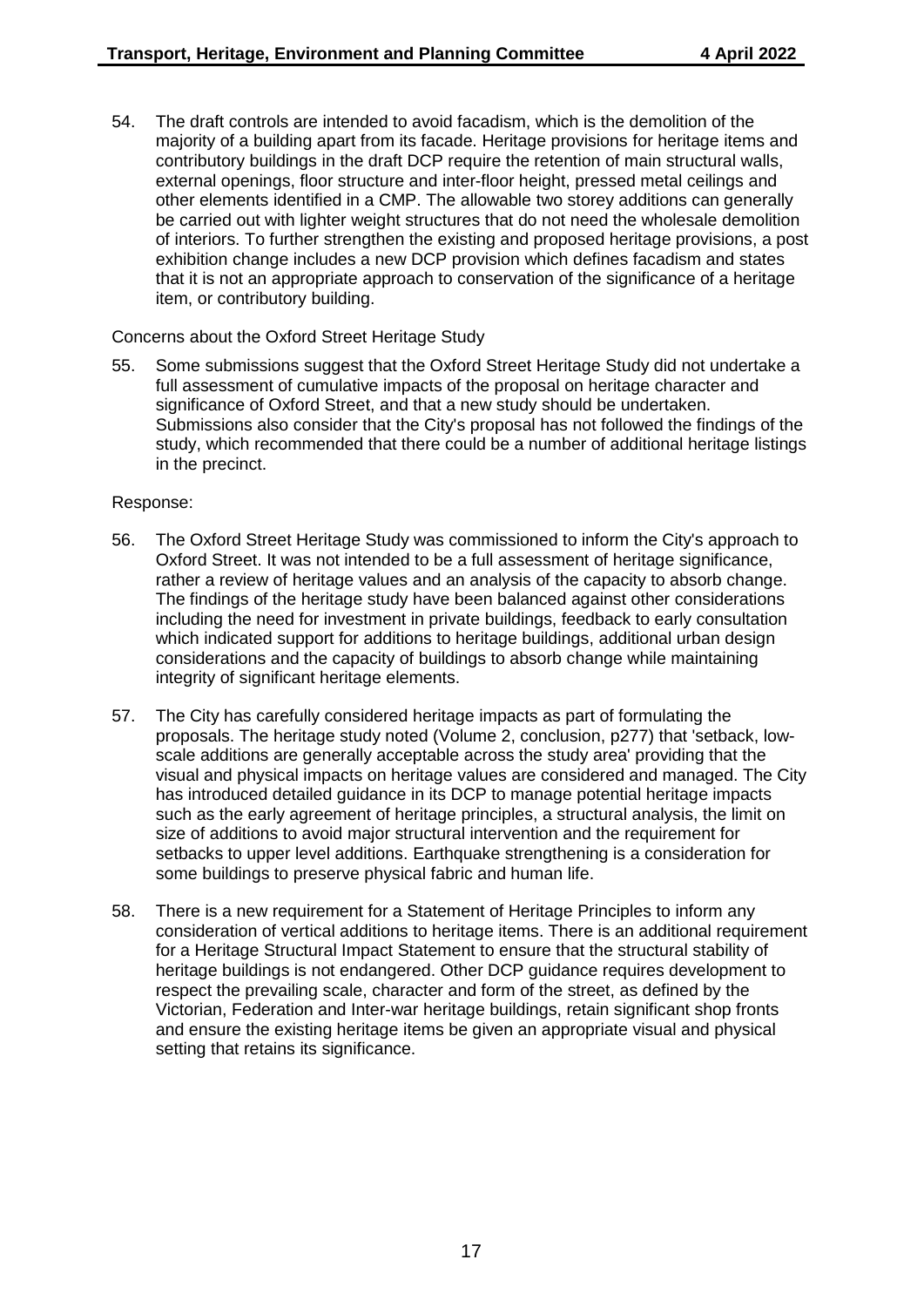54. The draft controls are intended to avoid facadism, which is the demolition of the majority of a building apart from its facade. Heritage provisions for heritage items and contributory buildings in the draft DCP require the retention of main structural walls, external openings, floor structure and inter-floor height, pressed metal ceilings and other elements identified in a CMP. The allowable two storey additions can generally be carried out with lighter weight structures that do not need the wholesale demolition of interiors. To further strengthen the existing and proposed heritage provisions, a post exhibition change includes a new DCP provision which defines facadism and states that it is not an appropriate approach to conservation of the significance of a heritage item, or contributory building.

Concerns about the Oxford Street Heritage Study

55. Some submissions suggest that the Oxford Street Heritage Study did not undertake a full assessment of cumulative impacts of the proposal on heritage character and significance of Oxford Street, and that a new study should be undertaken. Submissions also consider that the City's proposal has not followed the findings of the study, which recommended that there could be a number of additional heritage listings in the precinct.

- 56. The Oxford Street Heritage Study was commissioned to inform the City's approach to Oxford Street. It was not intended to be a full assessment of heritage significance, rather a review of heritage values and an analysis of the capacity to absorb change. The findings of the heritage study have been balanced against other considerations including the need for investment in private buildings, feedback to early consultation which indicated support for additions to heritage buildings, additional urban design considerations and the capacity of buildings to absorb change while maintaining integrity of significant heritage elements.
- 57. The City has carefully considered heritage impacts as part of formulating the proposals. The heritage study noted (Volume 2, conclusion, p277) that 'setback, lowscale additions are generally acceptable across the study area' providing that the visual and physical impacts on heritage values are considered and managed. The City has introduced detailed guidance in its DCP to manage potential heritage impacts such as the early agreement of heritage principles, a structural analysis, the limit on size of additions to avoid major structural intervention and the requirement for setbacks to upper level additions. Earthquake strengthening is a consideration for some buildings to preserve physical fabric and human life.
- 58. There is a new requirement for a Statement of Heritage Principles to inform any consideration of vertical additions to heritage items. There is an additional requirement for a Heritage Structural Impact Statement to ensure that the structural stability of heritage buildings is not endangered. Other DCP guidance requires development to respect the prevailing scale, character and form of the street, as defined by the Victorian, Federation and Inter-war heritage buildings, retain significant shop fronts and ensure the existing heritage items be given an appropriate visual and physical setting that retains its significance.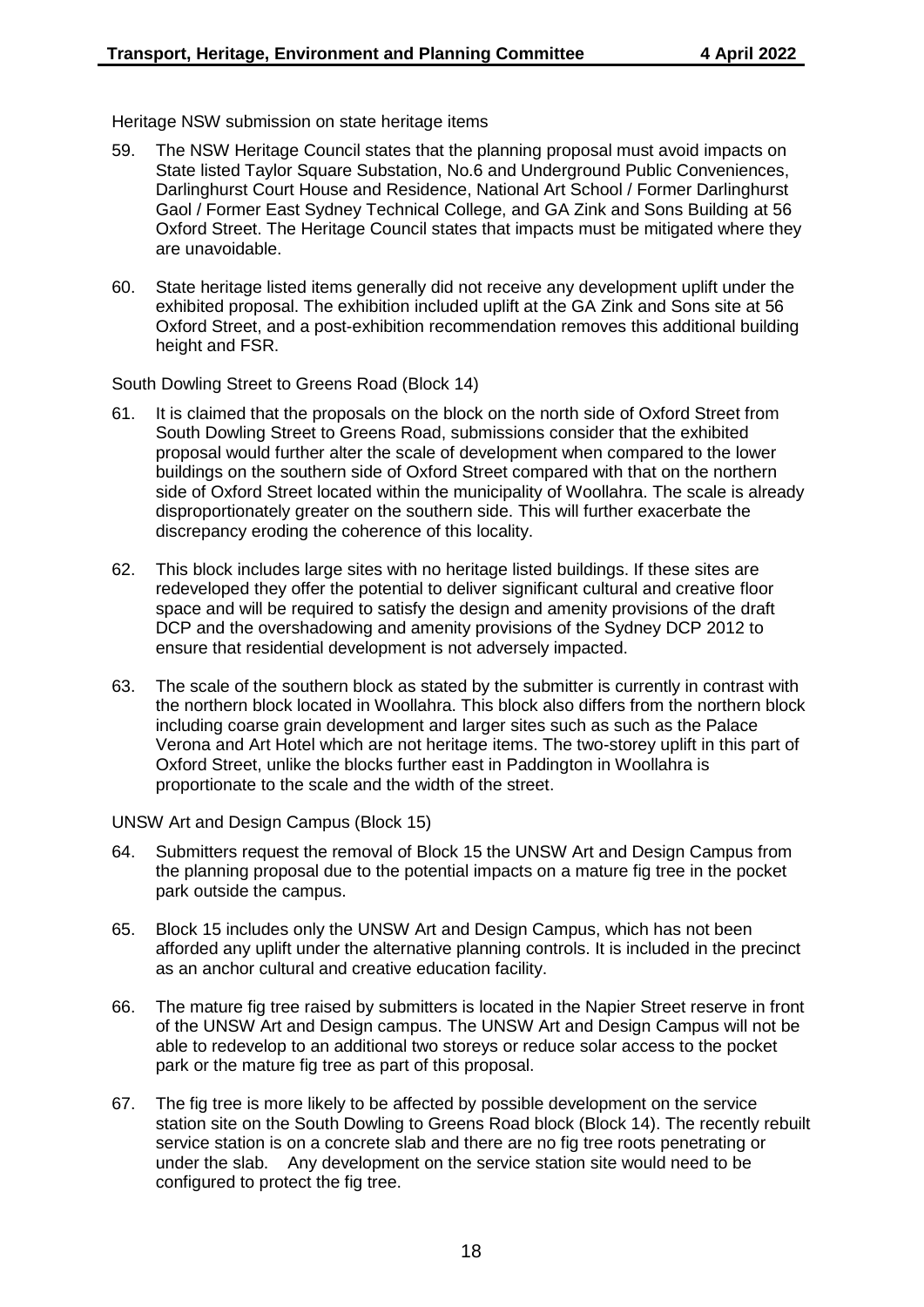Heritage NSW submission on state heritage items

- 59. The NSW Heritage Council states that the planning proposal must avoid impacts on State listed Taylor Square Substation, No.6 and Underground Public Conveniences, Darlinghurst Court House and Residence, National Art School / Former Darlinghurst Gaol / Former East Sydney Technical College, and GA Zink and Sons Building at 56 Oxford Street. The Heritage Council states that impacts must be mitigated where they are unavoidable.
- 60. State heritage listed items generally did not receive any development uplift under the exhibited proposal. The exhibition included uplift at the GA Zink and Sons site at 56 Oxford Street, and a post-exhibition recommendation removes this additional building height and FSR.

South Dowling Street to Greens Road (Block 14)

- 61. It is claimed that the proposals on the block on the north side of Oxford Street from South Dowling Street to Greens Road, submissions consider that the exhibited proposal would further alter the scale of development when compared to the lower buildings on the southern side of Oxford Street compared with that on the northern side of Oxford Street located within the municipality of Woollahra. The scale is already disproportionately greater on the southern side. This will further exacerbate the discrepancy eroding the coherence of this locality.
- 62. This block includes large sites with no heritage listed buildings. If these sites are redeveloped they offer the potential to deliver significant cultural and creative floor space and will be required to satisfy the design and amenity provisions of the draft DCP and the overshadowing and amenity provisions of the Sydney DCP 2012 to ensure that residential development is not adversely impacted.
- 63. The scale of the southern block as stated by the submitter is currently in contrast with the northern block located in Woollahra. This block also differs from the northern block including coarse grain development and larger sites such as such as the Palace Verona and Art Hotel which are not heritage items. The two-storey uplift in this part of Oxford Street, unlike the blocks further east in Paddington in Woollahra is proportionate to the scale and the width of the street.

UNSW Art and Design Campus (Block 15)

- 64. Submitters request the removal of Block 15 the UNSW Art and Design Campus from the planning proposal due to the potential impacts on a mature fig tree in the pocket park outside the campus.
- 65. Block 15 includes only the UNSW Art and Design Campus, which has not been afforded any uplift under the alternative planning controls. It is included in the precinct as an anchor cultural and creative education facility.
- 66. The mature fig tree raised by submitters is located in the Napier Street reserve in front of the UNSW Art and Design campus. The UNSW Art and Design Campus will not be able to redevelop to an additional two storeys or reduce solar access to the pocket park or the mature fig tree as part of this proposal.
- 67. The fig tree is more likely to be affected by possible development on the service station site on the South Dowling to Greens Road block (Block 14). The recently rebuilt service station is on a concrete slab and there are no fig tree roots penetrating or under the slab. Any development on the service station site would need to be configured to protect the fig tree.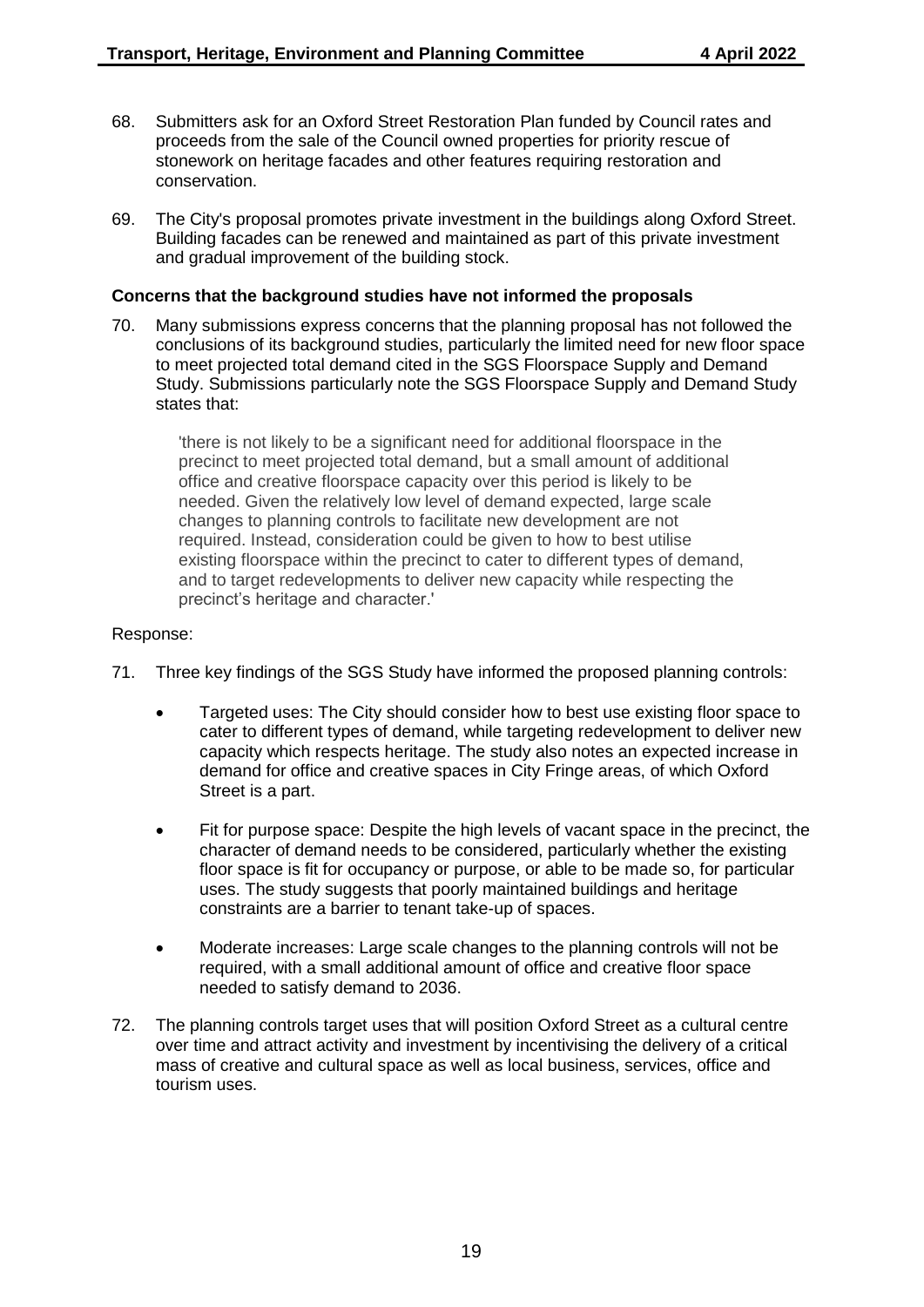- 68. Submitters ask for an Oxford Street Restoration Plan funded by Council rates and proceeds from the sale of the Council owned properties for priority rescue of stonework on heritage facades and other features requiring restoration and conservation.
- 69. The City's proposal promotes private investment in the buildings along Oxford Street. Building facades can be renewed and maintained as part of this private investment and gradual improvement of the building stock.

#### **Concerns that the background studies have not informed the proposals**

70. Many submissions express concerns that the planning proposal has not followed the conclusions of its background studies, particularly the limited need for new floor space to meet projected total demand cited in the SGS Floorspace Supply and Demand Study. Submissions particularly note the SGS Floorspace Supply and Demand Study states that:

'there is not likely to be a significant need for additional floorspace in the precinct to meet projected total demand, but a small amount of additional office and creative floorspace capacity over this period is likely to be needed. Given the relatively low level of demand expected, large scale changes to planning controls to facilitate new development are not required. Instead, consideration could be given to how to best utilise existing floorspace within the precinct to cater to different types of demand, and to target redevelopments to deliver new capacity while respecting the precinct's heritage and character.'

- 71. Three key findings of the SGS Study have informed the proposed planning controls:
	- Targeted uses: The City should consider how to best use existing floor space to cater to different types of demand, while targeting redevelopment to deliver new capacity which respects heritage. The study also notes an expected increase in demand for office and creative spaces in City Fringe areas, of which Oxford Street is a part.
	- Fit for purpose space: Despite the high levels of vacant space in the precinct, the character of demand needs to be considered, particularly whether the existing floor space is fit for occupancy or purpose, or able to be made so, for particular uses. The study suggests that poorly maintained buildings and heritage constraints are a barrier to tenant take-up of spaces.
	- Moderate increases: Large scale changes to the planning controls will not be required, with a small additional amount of office and creative floor space needed to satisfy demand to 2036.
- 72. The planning controls target uses that will position Oxford Street as a cultural centre over time and attract activity and investment by incentivising the delivery of a critical mass of creative and cultural space as well as local business, services, office and tourism uses.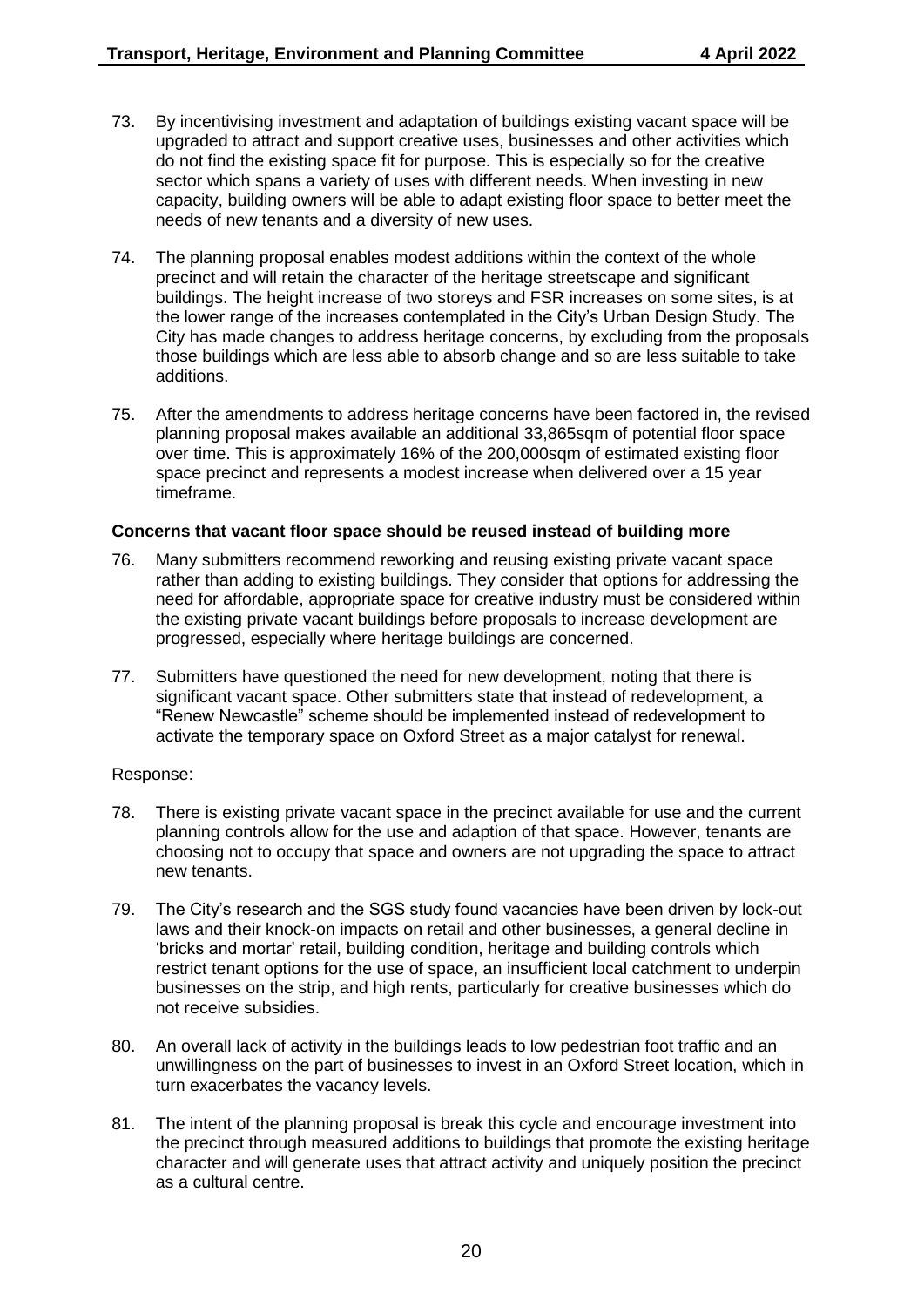- 73. By incentivising investment and adaptation of buildings existing vacant space will be upgraded to attract and support creative uses, businesses and other activities which do not find the existing space fit for purpose. This is especially so for the creative sector which spans a variety of uses with different needs. When investing in new capacity, building owners will be able to adapt existing floor space to better meet the needs of new tenants and a diversity of new uses.
- 74. The planning proposal enables modest additions within the context of the whole precinct and will retain the character of the heritage streetscape and significant buildings. The height increase of two storeys and FSR increases on some sites, is at the lower range of the increases contemplated in the City's Urban Design Study. The City has made changes to address heritage concerns, by excluding from the proposals those buildings which are less able to absorb change and so are less suitable to take additions.
- 75. After the amendments to address heritage concerns have been factored in, the revised planning proposal makes available an additional 33,865sqm of potential floor space over time. This is approximately 16% of the 200,000sqm of estimated existing floor space precinct and represents a modest increase when delivered over a 15 year timeframe.

#### **Concerns that vacant floor space should be reused instead of building more**

- 76. Many submitters recommend reworking and reusing existing private vacant space rather than adding to existing buildings. They consider that options for addressing the need for affordable, appropriate space for creative industry must be considered within the existing private vacant buildings before proposals to increase development are progressed, especially where heritage buildings are concerned.
- 77. Submitters have questioned the need for new development, noting that there is significant vacant space. Other submitters state that instead of redevelopment, a "Renew Newcastle" scheme should be implemented instead of redevelopment to activate the temporary space on Oxford Street as a major catalyst for renewal.

- 78. There is existing private vacant space in the precinct available for use and the current planning controls allow for the use and adaption of that space. However, tenants are choosing not to occupy that space and owners are not upgrading the space to attract new tenants.
- 79. The City's research and the SGS study found vacancies have been driven by lock-out laws and their knock-on impacts on retail and other businesses, a general decline in 'bricks and mortar' retail, building condition, heritage and building controls which restrict tenant options for the use of space, an insufficient local catchment to underpin businesses on the strip, and high rents, particularly for creative businesses which do not receive subsidies.
- 80. An overall lack of activity in the buildings leads to low pedestrian foot traffic and an unwillingness on the part of businesses to invest in an Oxford Street location, which in turn exacerbates the vacancy levels.
- 81. The intent of the planning proposal is break this cycle and encourage investment into the precinct through measured additions to buildings that promote the existing heritage character and will generate uses that attract activity and uniquely position the precinct as a cultural centre.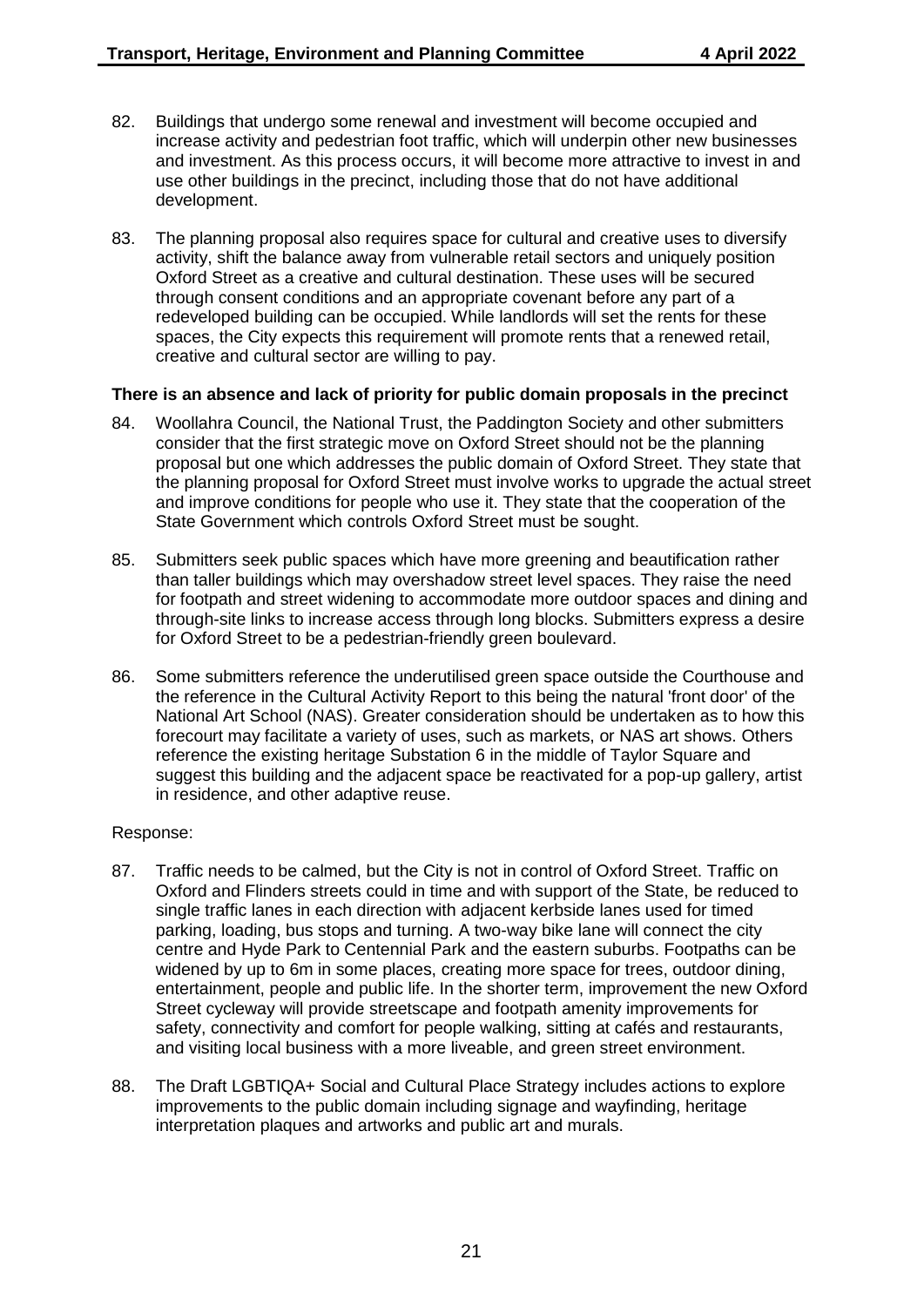- 82. Buildings that undergo some renewal and investment will become occupied and increase activity and pedestrian foot traffic, which will underpin other new businesses and investment. As this process occurs, it will become more attractive to invest in and use other buildings in the precinct, including those that do not have additional development.
- 83. The planning proposal also requires space for cultural and creative uses to diversify activity, shift the balance away from vulnerable retail sectors and uniquely position Oxford Street as a creative and cultural destination. These uses will be secured through consent conditions and an appropriate covenant before any part of a redeveloped building can be occupied. While landlords will set the rents for these spaces, the City expects this requirement will promote rents that a renewed retail, creative and cultural sector are willing to pay.

#### **There is an absence and lack of priority for public domain proposals in the precinct**

- 84. Woollahra Council, the National Trust, the Paddington Society and other submitters consider that the first strategic move on Oxford Street should not be the planning proposal but one which addresses the public domain of Oxford Street. They state that the planning proposal for Oxford Street must involve works to upgrade the actual street and improve conditions for people who use it. They state that the cooperation of the State Government which controls Oxford Street must be sought.
- 85. Submitters seek public spaces which have more greening and beautification rather than taller buildings which may overshadow street level spaces. They raise the need for footpath and street widening to accommodate more outdoor spaces and dining and through-site links to increase access through long blocks. Submitters express a desire for Oxford Street to be a pedestrian-friendly green boulevard.
- 86. Some submitters reference the underutilised green space outside the Courthouse and the reference in the Cultural Activity Report to this being the natural 'front door' of the National Art School (NAS). Greater consideration should be undertaken as to how this forecourt may facilitate a variety of uses, such as markets, or NAS art shows. Others reference the existing heritage Substation 6 in the middle of Taylor Square and suggest this building and the adjacent space be reactivated for a pop-up gallery, artist in residence, and other adaptive reuse.

- 87. Traffic needs to be calmed, but the City is not in control of Oxford Street. Traffic on Oxford and Flinders streets could in time and with support of the State, be reduced to single traffic lanes in each direction with adjacent kerbside lanes used for timed parking, loading, bus stops and turning. A two-way bike lane will connect the city centre and Hyde Park to Centennial Park and the eastern suburbs. Footpaths can be widened by up to 6m in some places, creating more space for trees, outdoor dining, entertainment, people and public life. In the shorter term, improvement the new Oxford Street cycleway will provide streetscape and footpath amenity improvements for safety, connectivity and comfort for people walking, sitting at cafés and restaurants, and visiting local business with a more liveable, and green street environment.
- 88. The Draft LGBTIQA+ Social and Cultural Place Strategy includes actions to explore improvements to the public domain including signage and wayfinding, heritage interpretation plaques and artworks and public art and murals.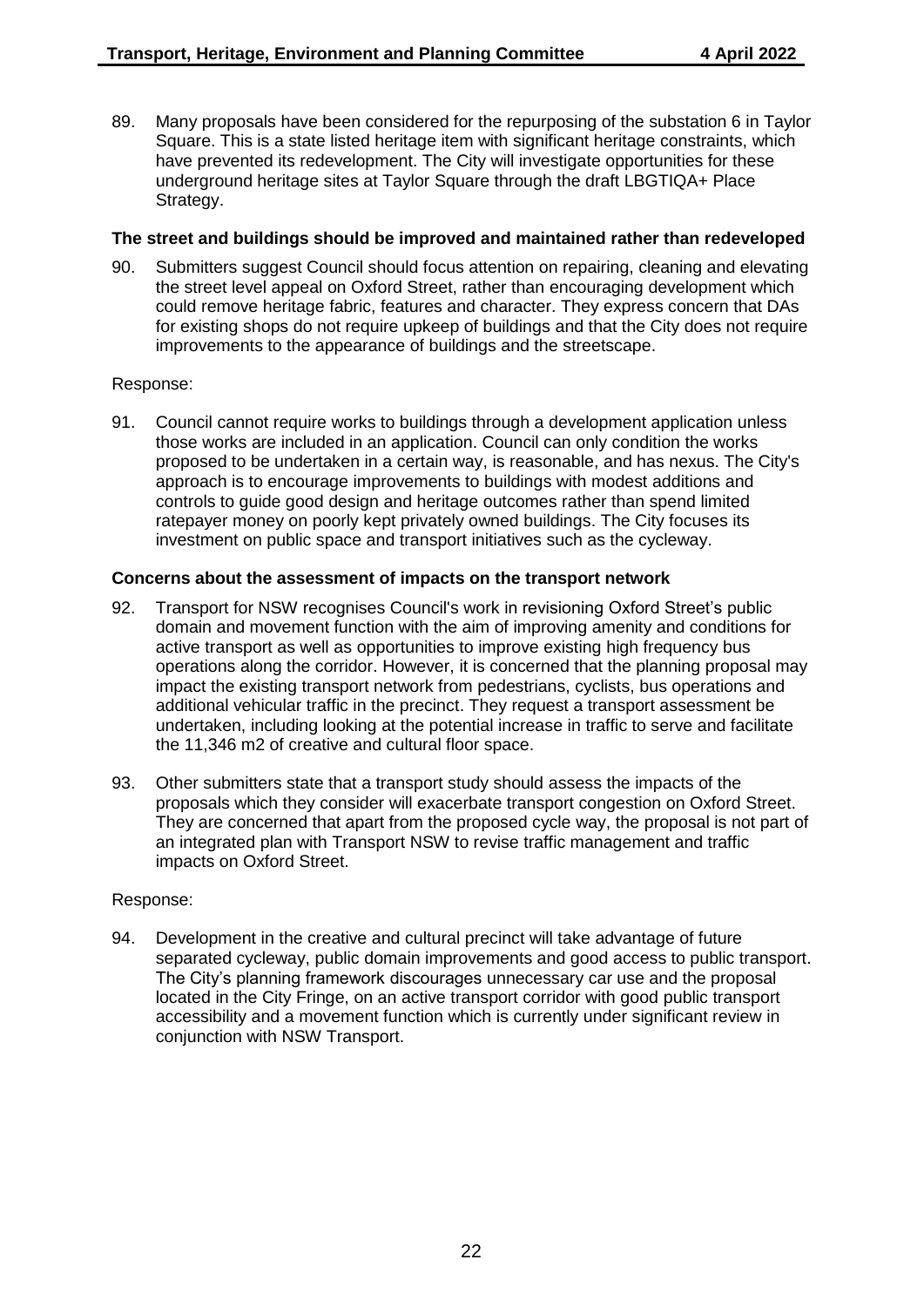89. Many proposals have been considered for the repurposing of the substation 6 in Taylor Square. This is a state listed heritage item with significant heritage constraints, which have prevented its redevelopment. The City will investigate opportunities for these underground heritage sites at Taylor Square through the draft LBGTIQA+ Place Strategy.

## **The street and buildings should be improved and maintained rather than redeveloped**

90. Submitters suggest Council should focus attention on repairing, cleaning and elevating the street level appeal on Oxford Street, rather than encouraging development which could remove heritage fabric, features and character. They express concern that DAs for existing shops do not require upkeep of buildings and that the City does not require improvements to the appearance of buildings and the streetscape.

#### Response:

91. Council cannot require works to buildings through a development application unless those works are included in an application. Council can only condition the works proposed to be undertaken in a certain way, is reasonable, and has nexus. The City's approach is to encourage improvements to buildings with modest additions and controls to guide good design and heritage outcomes rather than spend limited ratepayer money on poorly kept privately owned buildings. The City focuses its investment on public space and transport initiatives such as the cycleway.

## **Concerns about the assessment of impacts on the transport network**

- 92. Transport for NSW recognises Council's work in revisioning Oxford Street's public domain and movement function with the aim of improving amenity and conditions for active transport as well as opportunities to improve existing high frequency bus operations along the corridor. However, it is concerned that the planning proposal may impact the existing transport network from pedestrians, cyclists, bus operations and additional vehicular traffic in the precinct. They request a transport assessment be undertaken, including looking at the potential increase in traffic to serve and facilitate the 11,346 m2 of creative and cultural floor space.
- 93. Other submitters state that a transport study should assess the impacts of the proposals which they consider will exacerbate transport congestion on Oxford Street. They are concerned that apart from the proposed cycle way, the proposal is not part of an integrated plan with Transport NSW to revise traffic management and traffic impacts on Oxford Street.

#### Response:

94. Development in the creative and cultural precinct will take advantage of future separated cycleway, public domain improvements and good access to public transport. The City's planning framework discourages unnecessary car use and the proposal located in the City Fringe, on an active transport corridor with good public transport accessibility and a movement function which is currently under significant review in conjunction with NSW Transport.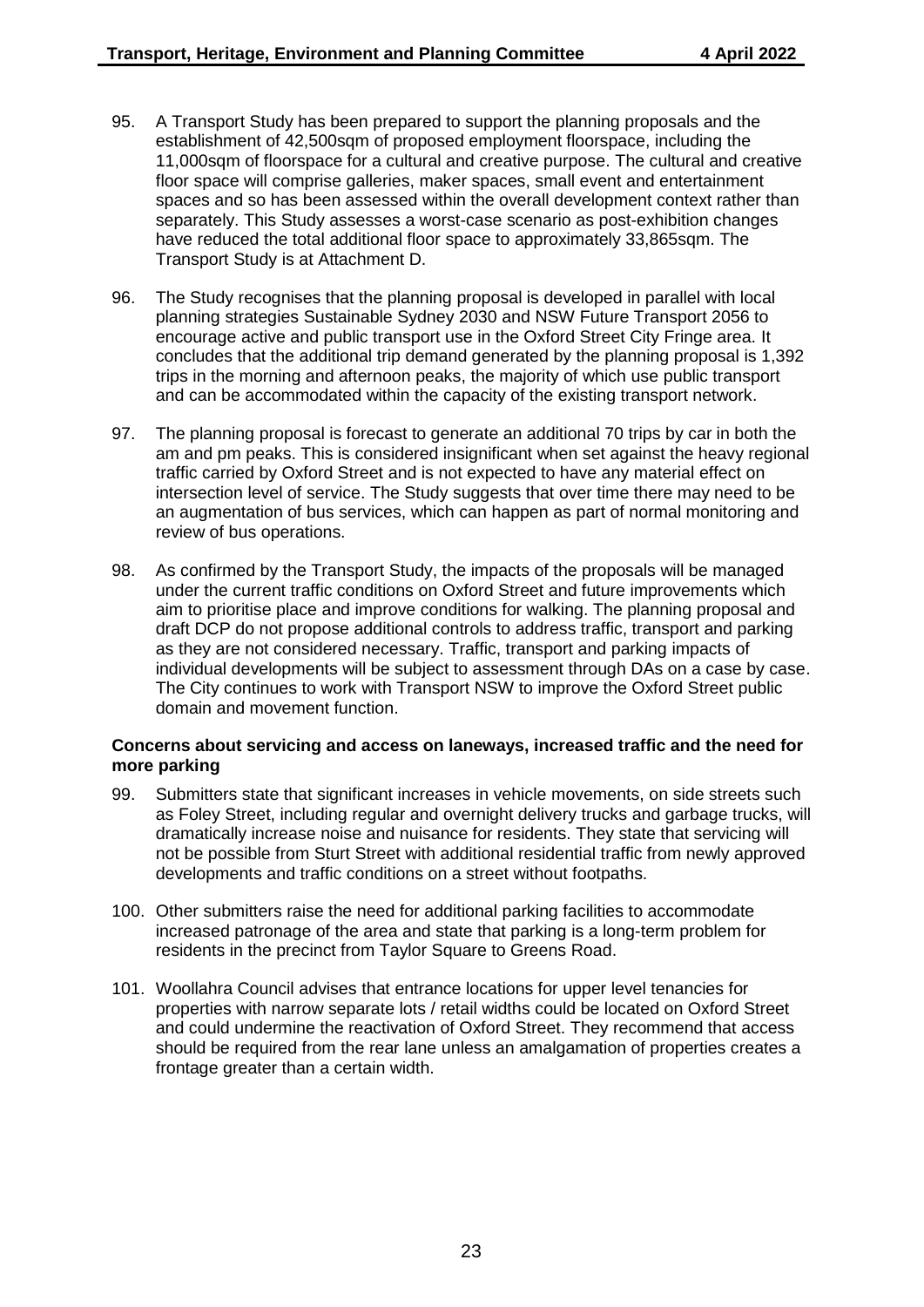- 95. A Transport Study has been prepared to support the planning proposals and the establishment of 42,500sqm of proposed employment floorspace, including the 11,000sqm of floorspace for a cultural and creative purpose. The cultural and creative floor space will comprise galleries, maker spaces, small event and entertainment spaces and so has been assessed within the overall development context rather than separately. This Study assesses a worst-case scenario as post-exhibition changes have reduced the total additional floor space to approximately 33,865sqm. The Transport Study is at Attachment D.
- 96. The Study recognises that the planning proposal is developed in parallel with local planning strategies Sustainable Sydney 2030 and NSW Future Transport 2056 to encourage active and public transport use in the Oxford Street City Fringe area. It concludes that the additional trip demand generated by the planning proposal is 1,392 trips in the morning and afternoon peaks, the majority of which use public transport and can be accommodated within the capacity of the existing transport network.
- 97. The planning proposal is forecast to generate an additional 70 trips by car in both the am and pm peaks. This is considered insignificant when set against the heavy regional traffic carried by Oxford Street and is not expected to have any material effect on intersection level of service. The Study suggests that over time there may need to be an augmentation of bus services, which can happen as part of normal monitoring and review of bus operations.
- 98. As confirmed by the Transport Study, the impacts of the proposals will be managed under the current traffic conditions on Oxford Street and future improvements which aim to prioritise place and improve conditions for walking. The planning proposal and draft DCP do not propose additional controls to address traffic, transport and parking as they are not considered necessary. Traffic, transport and parking impacts of individual developments will be subject to assessment through DAs on a case by case. The City continues to work with Transport NSW to improve the Oxford Street public domain and movement function.

#### **Concerns about servicing and access on laneways, increased traffic and the need for more parking**

- 99. Submitters state that significant increases in vehicle movements, on side streets such as Foley Street, including regular and overnight delivery trucks and garbage trucks, will dramatically increase noise and nuisance for residents. They state that servicing will not be possible from Sturt Street with additional residential traffic from newly approved developments and traffic conditions on a street without footpaths.
- 100. Other submitters raise the need for additional parking facilities to accommodate increased patronage of the area and state that parking is a long-term problem for residents in the precinct from Taylor Square to Greens Road.
- 101. Woollahra Council advises that entrance locations for upper level tenancies for properties with narrow separate lots / retail widths could be located on Oxford Street and could undermine the reactivation of Oxford Street. They recommend that access should be required from the rear lane unless an amalgamation of properties creates a frontage greater than a certain width.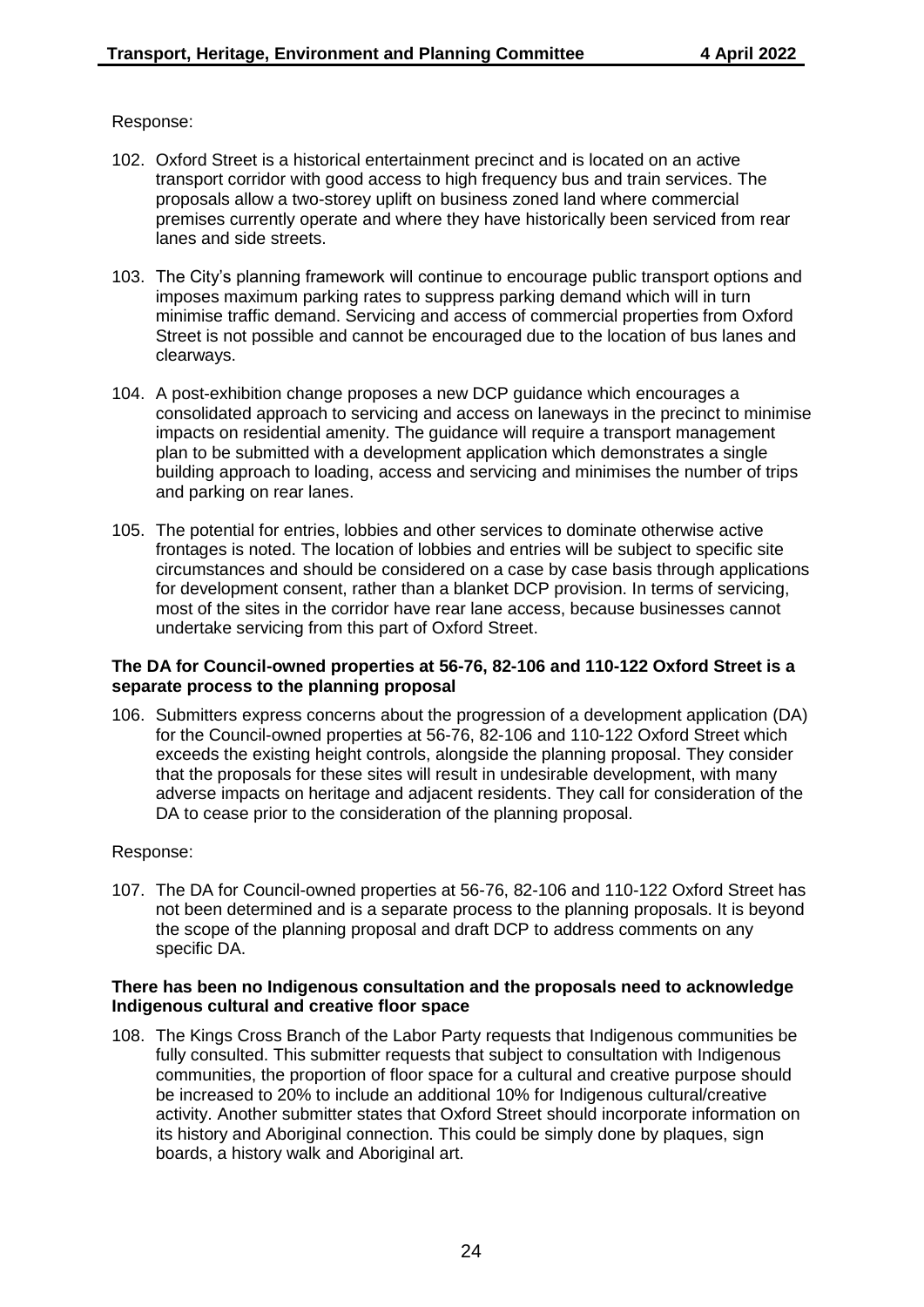#### Response:

- 102. Oxford Street is a historical entertainment precinct and is located on an active transport corridor with good access to high frequency bus and train services. The proposals allow a two-storey uplift on business zoned land where commercial premises currently operate and where they have historically been serviced from rear lanes and side streets.
- 103. The City's planning framework will continue to encourage public transport options and imposes maximum parking rates to suppress parking demand which will in turn minimise traffic demand. Servicing and access of commercial properties from Oxford Street is not possible and cannot be encouraged due to the location of bus lanes and clearways.
- 104. A post-exhibition change proposes a new DCP guidance which encourages a consolidated approach to servicing and access on laneways in the precinct to minimise impacts on residential amenity. The guidance will require a transport management plan to be submitted with a development application which demonstrates a single building approach to loading, access and servicing and minimises the number of trips and parking on rear lanes.
- 105. The potential for entries, lobbies and other services to dominate otherwise active frontages is noted. The location of lobbies and entries will be subject to specific site circumstances and should be considered on a case by case basis through applications for development consent, rather than a blanket DCP provision. In terms of servicing, most of the sites in the corridor have rear lane access, because businesses cannot undertake servicing from this part of Oxford Street.

#### **The DA for Council-owned properties at 56-76, 82-106 and 110-122 Oxford Street is a separate process to the planning proposal**

106. Submitters express concerns about the progression of a development application (DA) for the Council-owned properties at 56-76, 82-106 and 110-122 Oxford Street which exceeds the existing height controls, alongside the planning proposal. They consider that the proposals for these sites will result in undesirable development, with many adverse impacts on heritage and adjacent residents. They call for consideration of the DA to cease prior to the consideration of the planning proposal.

#### Response:

107. The DA for Council-owned properties at 56-76, 82-106 and 110-122 Oxford Street has not been determined and is a separate process to the planning proposals. It is beyond the scope of the planning proposal and draft DCP to address comments on any specific DA.

#### **There has been no Indigenous consultation and the proposals need to acknowledge Indigenous cultural and creative floor space**

108. The Kings Cross Branch of the Labor Party requests that Indigenous communities be fully consulted. This submitter requests that subject to consultation with Indigenous communities, the proportion of floor space for a cultural and creative purpose should be increased to 20% to include an additional 10% for Indigenous cultural/creative activity. Another submitter states that Oxford Street should incorporate information on its history and Aboriginal connection. This could be simply done by plaques, sign boards, a history walk and Aboriginal art.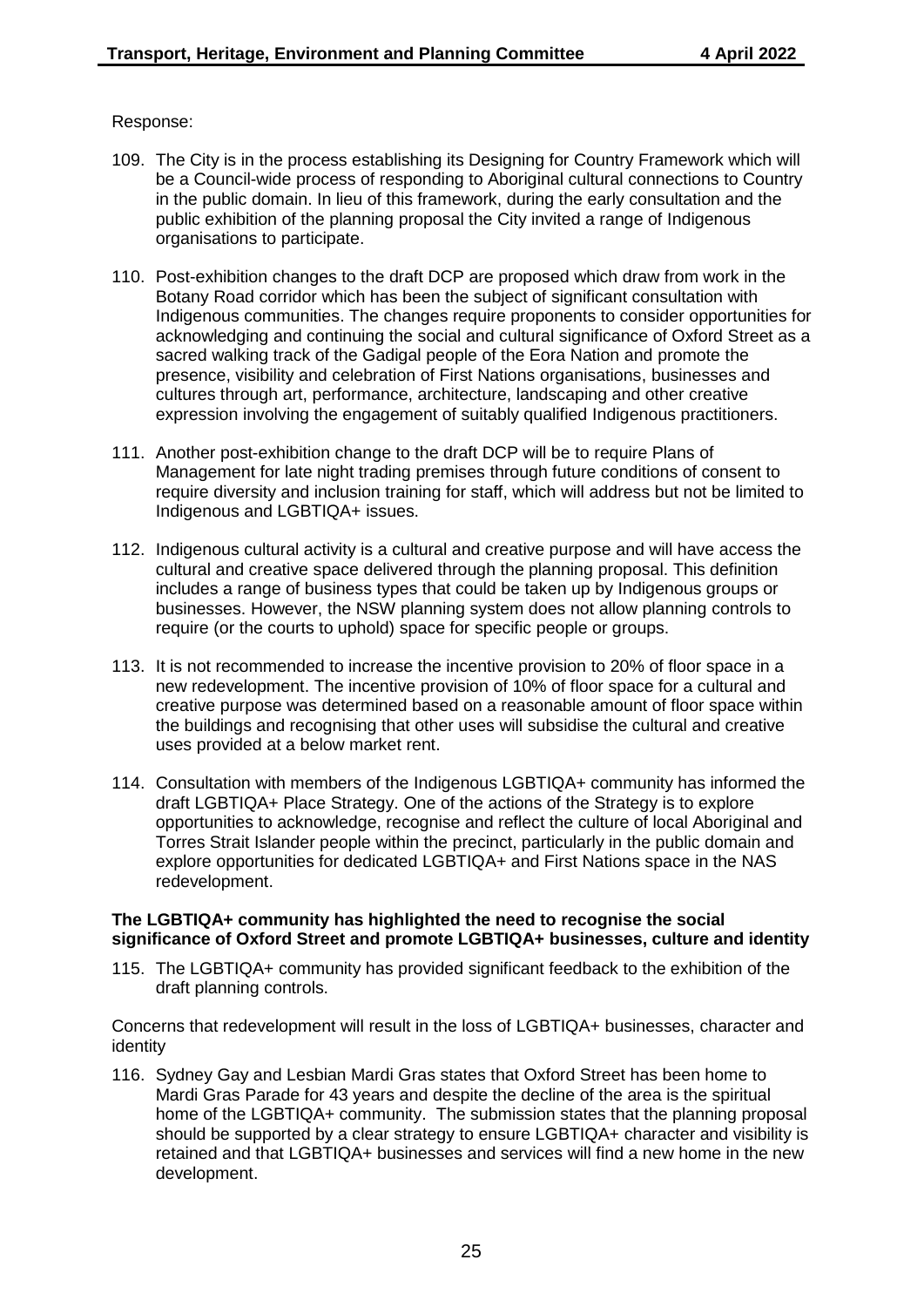#### Response:

- 109. The City is in the process establishing its Designing for Country Framework which will be a Council-wide process of responding to Aboriginal cultural connections to Country in the public domain. In lieu of this framework, during the early consultation and the public exhibition of the planning proposal the City invited a range of Indigenous organisations to participate.
- 110. Post-exhibition changes to the draft DCP are proposed which draw from work in the Botany Road corridor which has been the subject of significant consultation with Indigenous communities. The changes require proponents to consider opportunities for acknowledging and continuing the social and cultural significance of Oxford Street as a sacred walking track of the Gadigal people of the Eora Nation and promote the presence, visibility and celebration of First Nations organisations, businesses and cultures through art, performance, architecture, landscaping and other creative expression involving the engagement of suitably qualified Indigenous practitioners.
- 111. Another post-exhibition change to the draft DCP will be to require Plans of Management for late night trading premises through future conditions of consent to require diversity and inclusion training for staff, which will address but not be limited to Indigenous and LGBTIQA+ issues.
- 112. Indigenous cultural activity is a cultural and creative purpose and will have access the cultural and creative space delivered through the planning proposal. This definition includes a range of business types that could be taken up by Indigenous groups or businesses. However, the NSW planning system does not allow planning controls to require (or the courts to uphold) space for specific people or groups.
- 113. It is not recommended to increase the incentive provision to 20% of floor space in a new redevelopment. The incentive provision of 10% of floor space for a cultural and creative purpose was determined based on a reasonable amount of floor space within the buildings and recognising that other uses will subsidise the cultural and creative uses provided at a below market rent.
- 114. Consultation with members of the Indigenous LGBTIQA+ community has informed the draft LGBTIQA+ Place Strategy. One of the actions of the Strategy is to explore opportunities to acknowledge, recognise and reflect the culture of local Aboriginal and Torres Strait Islander people within the precinct, particularly in the public domain and explore opportunities for dedicated LGBTIQA+ and First Nations space in the NAS redevelopment.

#### **The LGBTIQA+ community has highlighted the need to recognise the social significance of Oxford Street and promote LGBTIQA+ businesses, culture and identity**

115. The LGBTIQA+ community has provided significant feedback to the exhibition of the draft planning controls.

Concerns that redevelopment will result in the loss of LGBTIQA+ businesses, character and identity

116. Sydney Gay and Lesbian Mardi Gras states that Oxford Street has been home to Mardi Gras Parade for 43 years and despite the decline of the area is the spiritual home of the LGBTIQA+ community. The submission states that the planning proposal should be supported by a clear strategy to ensure LGBTIQA+ character and visibility is retained and that LGBTIQA+ businesses and services will find a new home in the new development.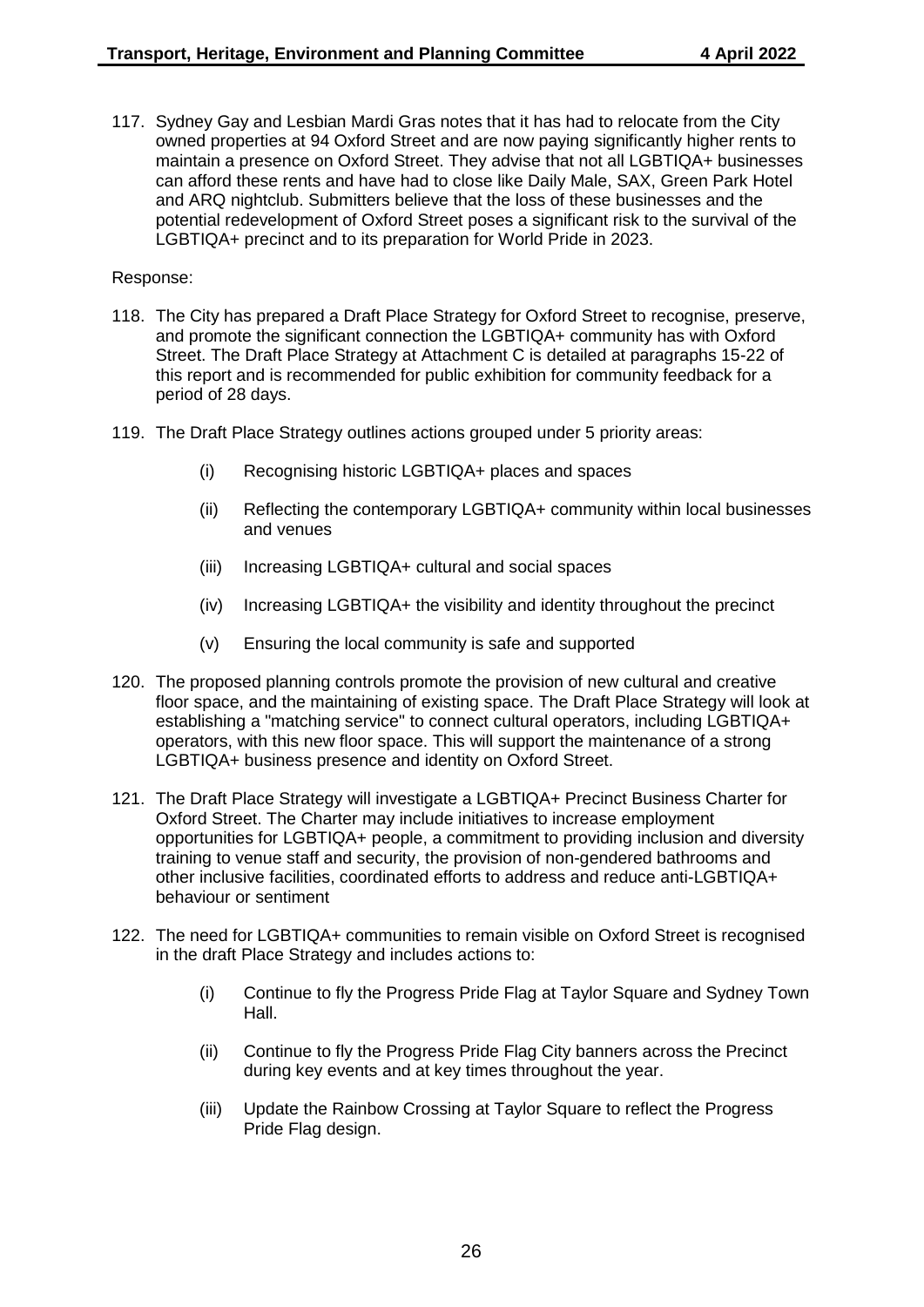117. Sydney Gay and Lesbian Mardi Gras notes that it has had to relocate from the City owned properties at 94 Oxford Street and are now paying significantly higher rents to maintain a presence on Oxford Street. They advise that not all LGBTIQA+ businesses can afford these rents and have had to close like Daily Male, SAX, Green Park Hotel and ARQ nightclub. Submitters believe that the loss of these businesses and the potential redevelopment of Oxford Street poses a significant risk to the survival of the LGBTIQA+ precinct and to its preparation for World Pride in 2023.

- 118. The City has prepared a Draft Place Strategy for Oxford Street to recognise, preserve, and promote the significant connection the LGBTIQA+ community has with Oxford Street. The Draft Place Strategy at Attachment C is detailed at paragraphs 15-22 of this report and is recommended for public exhibition for community feedback for a period of 28 days.
- 119. The Draft Place Strategy outlines actions grouped under 5 priority areas:
	- (i) Recognising historic LGBTIQA+ places and spaces
	- (ii) Reflecting the contemporary LGBTIQA+ community within local businesses and venues
	- (iii) Increasing LGBTIQA+ cultural and social spaces
	- (iv) Increasing LGBTIQA+ the visibility and identity throughout the precinct
	- (v) Ensuring the local community is safe and supported
- 120. The proposed planning controls promote the provision of new cultural and creative floor space, and the maintaining of existing space. The Draft Place Strategy will look at establishing a "matching service" to connect cultural operators, including LGBTIQA+ operators, with this new floor space. This will support the maintenance of a strong LGBTIQA+ business presence and identity on Oxford Street.
- 121. The Draft Place Strategy will investigate a LGBTIQA+ Precinct Business Charter for Oxford Street. The Charter may include initiatives to increase employment opportunities for LGBTIQA+ people, a commitment to providing inclusion and diversity training to venue staff and security, the provision of non-gendered bathrooms and other inclusive facilities, coordinated efforts to address and reduce anti-LGBTIQA+ behaviour or sentiment
- 122. The need for LGBTIQA+ communities to remain visible on Oxford Street is recognised in the draft Place Strategy and includes actions to:
	- (i) Continue to fly the Progress Pride Flag at Taylor Square and Sydney Town Hall.
	- (ii) Continue to fly the Progress Pride Flag City banners across the Precinct during key events and at key times throughout the year.
	- (iii) Update the Rainbow Crossing at Taylor Square to reflect the Progress Pride Flag design.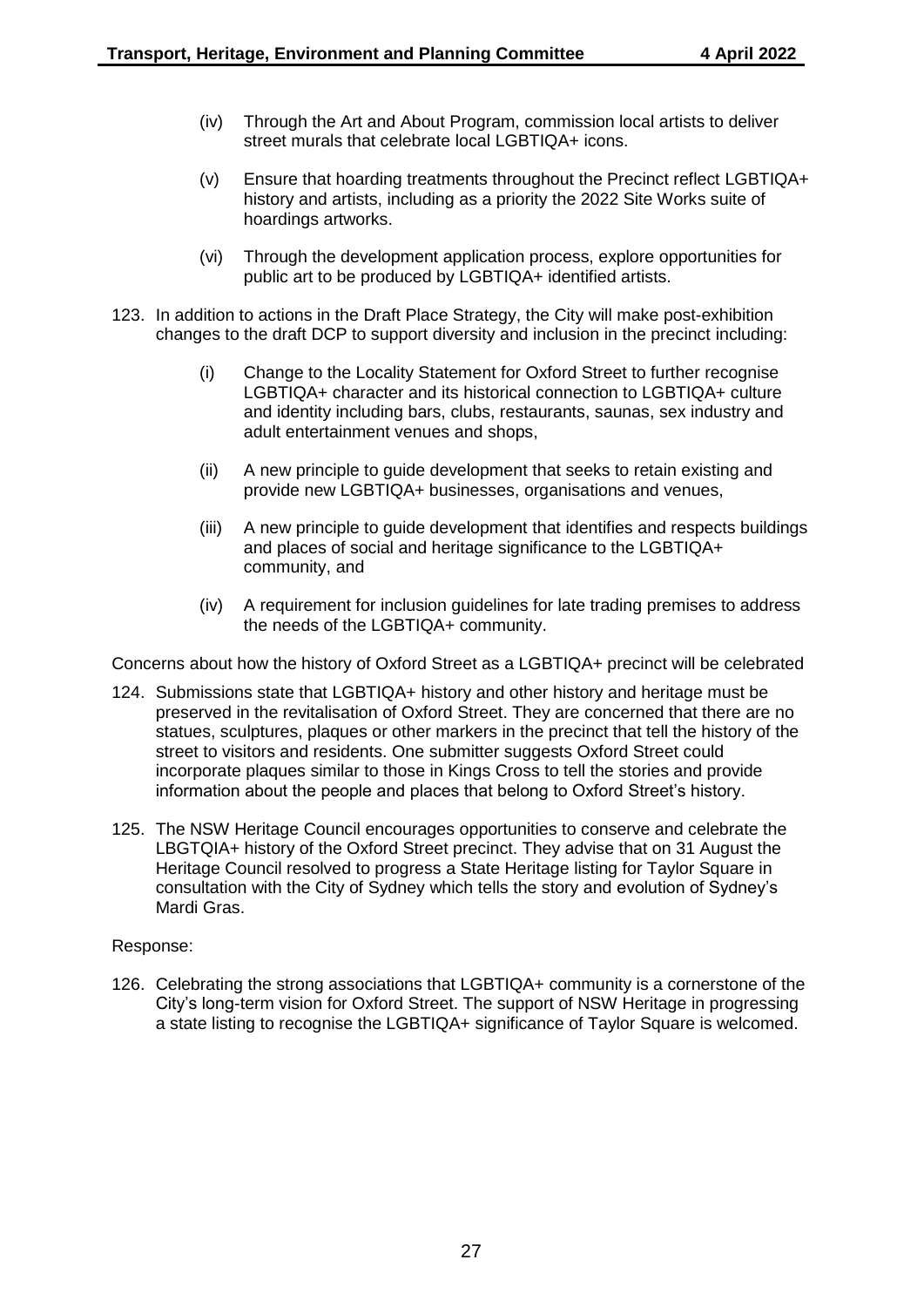- (iv) Through the Art and About Program, commission local artists to deliver street murals that celebrate local LGBTIQA+ icons.
- (v) Ensure that hoarding treatments throughout the Precinct reflect LGBTIQA+ history and artists, including as a priority the 2022 Site Works suite of hoardings artworks.
- (vi) Through the development application process, explore opportunities for public art to be produced by LGBTIQA+ identified artists.
- 123. In addition to actions in the Draft Place Strategy, the City will make post-exhibition changes to the draft DCP to support diversity and inclusion in the precinct including:
	- (i) Change to the Locality Statement for Oxford Street to further recognise LGBTIQA+ character and its historical connection to LGBTIQA+ culture and identity including bars, clubs, restaurants, saunas, sex industry and adult entertainment venues and shops,
	- (ii) A new principle to guide development that seeks to retain existing and provide new LGBTIQA+ businesses, organisations and venues,
	- (iii) A new principle to guide development that identifies and respects buildings and places of social and heritage significance to the LGBTIQA+ community, and
	- (iv) A requirement for inclusion guidelines for late trading premises to address the needs of the LGBTIQA+ community.

Concerns about how the history of Oxford Street as a LGBTIQA+ precinct will be celebrated

- 124. Submissions state that LGBTIQA+ history and other history and heritage must be preserved in the revitalisation of Oxford Street. They are concerned that there are no statues, sculptures, plaques or other markers in the precinct that tell the history of the street to visitors and residents. One submitter suggests Oxford Street could incorporate plaques similar to those in Kings Cross to tell the stories and provide information about the people and places that belong to Oxford Street's history.
- 125. The NSW Heritage Council encourages opportunities to conserve and celebrate the LBGTQIA+ history of the Oxford Street precinct. They advise that on 31 August the Heritage Council resolved to progress a State Heritage listing for Taylor Square in consultation with the City of Sydney which tells the story and evolution of Sydney's Mardi Gras.

#### Response:

126. Celebrating the strong associations that LGBTIQA+ community is a cornerstone of the City's long-term vision for Oxford Street. The support of NSW Heritage in progressing a state listing to recognise the LGBTIQA+ significance of Taylor Square is welcomed.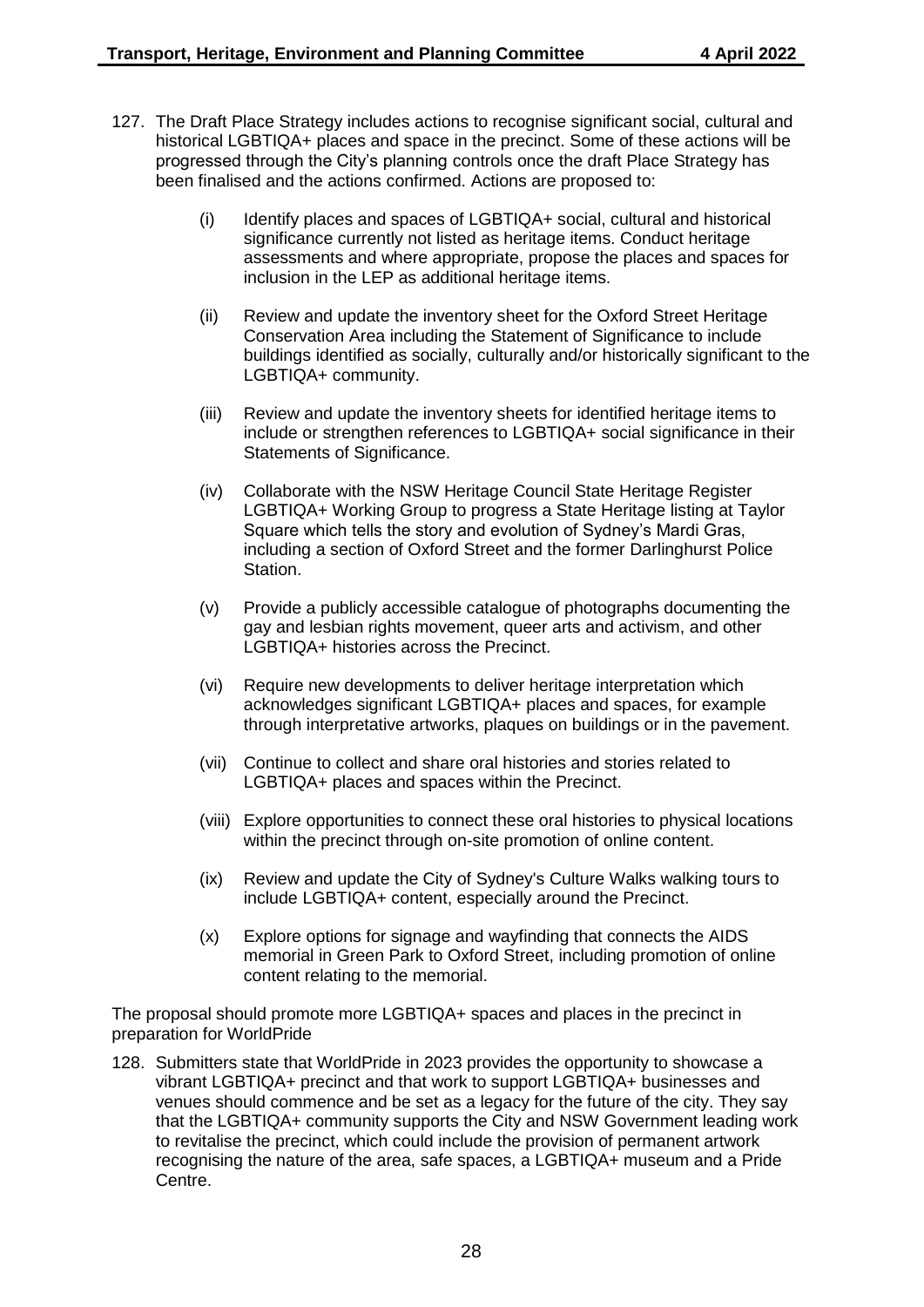- 127. The Draft Place Strategy includes actions to recognise significant social, cultural and historical LGBTIQA+ places and space in the precinct. Some of these actions will be progressed through the City's planning controls once the draft Place Strategy has been finalised and the actions confirmed. Actions are proposed to:
	- (i) Identify places and spaces of LGBTIQA+ social, cultural and historical significance currently not listed as heritage items. Conduct heritage assessments and where appropriate, propose the places and spaces for inclusion in the LEP as additional heritage items.
	- (ii) Review and update the inventory sheet for the Oxford Street Heritage Conservation Area including the Statement of Significance to include buildings identified as socially, culturally and/or historically significant to the LGBTIQA+ community.
	- (iii) Review and update the inventory sheets for identified heritage items to include or strengthen references to LGBTIQA+ social significance in their Statements of Significance.
	- (iv) Collaborate with the NSW Heritage Council State Heritage Register LGBTIQA+ Working Group to progress a State Heritage listing at Taylor Square which tells the story and evolution of Sydney's Mardi Gras, including a section of Oxford Street and the former Darlinghurst Police Station.
	- (v) Provide a publicly accessible catalogue of photographs documenting the gay and lesbian rights movement, queer arts and activism, and other LGBTIQA+ histories across the Precinct.
	- (vi) Require new developments to deliver heritage interpretation which acknowledges significant LGBTIQA+ places and spaces, for example through interpretative artworks, plaques on buildings or in the pavement.
	- (vii) Continue to collect and share oral histories and stories related to LGBTIQA+ places and spaces within the Precinct.
	- (viii) Explore opportunities to connect these oral histories to physical locations within the precinct through on-site promotion of online content.
	- (ix) Review and update the City of Sydney's Culture Walks walking tours to include LGBTIQA+ content, especially around the Precinct.
	- (x) Explore options for signage and wayfinding that connects the AIDS memorial in Green Park to Oxford Street, including promotion of online content relating to the memorial.

The proposal should promote more LGBTIQA+ spaces and places in the precinct in preparation for WorldPride

128. Submitters state that WorldPride in 2023 provides the opportunity to showcase a vibrant LGBTIQA+ precinct and that work to support LGBTIQA+ businesses and venues should commence and be set as a legacy for the future of the city. They say that the LGBTIQA+ community supports the City and NSW Government leading work to revitalise the precinct, which could include the provision of permanent artwork recognising the nature of the area, safe spaces, a LGBTIQA+ museum and a Pride Centre.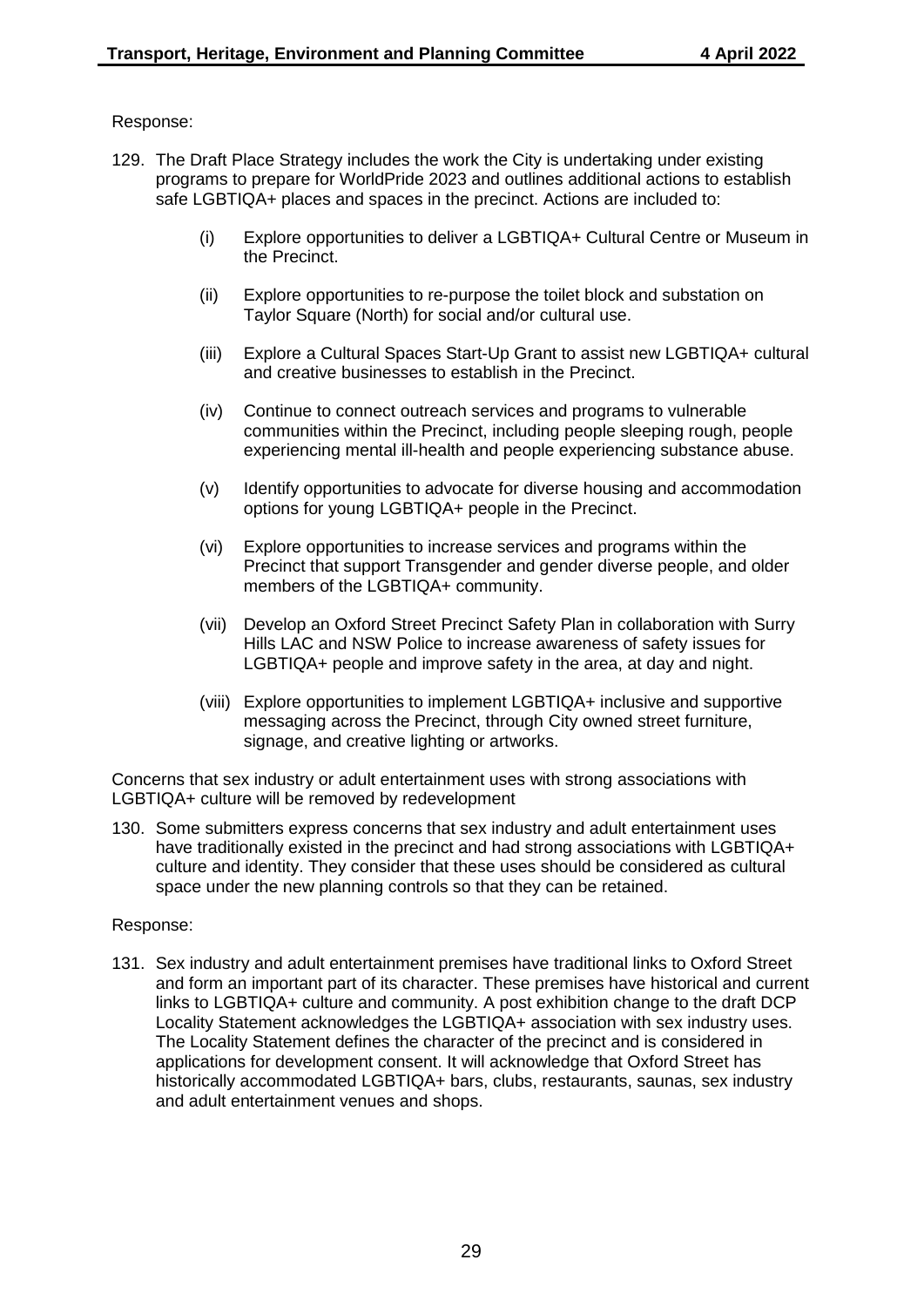## Response:

- 129. The Draft Place Strategy includes the work the City is undertaking under existing programs to prepare for WorldPride 2023 and outlines additional actions to establish safe LGBTIQA+ places and spaces in the precinct. Actions are included to:
	- (i) Explore opportunities to deliver a LGBTIQA+ Cultural Centre or Museum in the Precinct.
	- (ii) Explore opportunities to re-purpose the toilet block and substation on Taylor Square (North) for social and/or cultural use.
	- (iii) Explore a Cultural Spaces Start-Up Grant to assist new LGBTIQA+ cultural and creative businesses to establish in the Precinct.
	- (iv) Continue to connect outreach services and programs to vulnerable communities within the Precinct, including people sleeping rough, people experiencing mental ill-health and people experiencing substance abuse.
	- (v) Identify opportunities to advocate for diverse housing and accommodation options for young LGBTIQA+ people in the Precinct.
	- (vi) Explore opportunities to increase services and programs within the Precinct that support Transgender and gender diverse people, and older members of the LGBTIQA+ community.
	- (vii) Develop an Oxford Street Precinct Safety Plan in collaboration with Surry Hills LAC and NSW Police to increase awareness of safety issues for LGBTIQA+ people and improve safety in the area, at day and night.
	- (viii) Explore opportunities to implement LGBTIQA+ inclusive and supportive messaging across the Precinct, through City owned street furniture, signage, and creative lighting or artworks.

Concerns that sex industry or adult entertainment uses with strong associations with LGBTIQA+ culture will be removed by redevelopment

130. Some submitters express concerns that sex industry and adult entertainment uses have traditionally existed in the precinct and had strong associations with LGBTIQA+ culture and identity. They consider that these uses should be considered as cultural space under the new planning controls so that they can be retained.

#### Response:

131. Sex industry and adult entertainment premises have traditional links to Oxford Street and form an important part of its character. These premises have historical and current links to LGBTIQA+ culture and community. A post exhibition change to the draft DCP Locality Statement acknowledges the LGBTIQA+ association with sex industry uses. The Locality Statement defines the character of the precinct and is considered in applications for development consent. It will acknowledge that Oxford Street has historically accommodated LGBTIQA+ bars, clubs, restaurants, saunas, sex industry and adult entertainment venues and shops.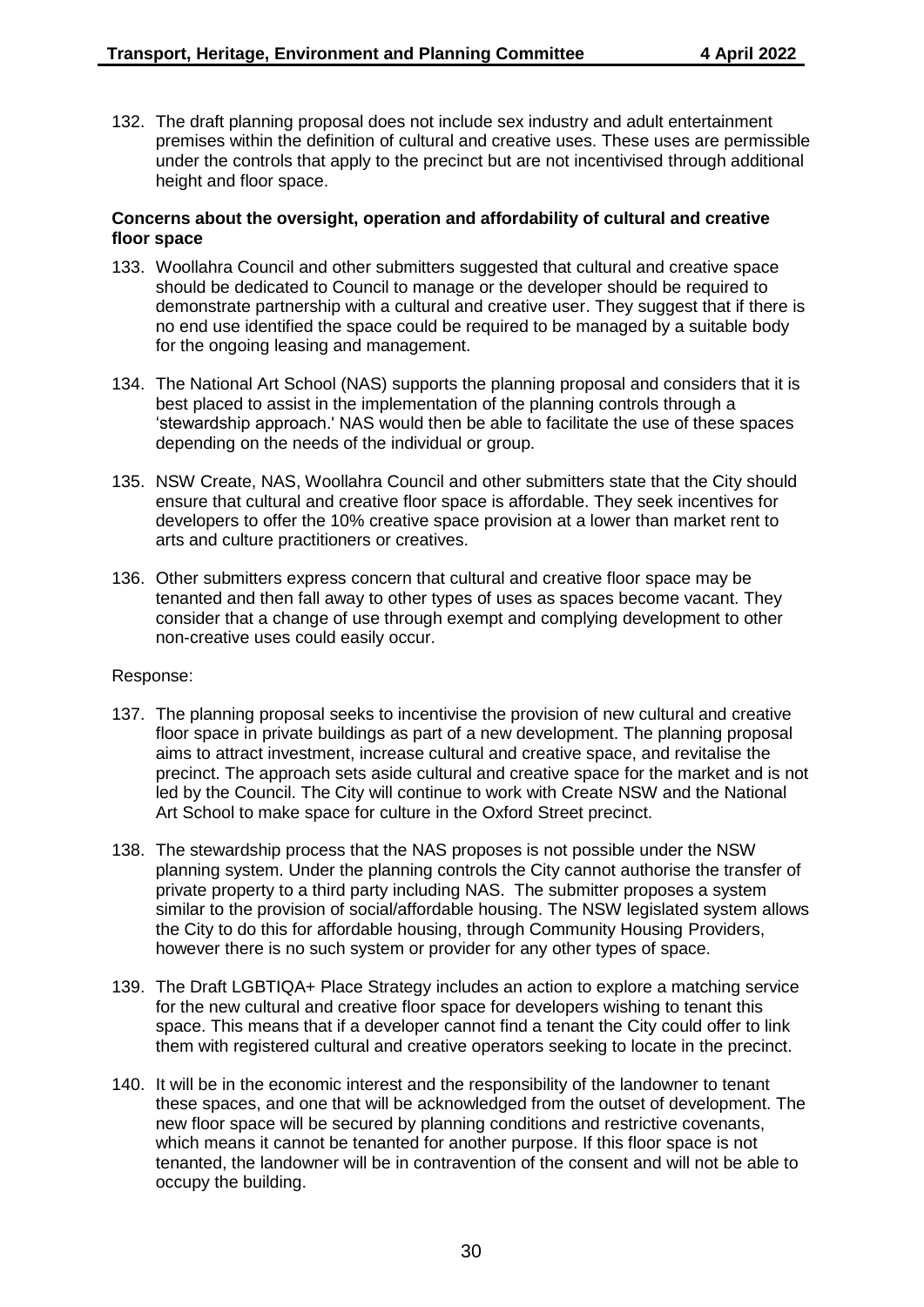132. The draft planning proposal does not include sex industry and adult entertainment premises within the definition of cultural and creative uses. These uses are permissible under the controls that apply to the precinct but are not incentivised through additional height and floor space.

#### **Concerns about the oversight, operation and affordability of cultural and creative floor space**

- 133. Woollahra Council and other submitters suggested that cultural and creative space should be dedicated to Council to manage or the developer should be required to demonstrate partnership with a cultural and creative user. They suggest that if there is no end use identified the space could be required to be managed by a suitable body for the ongoing leasing and management.
- 134. The National Art School (NAS) supports the planning proposal and considers that it is best placed to assist in the implementation of the planning controls through a 'stewardship approach.' NAS would then be able to facilitate the use of these spaces depending on the needs of the individual or group.
- 135. NSW Create, NAS, Woollahra Council and other submitters state that the City should ensure that cultural and creative floor space is affordable. They seek incentives for developers to offer the 10% creative space provision at a lower than market rent to arts and culture practitioners or creatives.
- 136. Other submitters express concern that cultural and creative floor space may be tenanted and then fall away to other types of uses as spaces become vacant. They consider that a change of use through exempt and complying development to other non-creative uses could easily occur.

- 137. The planning proposal seeks to incentivise the provision of new cultural and creative floor space in private buildings as part of a new development. The planning proposal aims to attract investment, increase cultural and creative space, and revitalise the precinct. The approach sets aside cultural and creative space for the market and is not led by the Council. The City will continue to work with Create NSW and the National Art School to make space for culture in the Oxford Street precinct.
- 138. The stewardship process that the NAS proposes is not possible under the NSW planning system. Under the planning controls the City cannot authorise the transfer of private property to a third party including NAS. The submitter proposes a system similar to the provision of social/affordable housing. The NSW legislated system allows the City to do this for affordable housing, through Community Housing Providers, however there is no such system or provider for any other types of space.
- 139. The Draft LGBTIQA+ Place Strategy includes an action to explore a matching service for the new cultural and creative floor space for developers wishing to tenant this space. This means that if a developer cannot find a tenant the City could offer to link them with registered cultural and creative operators seeking to locate in the precinct.
- 140. It will be in the economic interest and the responsibility of the landowner to tenant these spaces, and one that will be acknowledged from the outset of development. The new floor space will be secured by planning conditions and restrictive covenants, which means it cannot be tenanted for another purpose. If this floor space is not tenanted, the landowner will be in contravention of the consent and will not be able to occupy the building.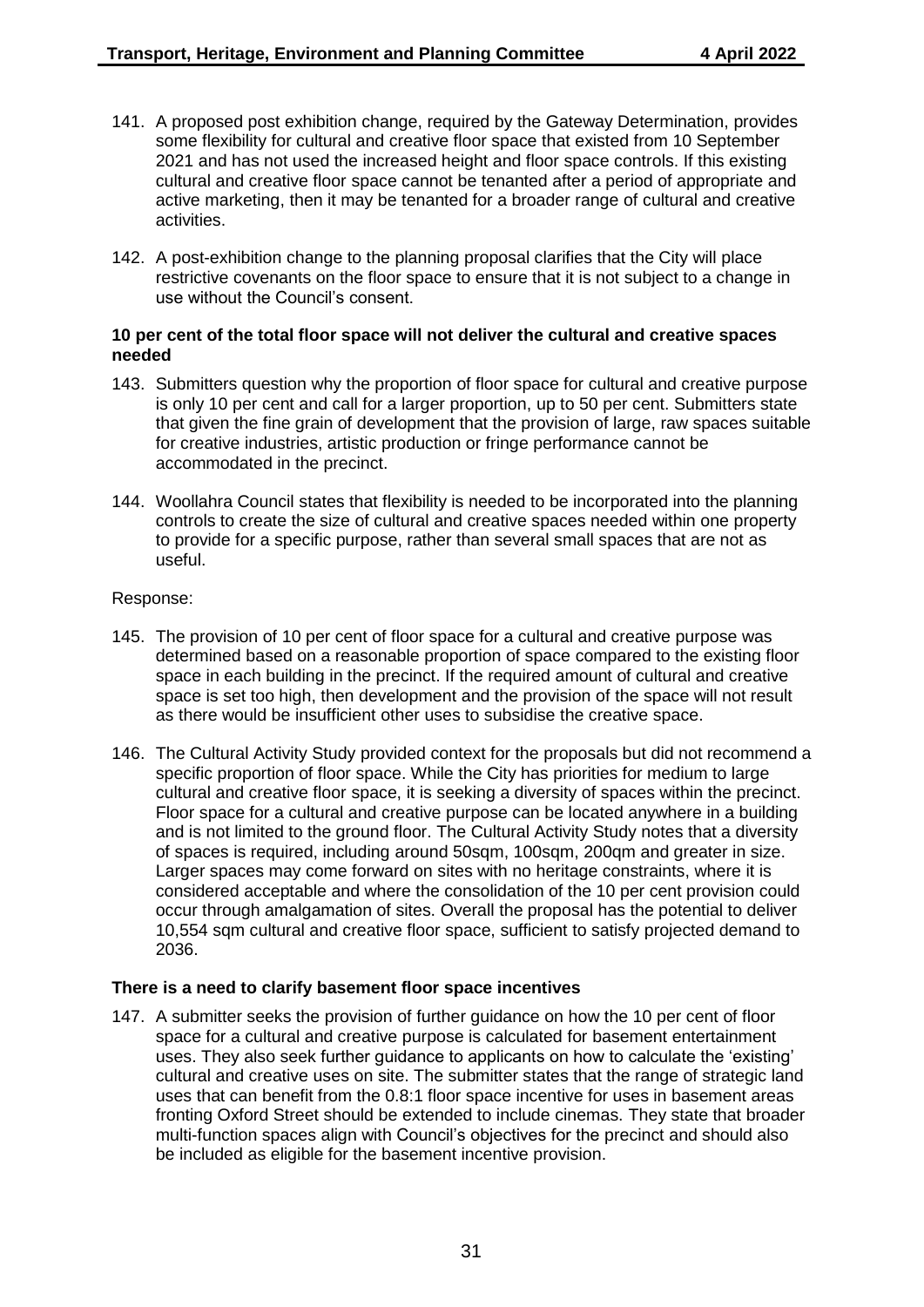- 141. A proposed post exhibition change, required by the Gateway Determination, provides some flexibility for cultural and creative floor space that existed from 10 September 2021 and has not used the increased height and floor space controls. If this existing cultural and creative floor space cannot be tenanted after a period of appropriate and active marketing, then it may be tenanted for a broader range of cultural and creative activities.
- 142. A post-exhibition change to the planning proposal clarifies that the City will place restrictive covenants on the floor space to ensure that it is not subject to a change in use without the Council's consent.

#### **10 per cent of the total floor space will not deliver the cultural and creative spaces needed**

- 143. Submitters question why the proportion of floor space for cultural and creative purpose is only 10 per cent and call for a larger proportion, up to 50 per cent. Submitters state that given the fine grain of development that the provision of large, raw spaces suitable for creative industries, artistic production or fringe performance cannot be accommodated in the precinct.
- 144. Woollahra Council states that flexibility is needed to be incorporated into the planning controls to create the size of cultural and creative spaces needed within one property to provide for a specific purpose, rather than several small spaces that are not as useful.

#### Response:

- 145. The provision of 10 per cent of floor space for a cultural and creative purpose was determined based on a reasonable proportion of space compared to the existing floor space in each building in the precinct. If the required amount of cultural and creative space is set too high, then development and the provision of the space will not result as there would be insufficient other uses to subsidise the creative space.
- 146. The Cultural Activity Study provided context for the proposals but did not recommend a specific proportion of floor space. While the City has priorities for medium to large cultural and creative floor space, it is seeking a diversity of spaces within the precinct. Floor space for a cultural and creative purpose can be located anywhere in a building and is not limited to the ground floor. The Cultural Activity Study notes that a diversity of spaces is required, including around 50sqm, 100sqm, 200qm and greater in size. Larger spaces may come forward on sites with no heritage constraints, where it is considered acceptable and where the consolidation of the 10 per cent provision could occur through amalgamation of sites. Overall the proposal has the potential to deliver 10,554 sqm cultural and creative floor space, sufficient to satisfy projected demand to 2036.

#### **There is a need to clarify basement floor space incentives**

147. A submitter seeks the provision of further guidance on how the 10 per cent of floor space for a cultural and creative purpose is calculated for basement entertainment uses. They also seek further guidance to applicants on how to calculate the 'existing' cultural and creative uses on site. The submitter states that the range of strategic land uses that can benefit from the 0.8:1 floor space incentive for uses in basement areas fronting Oxford Street should be extended to include cinemas. They state that broader multi-function spaces align with Council's objectives for the precinct and should also be included as eligible for the basement incentive provision.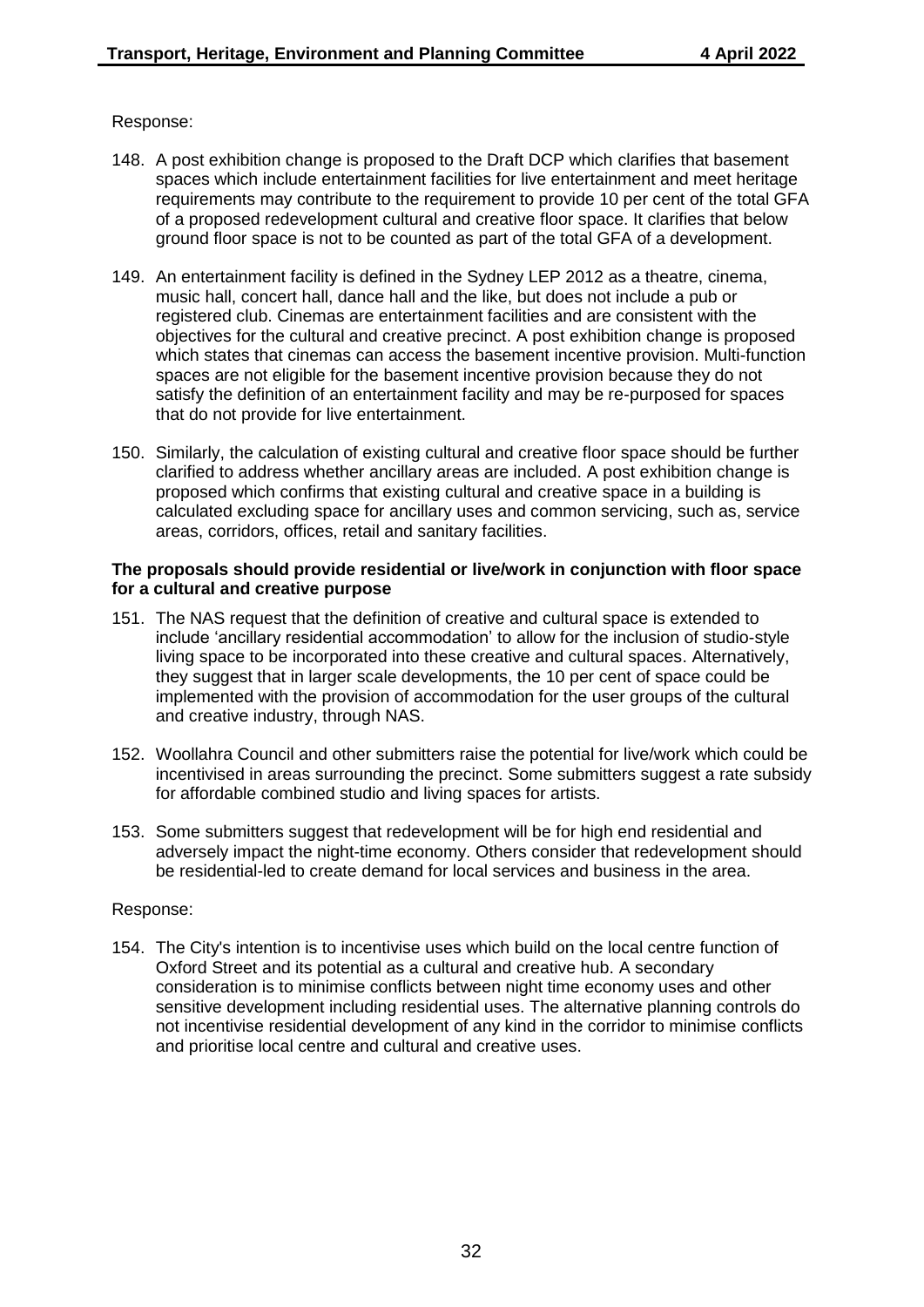#### Response:

- 148. A post exhibition change is proposed to the Draft DCP which clarifies that basement spaces which include entertainment facilities for live entertainment and meet heritage requirements may contribute to the requirement to provide 10 per cent of the total GFA of a proposed redevelopment cultural and creative floor space. It clarifies that below ground floor space is not to be counted as part of the total GFA of a development.
- 149. An entertainment facility is defined in the Sydney LEP 2012 as a theatre, cinema, music hall, concert hall, dance hall and the like, but does not include a pub or registered club. Cinemas are entertainment facilities and are consistent with the objectives for the cultural and creative precinct. A post exhibition change is proposed which states that cinemas can access the basement incentive provision. Multi-function spaces are not eligible for the basement incentive provision because they do not satisfy the definition of an entertainment facility and may be re-purposed for spaces that do not provide for live entertainment.
- 150. Similarly, the calculation of existing cultural and creative floor space should be further clarified to address whether ancillary areas are included. A post exhibition change is proposed which confirms that existing cultural and creative space in a building is calculated excluding space for ancillary uses and common servicing, such as, service areas, corridors, offices, retail and sanitary facilities.

#### **The proposals should provide residential or live/work in conjunction with floor space for a cultural and creative purpose**

- 151. The NAS request that the definition of creative and cultural space is extended to include 'ancillary residential accommodation' to allow for the inclusion of studio-style living space to be incorporated into these creative and cultural spaces. Alternatively, they suggest that in larger scale developments, the 10 per cent of space could be implemented with the provision of accommodation for the user groups of the cultural and creative industry, through NAS.
- 152. Woollahra Council and other submitters raise the potential for live/work which could be incentivised in areas surrounding the precinct. Some submitters suggest a rate subsidy for affordable combined studio and living spaces for artists.
- 153. Some submitters suggest that redevelopment will be for high end residential and adversely impact the night-time economy. Others consider that redevelopment should be residential-led to create demand for local services and business in the area.

#### Response:

154. The City's intention is to incentivise uses which build on the local centre function of Oxford Street and its potential as a cultural and creative hub. A secondary consideration is to minimise conflicts between night time economy uses and other sensitive development including residential uses. The alternative planning controls do not incentivise residential development of any kind in the corridor to minimise conflicts and prioritise local centre and cultural and creative uses.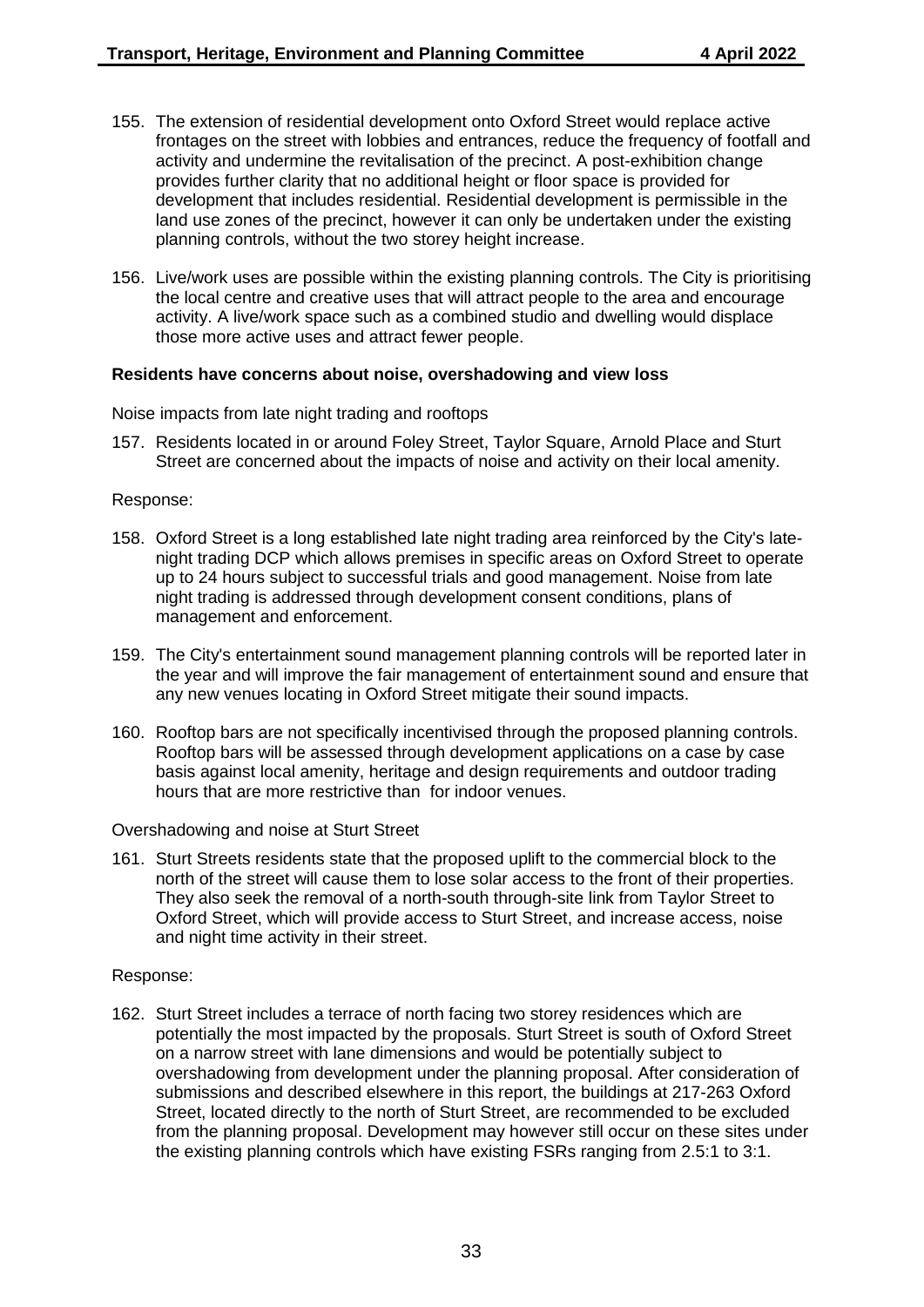- 155. The extension of residential development onto Oxford Street would replace active frontages on the street with lobbies and entrances, reduce the frequency of footfall and activity and undermine the revitalisation of the precinct. A post-exhibition change provides further clarity that no additional height or floor space is provided for development that includes residential. Residential development is permissible in the land use zones of the precinct, however it can only be undertaken under the existing planning controls, without the two storey height increase.
- 156. Live/work uses are possible within the existing planning controls. The City is prioritising the local centre and creative uses that will attract people to the area and encourage activity. A live/work space such as a combined studio and dwelling would displace those more active uses and attract fewer people.

#### **Residents have concerns about noise, overshadowing and view loss**

Noise impacts from late night trading and rooftops

157. Residents located in or around Foley Street, Taylor Square, Arnold Place and Sturt Street are concerned about the impacts of noise and activity on their local amenity.

#### Response:

- 158. Oxford Street is a long established late night trading area reinforced by the City's latenight trading DCP which allows premises in specific areas on Oxford Street to operate up to 24 hours subject to successful trials and good management. Noise from late night trading is addressed through development consent conditions, plans of management and enforcement.
- 159. The City's entertainment sound management planning controls will be reported later in the year and will improve the fair management of entertainment sound and ensure that any new venues locating in Oxford Street mitigate their sound impacts.
- 160. Rooftop bars are not specifically incentivised through the proposed planning controls. Rooftop bars will be assessed through development applications on a case by case basis against local amenity, heritage and design requirements and outdoor trading hours that are more restrictive than for indoor venues.

Overshadowing and noise at Sturt Street

161. Sturt Streets residents state that the proposed uplift to the commercial block to the north of the street will cause them to lose solar access to the front of their properties. They also seek the removal of a north-south through-site link from Taylor Street to Oxford Street, which will provide access to Sturt Street, and increase access, noise and night time activity in their street.

#### Response:

162. Sturt Street includes a terrace of north facing two storey residences which are potentially the most impacted by the proposals. Sturt Street is south of Oxford Street on a narrow street with lane dimensions and would be potentially subject to overshadowing from development under the planning proposal. After consideration of submissions and described elsewhere in this report, the buildings at 217-263 Oxford Street, located directly to the north of Sturt Street, are recommended to be excluded from the planning proposal. Development may however still occur on these sites under the existing planning controls which have existing FSRs ranging from 2.5:1 to 3:1.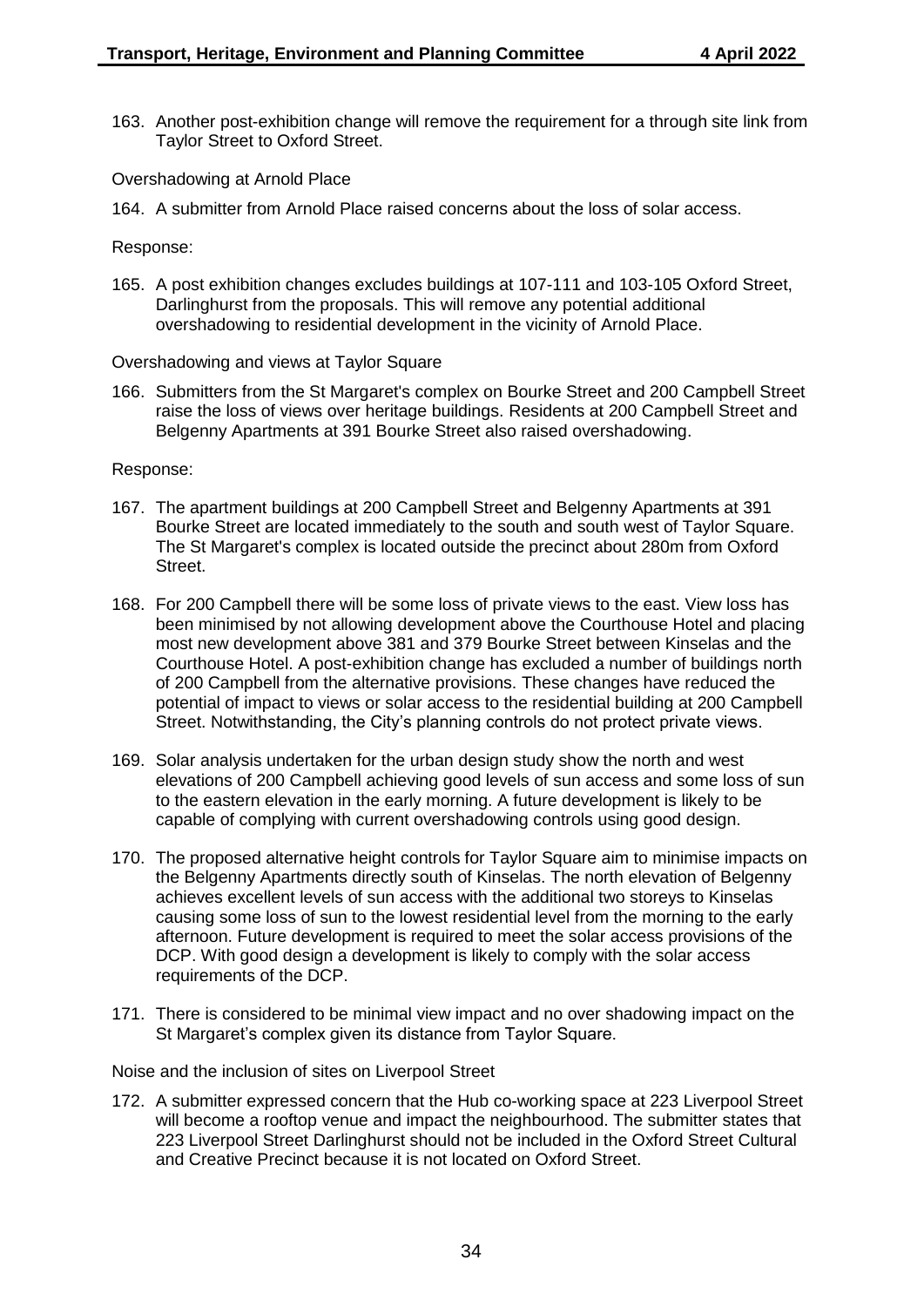163. Another post-exhibition change will remove the requirement for a through site link from Taylor Street to Oxford Street.

Overshadowing at Arnold Place

164. A submitter from Arnold Place raised concerns about the loss of solar access.

Response:

165. A post exhibition changes excludes buildings at 107-111 and 103-105 Oxford Street, Darlinghurst from the proposals. This will remove any potential additional overshadowing to residential development in the vicinity of Arnold Place.

Overshadowing and views at Taylor Square

166. Submitters from the St Margaret's complex on Bourke Street and 200 Campbell Street raise the loss of views over heritage buildings. Residents at 200 Campbell Street and Belgenny Apartments at 391 Bourke Street also raised overshadowing.

Response:

- 167. The apartment buildings at 200 Campbell Street and Belgenny Apartments at 391 Bourke Street are located immediately to the south and south west of Taylor Square. The St Margaret's complex is located outside the precinct about 280m from Oxford Street.
- 168. For 200 Campbell there will be some loss of private views to the east. View loss has been minimised by not allowing development above the Courthouse Hotel and placing most new development above 381 and 379 Bourke Street between Kinselas and the Courthouse Hotel. A post-exhibition change has excluded a number of buildings north of 200 Campbell from the alternative provisions. These changes have reduced the potential of impact to views or solar access to the residential building at 200 Campbell Street. Notwithstanding, the City's planning controls do not protect private views.
- 169. Solar analysis undertaken for the urban design study show the north and west elevations of 200 Campbell achieving good levels of sun access and some loss of sun to the eastern elevation in the early morning. A future development is likely to be capable of complying with current overshadowing controls using good design.
- 170. The proposed alternative height controls for Taylor Square aim to minimise impacts on the Belgenny Apartments directly south of Kinselas. The north elevation of Belgenny achieves excellent levels of sun access with the additional two storeys to Kinselas causing some loss of sun to the lowest residential level from the morning to the early afternoon. Future development is required to meet the solar access provisions of the DCP. With good design a development is likely to comply with the solar access requirements of the DCP.
- 171. There is considered to be minimal view impact and no over shadowing impact on the St Margaret's complex given its distance from Taylor Square.

Noise and the inclusion of sites on Liverpool Street

172. A submitter expressed concern that the Hub co-working space at 223 Liverpool Street will become a rooftop venue and impact the neighbourhood. The submitter states that 223 Liverpool Street Darlinghurst should not be included in the Oxford Street Cultural and Creative Precinct because it is not located on Oxford Street.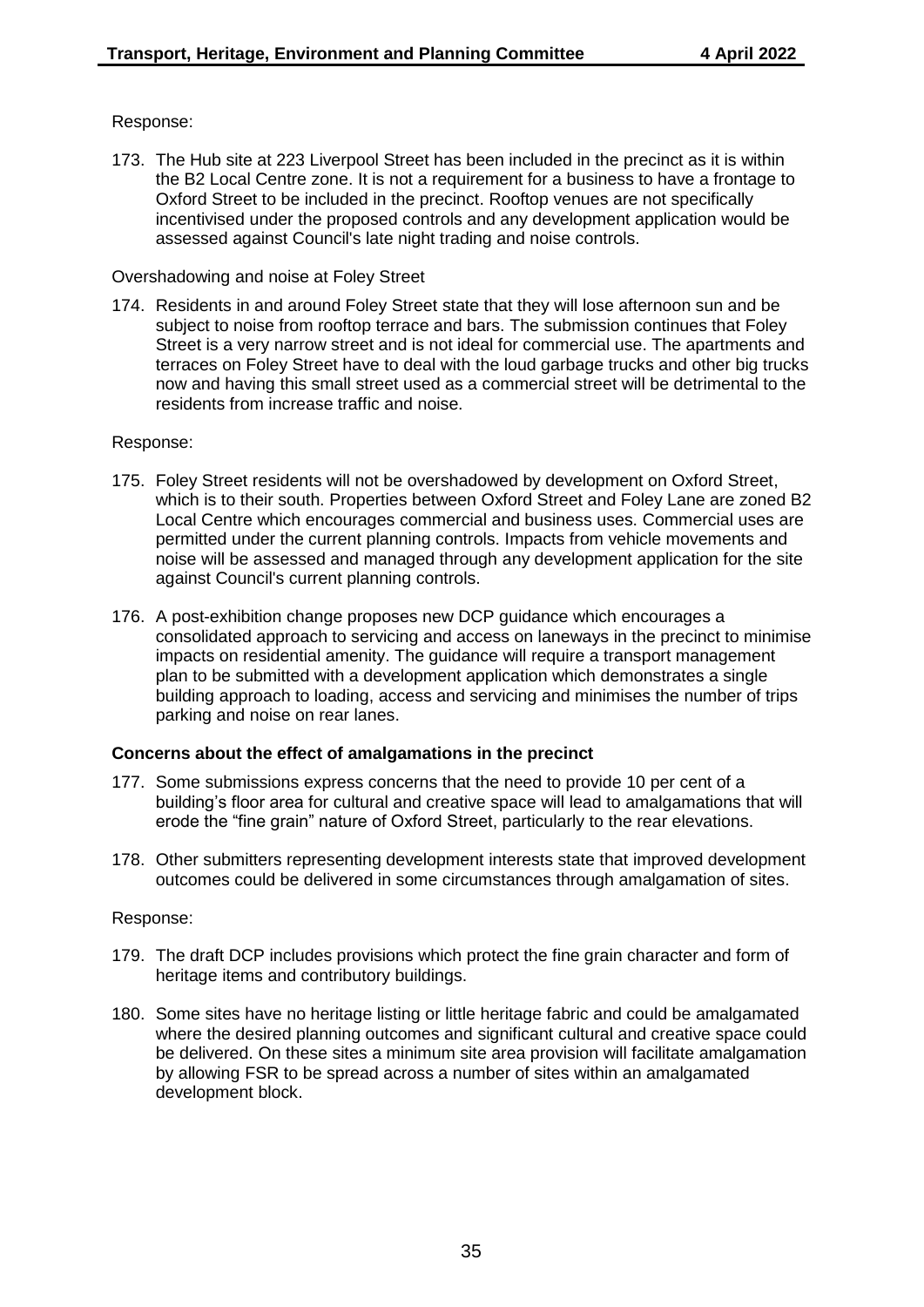## Response:

173. The Hub site at 223 Liverpool Street has been included in the precinct as it is within the B2 Local Centre zone. It is not a requirement for a business to have a frontage to Oxford Street to be included in the precinct. Rooftop venues are not specifically incentivised under the proposed controls and any development application would be assessed against Council's late night trading and noise controls.

#### Overshadowing and noise at Foley Street

174. Residents in and around Foley Street state that they will lose afternoon sun and be subject to noise from rooftop terrace and bars. The submission continues that Foley Street is a very narrow street and is not ideal for commercial use. The apartments and terraces on Foley Street have to deal with the loud garbage trucks and other big trucks now and having this small street used as a commercial street will be detrimental to the residents from increase traffic and noise.

#### Response:

- 175. Foley Street residents will not be overshadowed by development on Oxford Street, which is to their south. Properties between Oxford Street and Foley Lane are zoned B2 Local Centre which encourages commercial and business uses. Commercial uses are permitted under the current planning controls. Impacts from vehicle movements and noise will be assessed and managed through any development application for the site against Council's current planning controls.
- 176. A post-exhibition change proposes new DCP guidance which encourages a consolidated approach to servicing and access on laneways in the precinct to minimise impacts on residential amenity. The guidance will require a transport management plan to be submitted with a development application which demonstrates a single building approach to loading, access and servicing and minimises the number of trips parking and noise on rear lanes.

## **Concerns about the effect of amalgamations in the precinct**

- 177. Some submissions express concerns that the need to provide 10 per cent of a building's floor area for cultural and creative space will lead to amalgamations that will erode the "fine grain" nature of Oxford Street, particularly to the rear elevations.
- 178. Other submitters representing development interests state that improved development outcomes could be delivered in some circumstances through amalgamation of sites.

- 179. The draft DCP includes provisions which protect the fine grain character and form of heritage items and contributory buildings.
- 180. Some sites have no heritage listing or little heritage fabric and could be amalgamated where the desired planning outcomes and significant cultural and creative space could be delivered. On these sites a minimum site area provision will facilitate amalgamation by allowing FSR to be spread across a number of sites within an amalgamated development block.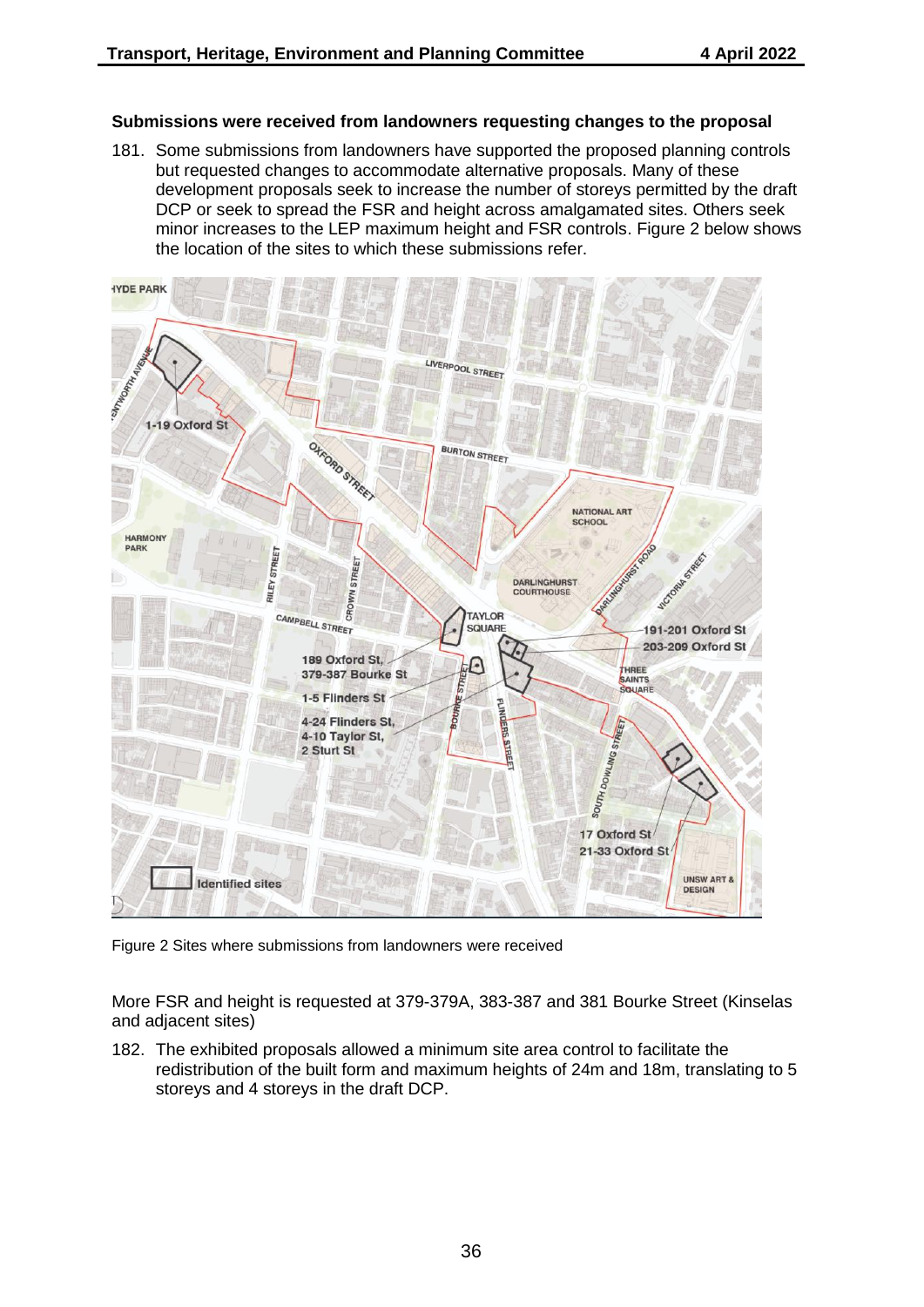#### **Submissions were received from landowners requesting changes to the proposal**

181. Some submissions from landowners have supported the proposed planning controls but requested changes to accommodate alternative proposals. Many of these development proposals seek to increase the number of storeys permitted by the draft DCP or seek to spread the FSR and height across amalgamated sites. Others seek minor increases to the LEP maximum height and FSR controls. Figure 2 below shows the location of the sites to which these submissions refer.



Figure 2 Sites where submissions from landowners were received

More FSR and height is requested at 379-379A, 383-387 and 381 Bourke Street (Kinselas and adjacent sites)

182. The exhibited proposals allowed a minimum site area control to facilitate the redistribution of the built form and maximum heights of 24m and 18m, translating to 5 storeys and 4 storeys in the draft DCP.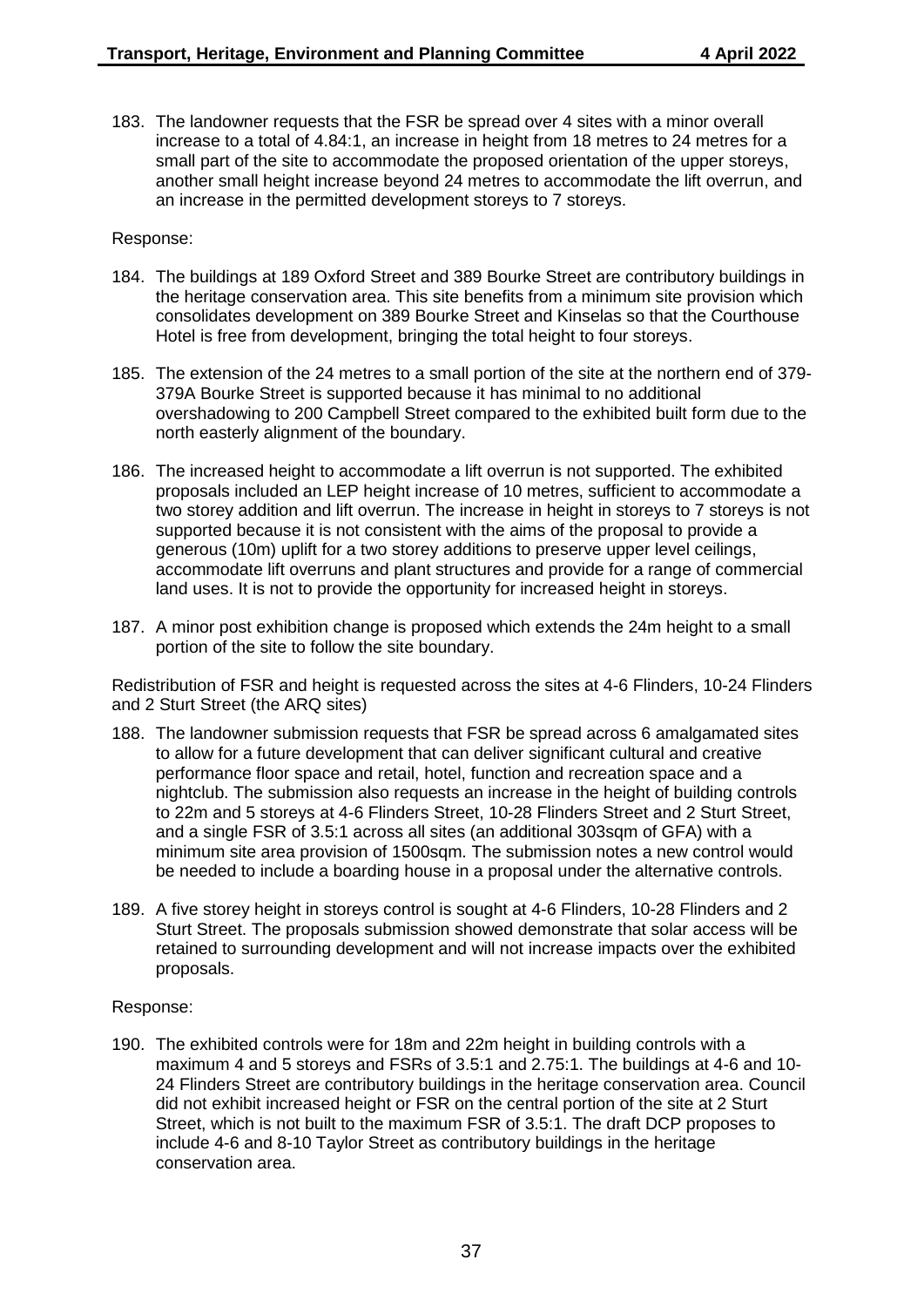183. The landowner requests that the FSR be spread over 4 sites with a minor overall increase to a total of 4.84:1, an increase in height from 18 metres to 24 metres for a small part of the site to accommodate the proposed orientation of the upper storeys, another small height increase beyond 24 metres to accommodate the lift overrun, and an increase in the permitted development storeys to 7 storeys.

#### Response:

- 184. The buildings at 189 Oxford Street and 389 Bourke Street are contributory buildings in the heritage conservation area. This site benefits from a minimum site provision which consolidates development on 389 Bourke Street and Kinselas so that the Courthouse Hotel is free from development, bringing the total height to four storeys.
- 185. The extension of the 24 metres to a small portion of the site at the northern end of 379- 379A Bourke Street is supported because it has minimal to no additional overshadowing to 200 Campbell Street compared to the exhibited built form due to the north easterly alignment of the boundary.
- 186. The increased height to accommodate a lift overrun is not supported. The exhibited proposals included an LEP height increase of 10 metres, sufficient to accommodate a two storey addition and lift overrun. The increase in height in storeys to 7 storeys is not supported because it is not consistent with the aims of the proposal to provide a generous (10m) uplift for a two storey additions to preserve upper level ceilings, accommodate lift overruns and plant structures and provide for a range of commercial land uses. It is not to provide the opportunity for increased height in storeys.
- 187. A minor post exhibition change is proposed which extends the 24m height to a small portion of the site to follow the site boundary.

Redistribution of FSR and height is requested across the sites at 4-6 Flinders, 10-24 Flinders and 2 Sturt Street (the ARQ sites)

- 188. The landowner submission requests that FSR be spread across 6 amalgamated sites to allow for a future development that can deliver significant cultural and creative performance floor space and retail, hotel, function and recreation space and a nightclub. The submission also requests an increase in the height of building controls to 22m and 5 storeys at 4-6 Flinders Street, 10-28 Flinders Street and 2 Sturt Street, and a single FSR of 3.5:1 across all sites (an additional 303sqm of GFA) with a minimum site area provision of 1500sqm. The submission notes a new control would be needed to include a boarding house in a proposal under the alternative controls.
- 189. A five storey height in storeys control is sought at 4-6 Flinders, 10-28 Flinders and 2 Sturt Street. The proposals submission showed demonstrate that solar access will be retained to surrounding development and will not increase impacts over the exhibited proposals.

#### Response:

190. The exhibited controls were for 18m and 22m height in building controls with a maximum 4 and 5 storeys and FSRs of 3.5:1 and 2.75:1. The buildings at 4-6 and 10- 24 Flinders Street are contributory buildings in the heritage conservation area. Council did not exhibit increased height or FSR on the central portion of the site at 2 Sturt Street, which is not built to the maximum FSR of 3.5:1. The draft DCP proposes to include 4-6 and 8-10 Taylor Street as contributory buildings in the heritage conservation area.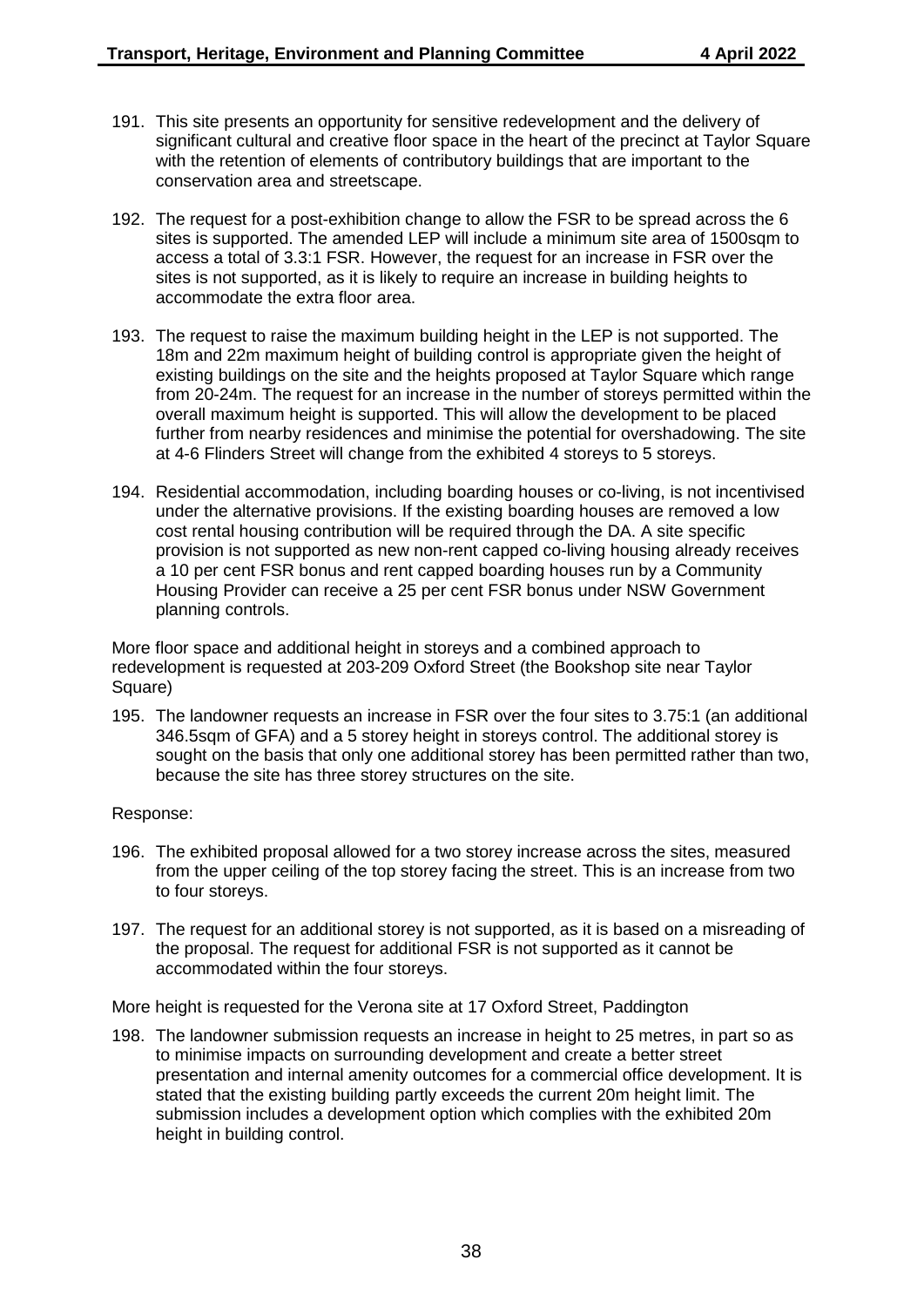- 191. This site presents an opportunity for sensitive redevelopment and the delivery of significant cultural and creative floor space in the heart of the precinct at Taylor Square with the retention of elements of contributory buildings that are important to the conservation area and streetscape.
- 192. The request for a post-exhibition change to allow the FSR to be spread across the 6 sites is supported. The amended LEP will include a minimum site area of 1500sqm to access a total of 3.3:1 FSR. However, the request for an increase in FSR over the sites is not supported, as it is likely to require an increase in building heights to accommodate the extra floor area.
- 193. The request to raise the maximum building height in the LEP is not supported. The 18m and 22m maximum height of building control is appropriate given the height of existing buildings on the site and the heights proposed at Taylor Square which range from 20-24m. The request for an increase in the number of storeys permitted within the overall maximum height is supported. This will allow the development to be placed further from nearby residences and minimise the potential for overshadowing. The site at 4-6 Flinders Street will change from the exhibited 4 storeys to 5 storeys.
- 194. Residential accommodation, including boarding houses or co-living, is not incentivised under the alternative provisions. If the existing boarding houses are removed a low cost rental housing contribution will be required through the DA. A site specific provision is not supported as new non-rent capped co-living housing already receives a 10 per cent FSR bonus and rent capped boarding houses run by a Community Housing Provider can receive a 25 per cent FSR bonus under NSW Government planning controls.

More floor space and additional height in storeys and a combined approach to redevelopment is requested at 203-209 Oxford Street (the Bookshop site near Taylor Square)

195. The landowner requests an increase in FSR over the four sites to 3.75:1 (an additional 346.5sqm of GFA) and a 5 storey height in storeys control. The additional storey is sought on the basis that only one additional storey has been permitted rather than two, because the site has three storey structures on the site.

#### Response:

- 196. The exhibited proposal allowed for a two storey increase across the sites, measured from the upper ceiling of the top storey facing the street. This is an increase from two to four storeys.
- 197. The request for an additional storey is not supported, as it is based on a misreading of the proposal. The request for additional FSR is not supported as it cannot be accommodated within the four storeys.

More height is requested for the Verona site at 17 Oxford Street, Paddington

198. The landowner submission requests an increase in height to 25 metres, in part so as to minimise impacts on surrounding development and create a better street presentation and internal amenity outcomes for a commercial office development. It is stated that the existing building partly exceeds the current 20m height limit. The submission includes a development option which complies with the exhibited 20m height in building control.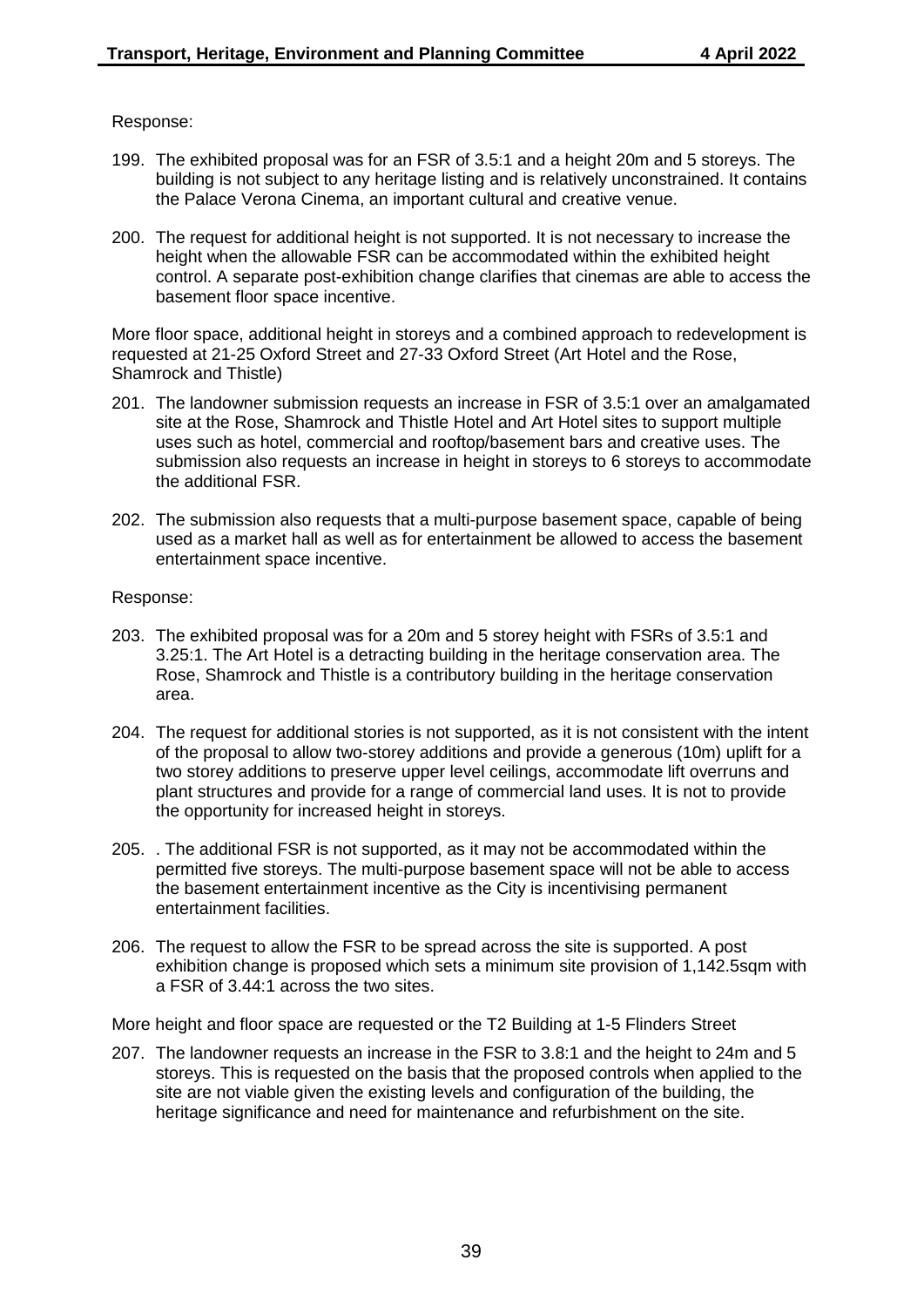#### Response:

- 199. The exhibited proposal was for an FSR of 3.5:1 and a height 20m and 5 storeys. The building is not subject to any heritage listing and is relatively unconstrained. It contains the Palace Verona Cinema, an important cultural and creative venue.
- 200. The request for additional height is not supported. It is not necessary to increase the height when the allowable FSR can be accommodated within the exhibited height control. A separate post-exhibition change clarifies that cinemas are able to access the basement floor space incentive.

More floor space, additional height in storeys and a combined approach to redevelopment is requested at 21-25 Oxford Street and 27-33 Oxford Street (Art Hotel and the Rose, Shamrock and Thistle)

- 201. The landowner submission requests an increase in FSR of 3.5:1 over an amalgamated site at the Rose, Shamrock and Thistle Hotel and Art Hotel sites to support multiple uses such as hotel, commercial and rooftop/basement bars and creative uses. The submission also requests an increase in height in storeys to 6 storeys to accommodate the additional FSR.
- 202. The submission also requests that a multi-purpose basement space, capable of being used as a market hall as well as for entertainment be allowed to access the basement entertainment space incentive.

#### Response:

- 203. The exhibited proposal was for a 20m and 5 storey height with FSRs of 3.5:1 and 3.25:1. The Art Hotel is a detracting building in the heritage conservation area. The Rose, Shamrock and Thistle is a contributory building in the heritage conservation area.
- 204. The request for additional stories is not supported, as it is not consistent with the intent of the proposal to allow two-storey additions and provide a generous (10m) uplift for a two storey additions to preserve upper level ceilings, accommodate lift overruns and plant structures and provide for a range of commercial land uses. It is not to provide the opportunity for increased height in storeys.
- 205. . The additional FSR is not supported, as it may not be accommodated within the permitted five storeys. The multi-purpose basement space will not be able to access the basement entertainment incentive as the City is incentivising permanent entertainment facilities.
- 206. The request to allow the FSR to be spread across the site is supported. A post exhibition change is proposed which sets a minimum site provision of 1,142.5sqm with a FSR of 3.44:1 across the two sites.

More height and floor space are requested or the T2 Building at 1-5 Flinders Street

207. The landowner requests an increase in the FSR to 3.8:1 and the height to 24m and 5 storeys. This is requested on the basis that the proposed controls when applied to the site are not viable given the existing levels and configuration of the building, the heritage significance and need for maintenance and refurbishment on the site.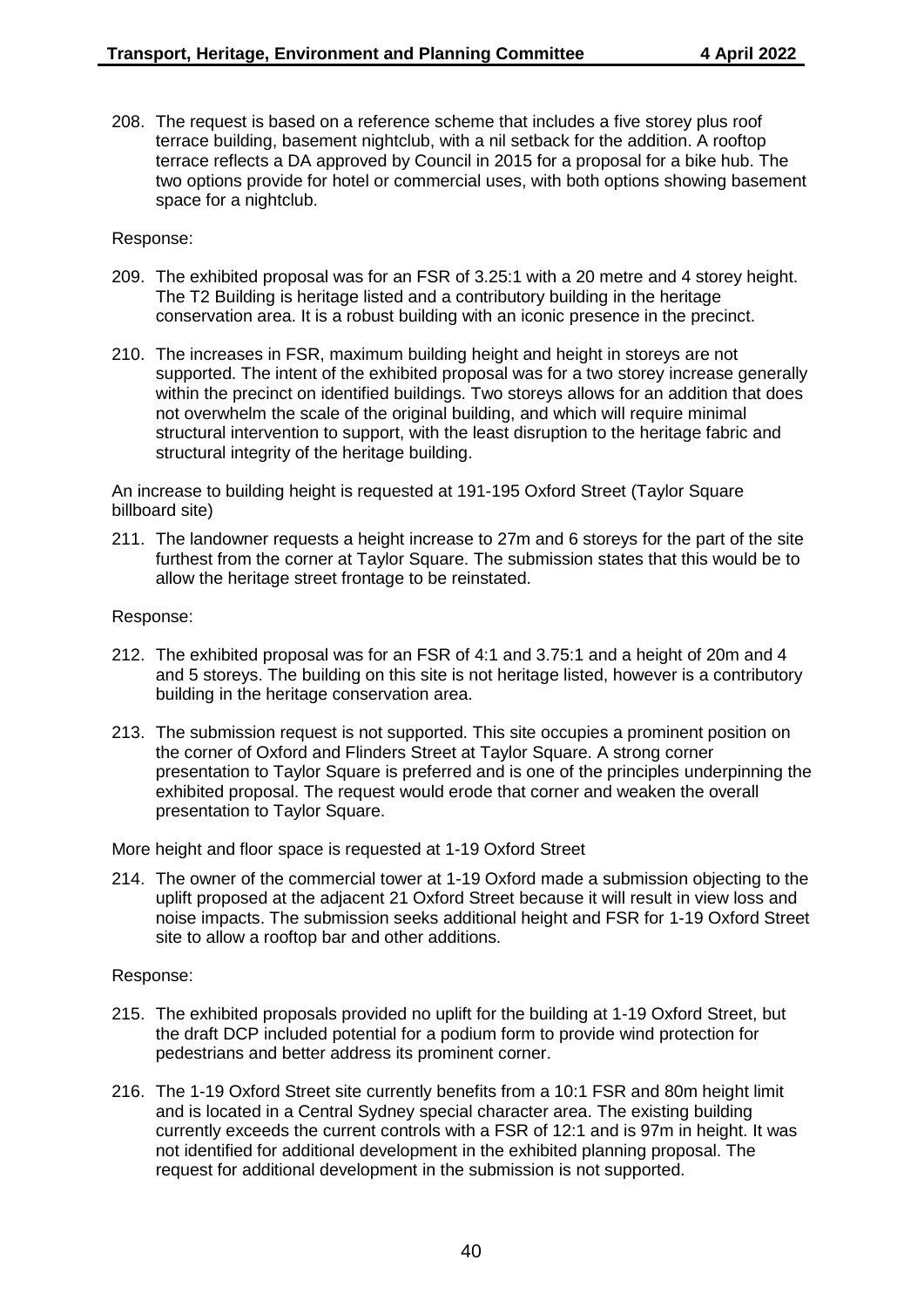208. The request is based on a reference scheme that includes a five storey plus roof terrace building, basement nightclub, with a nil setback for the addition. A rooftop terrace reflects a DA approved by Council in 2015 for a proposal for a bike hub. The two options provide for hotel or commercial uses, with both options showing basement space for a nightclub.

#### Response:

- 209. The exhibited proposal was for an FSR of 3.25:1 with a 20 metre and 4 storey height. The T2 Building is heritage listed and a contributory building in the heritage conservation area. It is a robust building with an iconic presence in the precinct.
- 210. The increases in FSR, maximum building height and height in storeys are not supported. The intent of the exhibited proposal was for a two storey increase generally within the precinct on identified buildings. Two storeys allows for an addition that does not overwhelm the scale of the original building, and which will require minimal structural intervention to support, with the least disruption to the heritage fabric and structural integrity of the heritage building.

An increase to building height is requested at 191-195 Oxford Street (Taylor Square billboard site)

211. The landowner requests a height increase to 27m and 6 storeys for the part of the site furthest from the corner at Taylor Square. The submission states that this would be to allow the heritage street frontage to be reinstated.

#### Response:

- 212. The exhibited proposal was for an FSR of 4:1 and 3.75:1 and a height of 20m and 4 and 5 storeys. The building on this site is not heritage listed, however is a contributory building in the heritage conservation area.
- 213. The submission request is not supported. This site occupies a prominent position on the corner of Oxford and Flinders Street at Taylor Square. A strong corner presentation to Taylor Square is preferred and is one of the principles underpinning the exhibited proposal. The request would erode that corner and weaken the overall presentation to Taylor Square.

More height and floor space is requested at 1-19 Oxford Street

214. The owner of the commercial tower at 1-19 Oxford made a submission objecting to the uplift proposed at the adjacent 21 Oxford Street because it will result in view loss and noise impacts. The submission seeks additional height and FSR for 1-19 Oxford Street site to allow a rooftop bar and other additions.

- 215. The exhibited proposals provided no uplift for the building at 1-19 Oxford Street, but the draft DCP included potential for a podium form to provide wind protection for pedestrians and better address its prominent corner.
- 216. The 1-19 Oxford Street site currently benefits from a 10:1 FSR and 80m height limit and is located in a Central Sydney special character area. The existing building currently exceeds the current controls with a FSR of 12:1 and is 97m in height. It was not identified for additional development in the exhibited planning proposal. The request for additional development in the submission is not supported.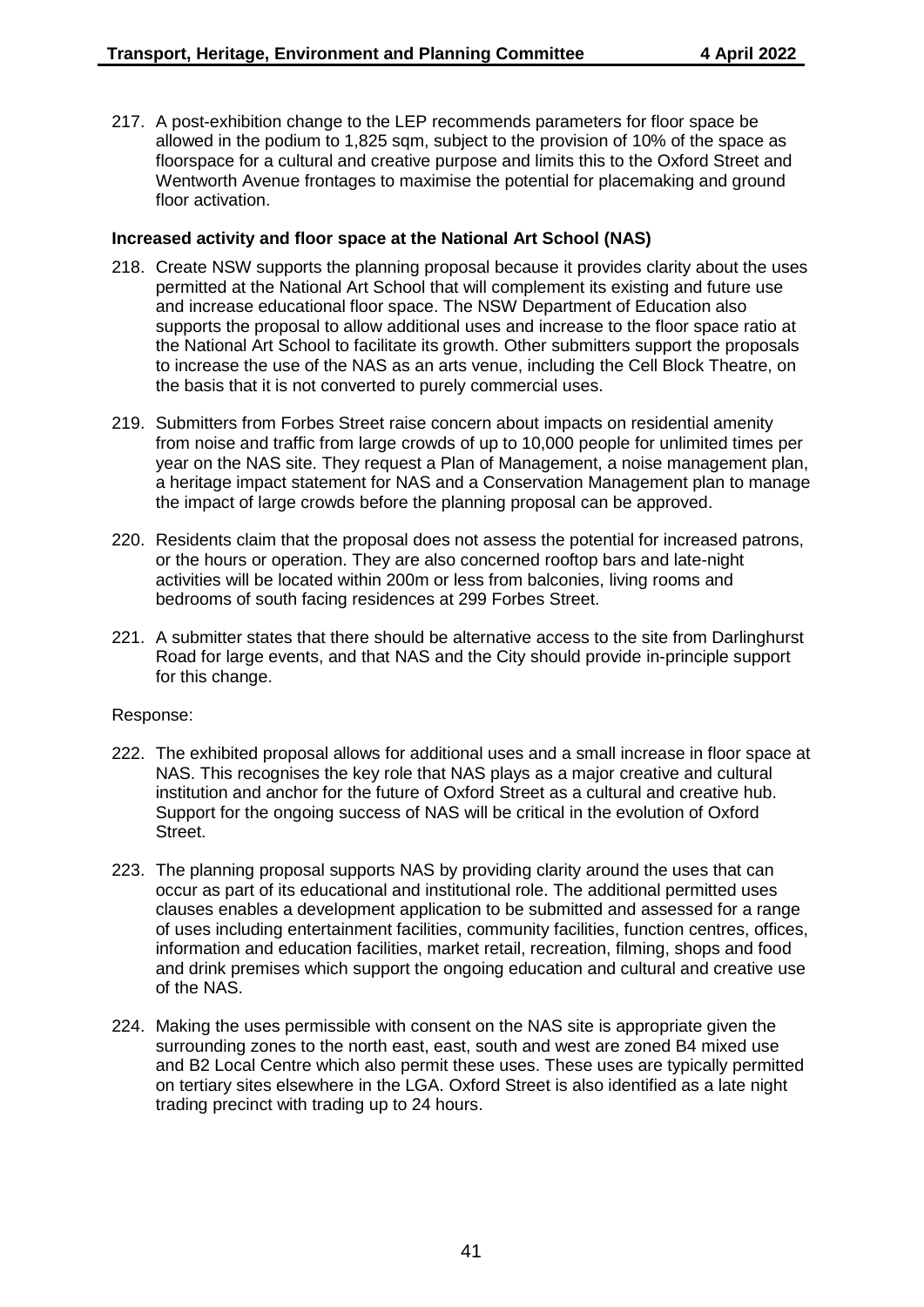217. A post-exhibition change to the LEP recommends parameters for floor space be allowed in the podium to 1,825 sqm, subject to the provision of 10% of the space as floorspace for a cultural and creative purpose and limits this to the Oxford Street and Wentworth Avenue frontages to maximise the potential for placemaking and ground floor activation.

## **Increased activity and floor space at the National Art School (NAS)**

- 218. Create NSW supports the planning proposal because it provides clarity about the uses permitted at the National Art School that will complement its existing and future use and increase educational floor space. The NSW Department of Education also supports the proposal to allow additional uses and increase to the floor space ratio at the National Art School to facilitate its growth. Other submitters support the proposals to increase the use of the NAS as an arts venue, including the Cell Block Theatre, on the basis that it is not converted to purely commercial uses.
- 219. Submitters from Forbes Street raise concern about impacts on residential amenity from noise and traffic from large crowds of up to 10,000 people for unlimited times per year on the NAS site. They request a Plan of Management, a noise management plan, a heritage impact statement for NAS and a Conservation Management plan to manage the impact of large crowds before the planning proposal can be approved.
- 220. Residents claim that the proposal does not assess the potential for increased patrons, or the hours or operation. They are also concerned rooftop bars and late-night activities will be located within 200m or less from balconies, living rooms and bedrooms of south facing residences at 299 Forbes Street.
- 221. A submitter states that there should be alternative access to the site from Darlinghurst Road for large events, and that NAS and the City should provide in-principle support for this change.

- 222. The exhibited proposal allows for additional uses and a small increase in floor space at NAS. This recognises the key role that NAS plays as a major creative and cultural institution and anchor for the future of Oxford Street as a cultural and creative hub. Support for the ongoing success of NAS will be critical in the evolution of Oxford Street.
- 223. The planning proposal supports NAS by providing clarity around the uses that can occur as part of its educational and institutional role. The additional permitted uses clauses enables a development application to be submitted and assessed for a range of uses including entertainment facilities, community facilities, function centres, offices, information and education facilities, market retail, recreation, filming, shops and food and drink premises which support the ongoing education and cultural and creative use of the NAS.
- 224. Making the uses permissible with consent on the NAS site is appropriate given the surrounding zones to the north east, east, south and west are zoned B4 mixed use and B2 Local Centre which also permit these uses. These uses are typically permitted on tertiary sites elsewhere in the LGA. Oxford Street is also identified as a late night trading precinct with trading up to 24 hours.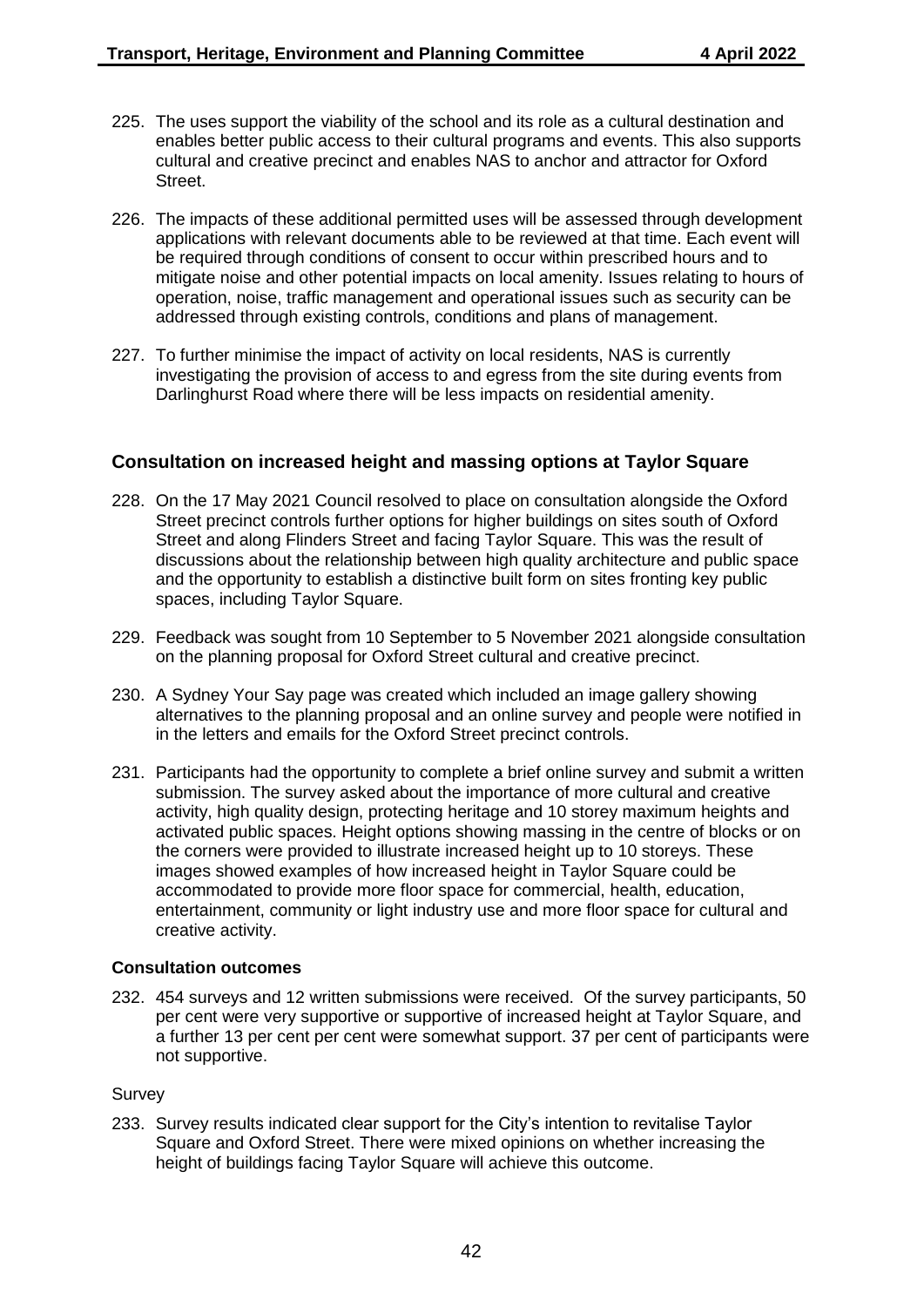- 225. The uses support the viability of the school and its role as a cultural destination and enables better public access to their cultural programs and events. This also supports cultural and creative precinct and enables NAS to anchor and attractor for Oxford Street.
- 226. The impacts of these additional permitted uses will be assessed through development applications with relevant documents able to be reviewed at that time. Each event will be required through conditions of consent to occur within prescribed hours and to mitigate noise and other potential impacts on local amenity. Issues relating to hours of operation, noise, traffic management and operational issues such as security can be addressed through existing controls, conditions and plans of management.
- 227. To further minimise the impact of activity on local residents, NAS is currently investigating the provision of access to and egress from the site during events from Darlinghurst Road where there will be less impacts on residential amenity.

## **Consultation on increased height and massing options at Taylor Square**

- 228. On the 17 May 2021 Council resolved to place on consultation alongside the Oxford Street precinct controls further options for higher buildings on sites south of Oxford Street and along Flinders Street and facing Taylor Square. This was the result of discussions about the relationship between high quality architecture and public space and the opportunity to establish a distinctive built form on sites fronting key public spaces, including Taylor Square.
- 229. Feedback was sought from 10 September to 5 November 2021 alongside consultation on the planning proposal for Oxford Street cultural and creative precinct.
- 230. A Sydney Your Say page was created which included an image gallery showing alternatives to the planning proposal and an online survey and people were notified in in the letters and emails for the Oxford Street precinct controls.
- 231. Participants had the opportunity to complete a brief online survey and submit a written submission. The survey asked about the importance of more cultural and creative activity, high quality design, protecting heritage and 10 storey maximum heights and activated public spaces. Height options showing massing in the centre of blocks or on the corners were provided to illustrate increased height up to 10 storeys. These images showed examples of how increased height in Taylor Square could be accommodated to provide more floor space for commercial, health, education, entertainment, community or light industry use and more floor space for cultural and creative activity.

#### **Consultation outcomes**

232. 454 surveys and 12 written submissions were received. Of the survey participants, 50 per cent were very supportive or supportive of increased height at Taylor Square, and a further 13 per cent per cent were somewhat support. 37 per cent of participants were not supportive.

#### Survey

233. Survey results indicated clear support for the City's intention to revitalise Taylor Square and Oxford Street. There were mixed opinions on whether increasing the height of buildings facing Taylor Square will achieve this outcome.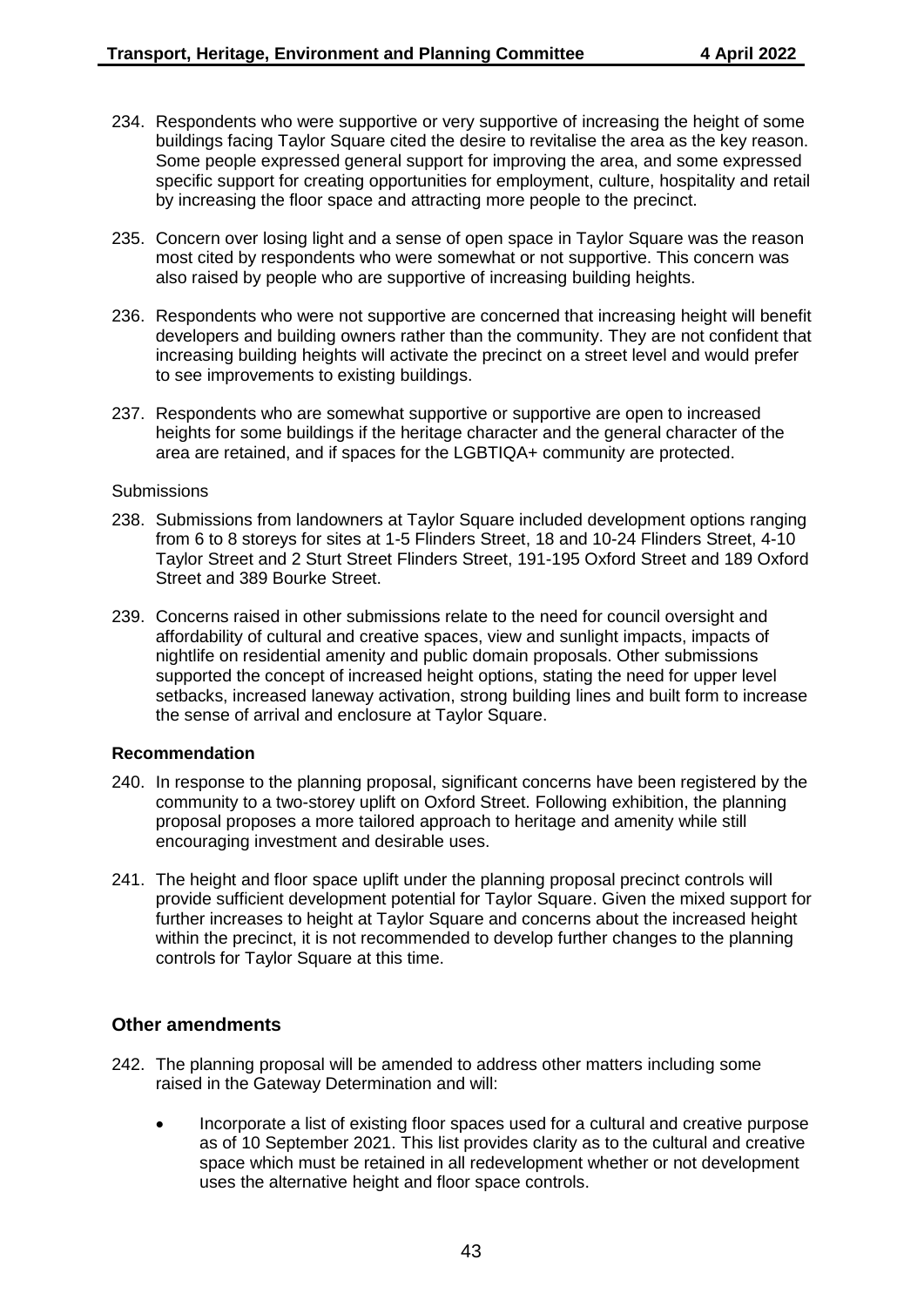- 234. Respondents who were supportive or very supportive of increasing the height of some buildings facing Taylor Square cited the desire to revitalise the area as the key reason. Some people expressed general support for improving the area, and some expressed specific support for creating opportunities for employment, culture, hospitality and retail by increasing the floor space and attracting more people to the precinct.
- 235. Concern over losing light and a sense of open space in Taylor Square was the reason most cited by respondents who were somewhat or not supportive. This concern was also raised by people who are supportive of increasing building heights.
- 236. Respondents who were not supportive are concerned that increasing height will benefit developers and building owners rather than the community. They are not confident that increasing building heights will activate the precinct on a street level and would prefer to see improvements to existing buildings.
- 237. Respondents who are somewhat supportive or supportive are open to increased heights for some buildings if the heritage character and the general character of the area are retained, and if spaces for the LGBTIQA+ community are protected.

#### **Submissions**

- 238. Submissions from landowners at Taylor Square included development options ranging from 6 to 8 storeys for sites at 1-5 Flinders Street, 18 and 10-24 Flinders Street, 4-10 Taylor Street and 2 Sturt Street Flinders Street, 191-195 Oxford Street and 189 Oxford Street and 389 Bourke Street.
- 239. Concerns raised in other submissions relate to the need for council oversight and affordability of cultural and creative spaces, view and sunlight impacts, impacts of nightlife on residential amenity and public domain proposals. Other submissions supported the concept of increased height options, stating the need for upper level setbacks, increased laneway activation, strong building lines and built form to increase the sense of arrival and enclosure at Taylor Square.

#### **Recommendation**

- 240. In response to the planning proposal, significant concerns have been registered by the community to a two-storey uplift on Oxford Street. Following exhibition, the planning proposal proposes a more tailored approach to heritage and amenity while still encouraging investment and desirable uses.
- 241. The height and floor space uplift under the planning proposal precinct controls will provide sufficient development potential for Taylor Square. Given the mixed support for further increases to height at Taylor Square and concerns about the increased height within the precinct, it is not recommended to develop further changes to the planning controls for Taylor Square at this time.

## **Other amendments**

- 242. The planning proposal will be amended to address other matters including some raised in the Gateway Determination and will:
	- Incorporate a list of existing floor spaces used for a cultural and creative purpose as of 10 September 2021. This list provides clarity as to the cultural and creative space which must be retained in all redevelopment whether or not development uses the alternative height and floor space controls.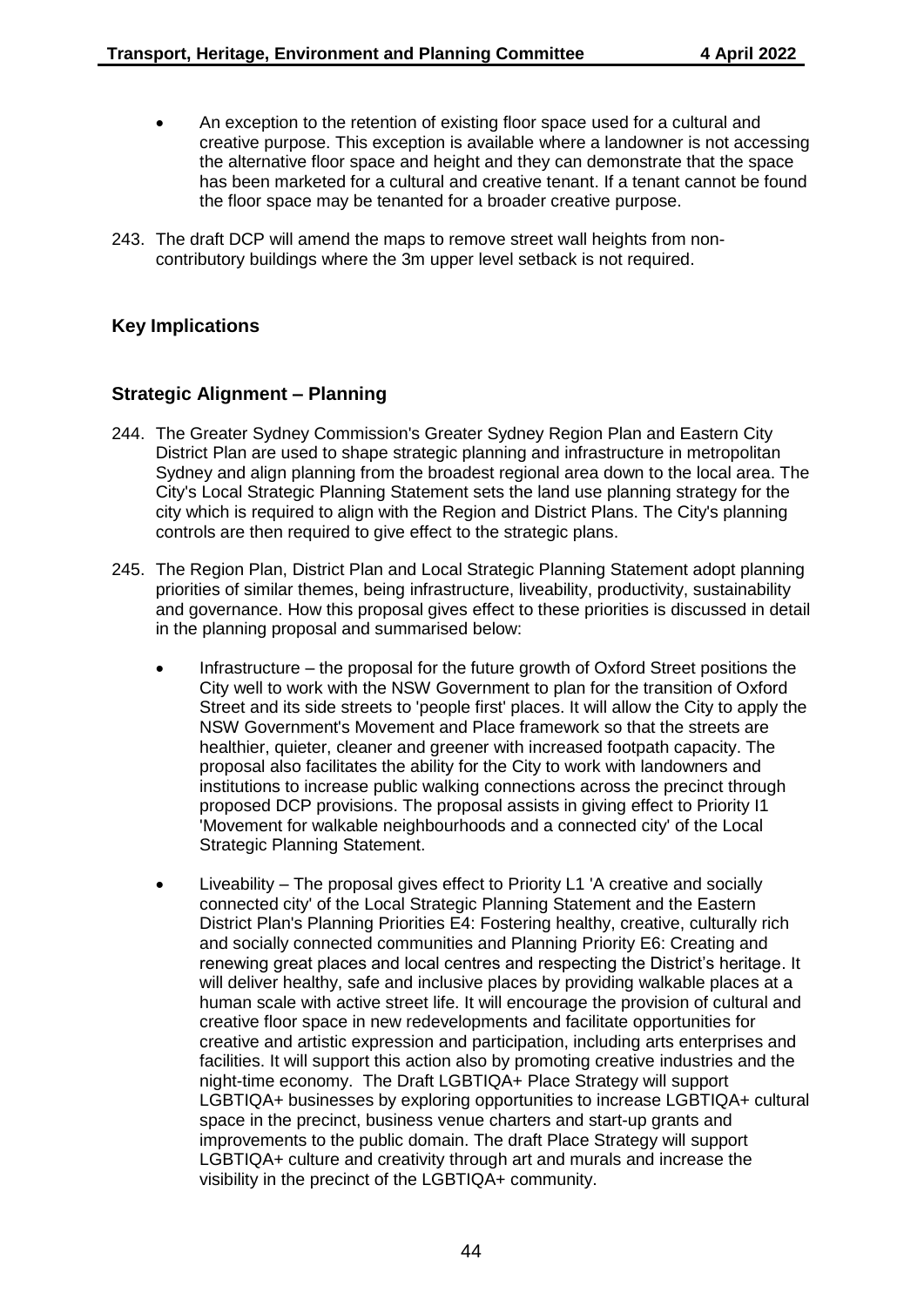- An exception to the retention of existing floor space used for a cultural and creative purpose. This exception is available where a landowner is not accessing the alternative floor space and height and they can demonstrate that the space has been marketed for a cultural and creative tenant. If a tenant cannot be found the floor space may be tenanted for a broader creative purpose.
- 243. The draft DCP will amend the maps to remove street wall heights from noncontributory buildings where the 3m upper level setback is not required.

# **Key Implications**

## **Strategic Alignment – Planning**

- 244. The Greater Sydney Commission's Greater Sydney Region Plan and Eastern City District Plan are used to shape strategic planning and infrastructure in metropolitan Sydney and align planning from the broadest regional area down to the local area. The City's Local Strategic Planning Statement sets the land use planning strategy for the city which is required to align with the Region and District Plans. The City's planning controls are then required to give effect to the strategic plans.
- 245. The Region Plan, District Plan and Local Strategic Planning Statement adopt planning priorities of similar themes, being infrastructure, liveability, productivity, sustainability and governance. How this proposal gives effect to these priorities is discussed in detail in the planning proposal and summarised below:
	- Infrastructure the proposal for the future growth of Oxford Street positions the City well to work with the NSW Government to plan for the transition of Oxford Street and its side streets to 'people first' places. It will allow the City to apply the NSW Government's Movement and Place framework so that the streets are healthier, quieter, cleaner and greener with increased footpath capacity. The proposal also facilitates the ability for the City to work with landowners and institutions to increase public walking connections across the precinct through proposed DCP provisions. The proposal assists in giving effect to Priority I1 'Movement for walkable neighbourhoods and a connected city' of the Local Strategic Planning Statement.
	- Liveability The proposal gives effect to Priority L1 'A creative and socially connected city' of the Local Strategic Planning Statement and the Eastern District Plan's Planning Priorities E4: Fostering healthy, creative, culturally rich and socially connected communities and Planning Priority E6: Creating and renewing great places and local centres and respecting the District's heritage. It will deliver healthy, safe and inclusive places by providing walkable places at a human scale with active street life. It will encourage the provision of cultural and creative floor space in new redevelopments and facilitate opportunities for creative and artistic expression and participation, including arts enterprises and facilities. It will support this action also by promoting creative industries and the night-time economy. The Draft LGBTIQA+ Place Strategy will support LGBTIQA+ businesses by exploring opportunities to increase LGBTIQA+ cultural space in the precinct, business venue charters and start-up grants and improvements to the public domain. The draft Place Strategy will support LGBTIQA+ culture and creativity through art and murals and increase the visibility in the precinct of the LGBTIQA+ community.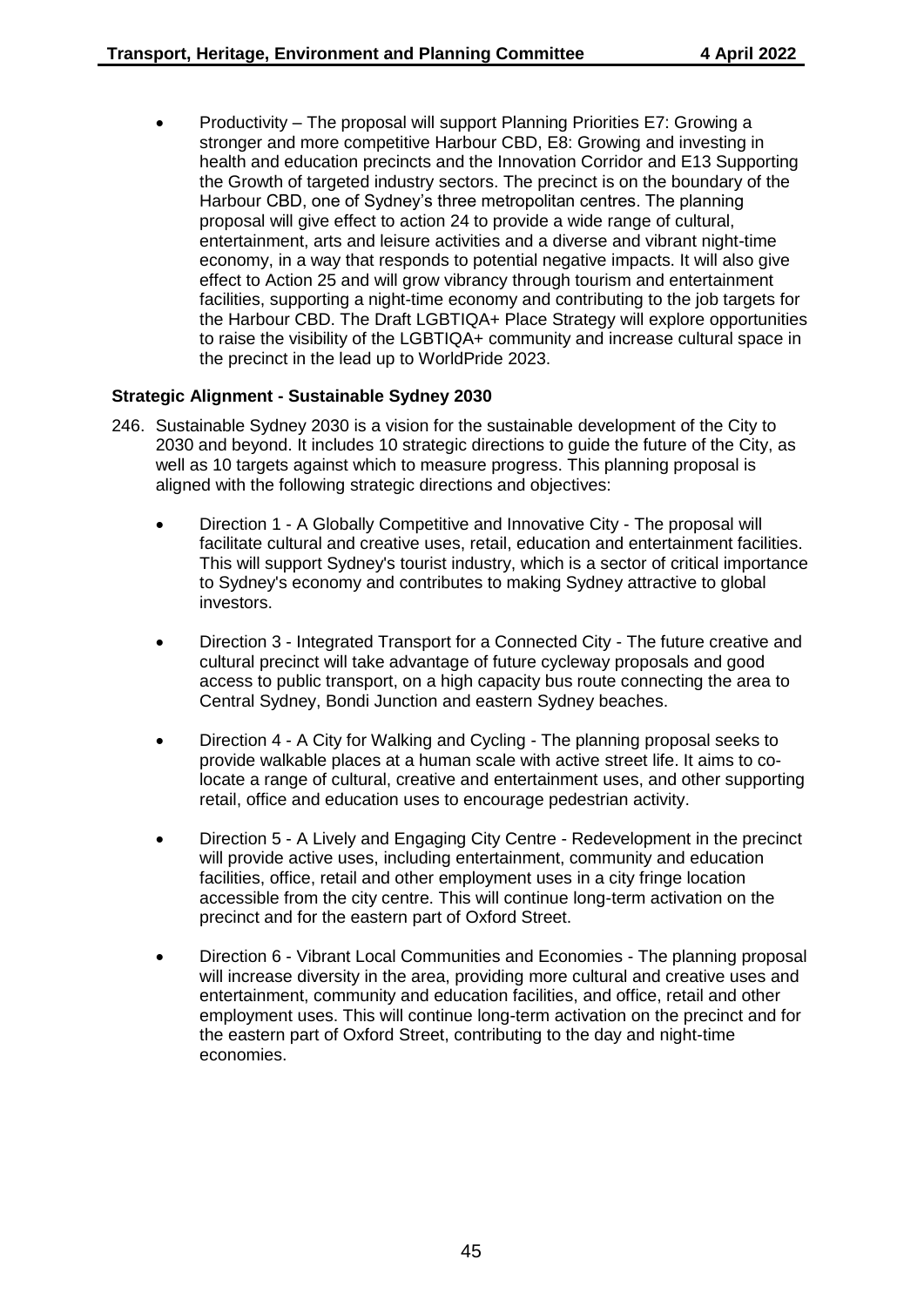Productivity – The proposal will support Planning Priorities E7: Growing a stronger and more competitive Harbour CBD, E8: Growing and investing in health and education precincts and the Innovation Corridor and E13 Supporting the Growth of targeted industry sectors. The precinct is on the boundary of the Harbour CBD, one of Sydney's three metropolitan centres. The planning proposal will give effect to action 24 to provide a wide range of cultural, entertainment, arts and leisure activities and a diverse and vibrant night-time economy, in a way that responds to potential negative impacts. It will also give effect to Action 25 and will grow vibrancy through tourism and entertainment facilities, supporting a night-time economy and contributing to the job targets for the Harbour CBD. The Draft LGBTIQA+ Place Strategy will explore opportunities to raise the visibility of the LGBTIQA+ community and increase cultural space in the precinct in the lead up to WorldPride 2023.

## **Strategic Alignment - Sustainable Sydney 2030**

- 246. Sustainable Sydney 2030 is a vision for the sustainable development of the City to 2030 and beyond. It includes 10 strategic directions to guide the future of the City, as well as 10 targets against which to measure progress. This planning proposal is aligned with the following strategic directions and objectives:
	- Direction 1 A Globally Competitive and Innovative City The proposal will facilitate cultural and creative uses, retail, education and entertainment facilities. This will support Sydney's tourist industry, which is a sector of critical importance to Sydney's economy and contributes to making Sydney attractive to global investors.
	- Direction 3 Integrated Transport for a Connected City The future creative and cultural precinct will take advantage of future cycleway proposals and good access to public transport, on a high capacity bus route connecting the area to Central Sydney, Bondi Junction and eastern Sydney beaches.
	- Direction 4 A City for Walking and Cycling The planning proposal seeks to provide walkable places at a human scale with active street life. It aims to colocate a range of cultural, creative and entertainment uses, and other supporting retail, office and education uses to encourage pedestrian activity.
	- Direction 5 A Lively and Engaging City Centre Redevelopment in the precinct will provide active uses, including entertainment, community and education facilities, office, retail and other employment uses in a city fringe location accessible from the city centre. This will continue long-term activation on the precinct and for the eastern part of Oxford Street.
	- Direction 6 Vibrant Local Communities and Economies The planning proposal will increase diversity in the area, providing more cultural and creative uses and entertainment, community and education facilities, and office, retail and other employment uses. This will continue long-term activation on the precinct and for the eastern part of Oxford Street, contributing to the day and night-time economies.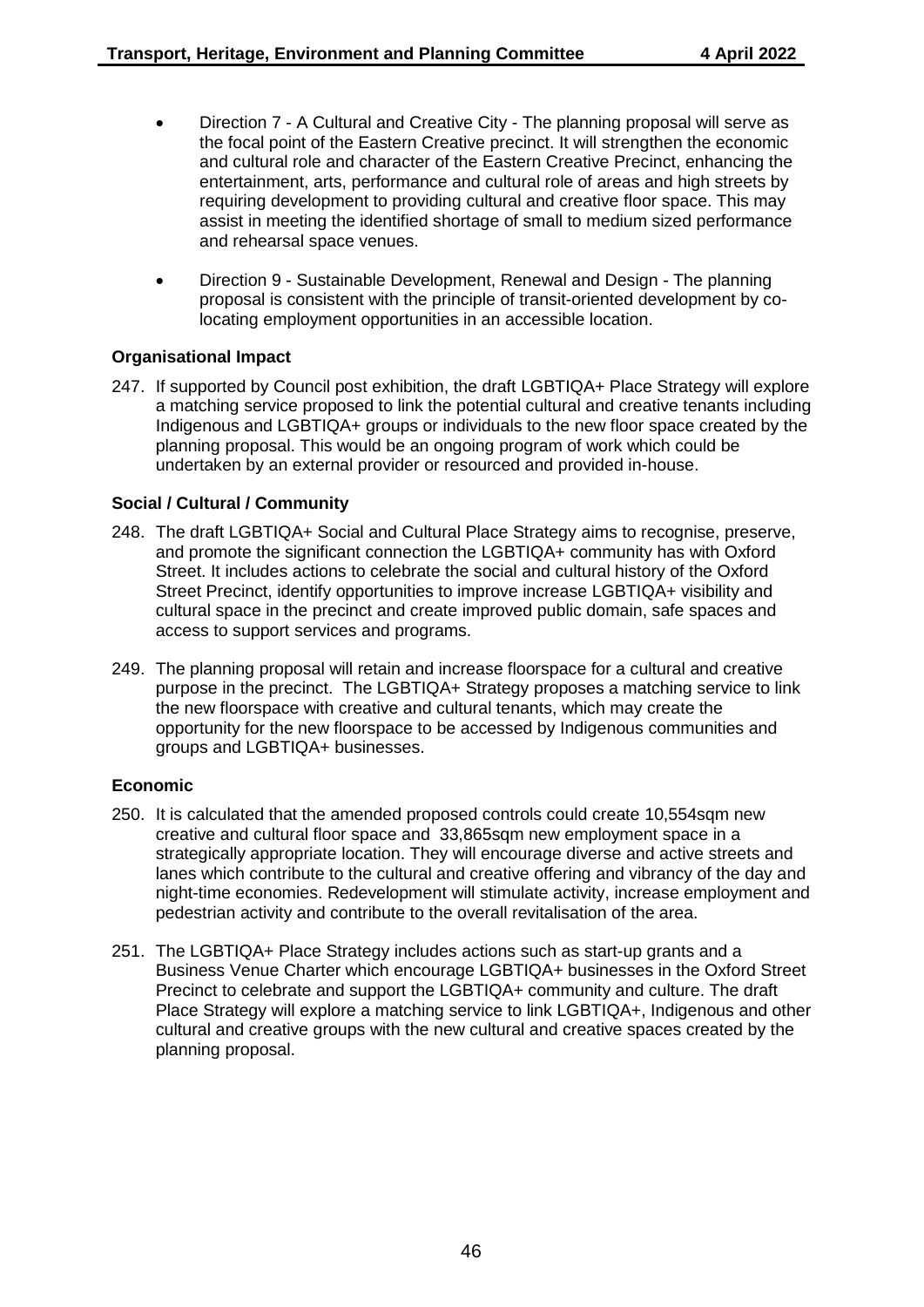- Direction 7 A Cultural and Creative City The planning proposal will serve as the focal point of the Eastern Creative precinct. It will strengthen the economic and cultural role and character of the Eastern Creative Precinct, enhancing the entertainment, arts, performance and cultural role of areas and high streets by requiring development to providing cultural and creative floor space. This may assist in meeting the identified shortage of small to medium sized performance and rehearsal space venues.
- Direction 9 Sustainable Development, Renewal and Design The planning proposal is consistent with the principle of transit-oriented development by colocating employment opportunities in an accessible location.

## **Organisational Impact**

247. If supported by Council post exhibition, the draft LGBTIQA+ Place Strategy will explore a matching service proposed to link the potential cultural and creative tenants including Indigenous and LGBTIQA+ groups or individuals to the new floor space created by the planning proposal. This would be an ongoing program of work which could be undertaken by an external provider or resourced and provided in-house.

## **Social / Cultural / Community**

- 248. The draft LGBTIQA+ Social and Cultural Place Strategy aims to recognise, preserve, and promote the significant connection the LGBTIQA+ community has with Oxford Street. It includes actions to celebrate the social and cultural history of the Oxford Street Precinct, identify opportunities to improve increase LGBTIQA+ visibility and cultural space in the precinct and create improved public domain, safe spaces and access to support services and programs.
- 249. The planning proposal will retain and increase floorspace for a cultural and creative purpose in the precinct. The LGBTIQA+ Strategy proposes a matching service to link the new floorspace with creative and cultural tenants, which may create the opportunity for the new floorspace to be accessed by Indigenous communities and groups and LGBTIQA+ businesses.

#### **Economic**

- 250. It is calculated that the amended proposed controls could create 10,554sqm new creative and cultural floor space and 33,865sqm new employment space in a strategically appropriate location. They will encourage diverse and active streets and lanes which contribute to the cultural and creative offering and vibrancy of the day and night-time economies. Redevelopment will stimulate activity, increase employment and pedestrian activity and contribute to the overall revitalisation of the area.
- 251. The LGBTIQA+ Place Strategy includes actions such as start-up grants and a Business Venue Charter which encourage LGBTIQA+ businesses in the Oxford Street Precinct to celebrate and support the LGBTIQA+ community and culture. The draft Place Strategy will explore a matching service to link LGBTIQA+, Indigenous and other cultural and creative groups with the new cultural and creative spaces created by the planning proposal.